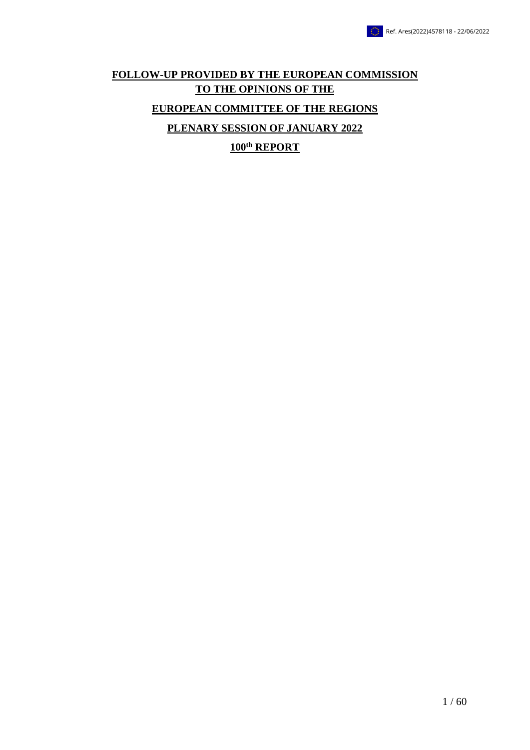## **FOLLOW-UP PROVIDED BY THE EUROPEAN COMMISSION TO THE OPINIONS OF THE EUROPEAN COMMITTEE OF THE REGIONS PLENARY SESSION OF JANUARY 2022**

**100th REPORT**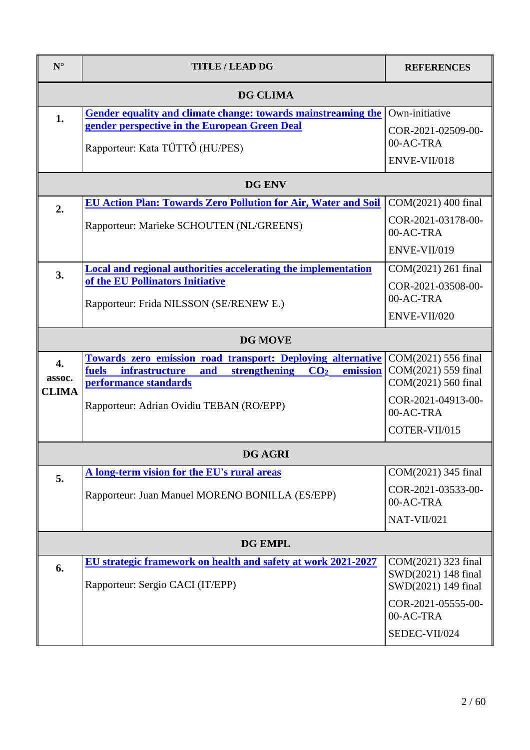| $N^{\circ}$                  | <b>TITLE / LEAD DG</b>                                                                                                                                                                                             | <b>REFERENCES</b>                                                                                                     |
|------------------------------|--------------------------------------------------------------------------------------------------------------------------------------------------------------------------------------------------------------------|-----------------------------------------------------------------------------------------------------------------------|
|                              | <b>DG CLIMA</b>                                                                                                                                                                                                    |                                                                                                                       |
| 1.                           | Gender equality and climate change: towards mainstreaming the<br>gender perspective in the European Green Deal<br>Rapporteur: Kata TÜTTŐ (HU/PES)                                                                  | Own-initiative<br>COR-2021-02509-00-<br>00-AC-TRA<br>ENVE-VII/018                                                     |
|                              | <b>DG ENV</b>                                                                                                                                                                                                      |                                                                                                                       |
| 2.                           | <b>EU Action Plan: Towards Zero Pollution for Air, Water and Soil</b><br>Rapporteur: Marieke SCHOUTEN (NL/GREENS)<br>Local and regional authorities accelerating the implementation                                | COM(2021) 400 final<br>COR-2021-03178-00-<br>00-AC-TRA<br>ENVE-VII/019<br>COM(2021) 261 final                         |
| 3.                           | of the EU Pollinators Initiative<br>Rapporteur: Frida NILSSON (SE/RENEW E.)                                                                                                                                        | COR-2021-03508-00-<br>00-AC-TRA<br>ENVE-VII/020                                                                       |
|                              | DG MOVE                                                                                                                                                                                                            |                                                                                                                       |
| 4.<br>assoc.<br><b>CLIMA</b> | Towards zero emission road transport: Deploying alternative<br>strengthening<br>fuels<br>infrastructure<br>and<br>CO <sub>2</sub><br>emission<br>performance standards<br>Rapporteur: Adrian Ovidiu TEBAN (RO/EPP) | COM(2021) 556 final<br>COM(2021) 559 final<br>COM(2021) 560 final<br>COR-2021-04913-00-<br>00-AC-TRA<br>COTER-VII/015 |
| <b>DG AGRI</b>               |                                                                                                                                                                                                                    |                                                                                                                       |
| 5.                           | A long-term vision for the EU's rural areas<br>Rapporteur: Juan Manuel MORENO BONILLA (ES/EPP)                                                                                                                     | COM(2021) 345 final<br>COR-2021-03533-00-<br>00-AC-TRA<br>NAT-VII/021                                                 |
|                              | <b>DG EMPL</b>                                                                                                                                                                                                     |                                                                                                                       |
| 6.                           | EU strategic framework on health and safety at work 2021-2027<br>Rapporteur: Sergio CACI (IT/EPP)                                                                                                                  | COM(2021) 323 final<br>SWD(2021) 148 final<br>SWD(2021) 149 final<br>COR-2021-05555-00-<br>00-AC-TRA<br>SEDEC-VII/024 |
|                              |                                                                                                                                                                                                                    |                                                                                                                       |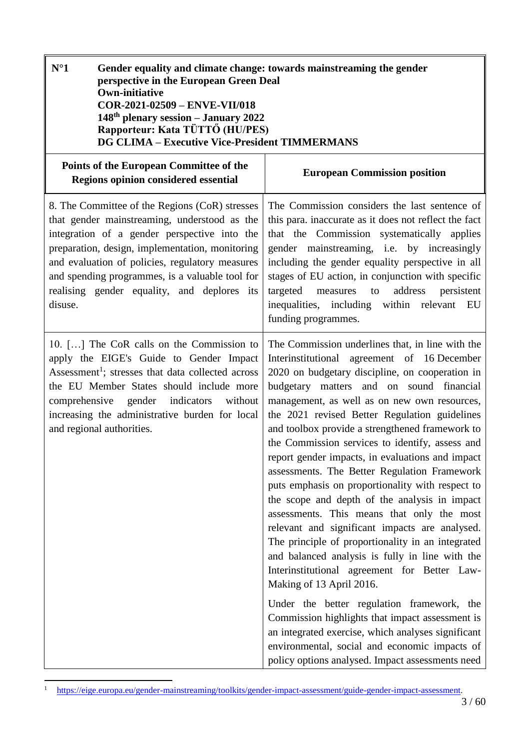<span id="page-2-0"></span>

| $N^{\circ}1$<br>Gender equality and climate change: towards mainstreaming the gender<br>perspective in the European Green Deal<br><b>Own-initiative</b><br>COR-2021-02509 - ENVE-VII/018<br>148th plenary session - January 2022<br>Rapporteur: Kata TÜTTŐ (HU/PES)<br><b>DG CLIMA - Executive Vice-President TIMMERMANS</b>                                      |                                                                                                                                                                                                                                                                                                                                                                                                                                                                                                                                                                                                                                                                                                                                                                                                                                                                                                                                                                                                                                                                                                                                                                |
|-------------------------------------------------------------------------------------------------------------------------------------------------------------------------------------------------------------------------------------------------------------------------------------------------------------------------------------------------------------------|----------------------------------------------------------------------------------------------------------------------------------------------------------------------------------------------------------------------------------------------------------------------------------------------------------------------------------------------------------------------------------------------------------------------------------------------------------------------------------------------------------------------------------------------------------------------------------------------------------------------------------------------------------------------------------------------------------------------------------------------------------------------------------------------------------------------------------------------------------------------------------------------------------------------------------------------------------------------------------------------------------------------------------------------------------------------------------------------------------------------------------------------------------------|
| Points of the European Committee of the<br><b>Regions opinion considered essential</b>                                                                                                                                                                                                                                                                            | <b>European Commission position</b>                                                                                                                                                                                                                                                                                                                                                                                                                                                                                                                                                                                                                                                                                                                                                                                                                                                                                                                                                                                                                                                                                                                            |
| 8. The Committee of the Regions (CoR) stresses<br>that gender mainstreaming, understood as the<br>integration of a gender perspective into the<br>preparation, design, implementation, monitoring<br>and evaluation of policies, regulatory measures<br>and spending programmes, is a valuable tool for<br>realising gender equality, and deplores its<br>disuse. | The Commission considers the last sentence of<br>this para. inaccurate as it does not reflect the fact<br>that the Commission systematically applies<br>gender mainstreaming, i.e. by increasingly<br>including the gender equality perspective in all<br>stages of EU action, in conjunction with specific<br>persistent<br>targeted<br>address<br>measures<br>to<br>inequalities, including within relevant EU<br>funding programmes.                                                                                                                                                                                                                                                                                                                                                                                                                                                                                                                                                                                                                                                                                                                        |
| 10. [] The CoR calls on the Commission to<br>apply the EIGE's Guide to Gender Impact<br>Assessment <sup>1</sup> ; stresses that data collected across<br>the EU Member States should include more<br>gender indicators without<br>comprehensive<br>increasing the administrative burden for local<br>and regional authorities.                                    | The Commission underlines that, in line with the<br>Interinstitutional agreement of 16 December<br>2020 on budgetary discipline, on cooperation in<br>budgetary matters and on sound financial<br>management, as well as on new own resources,<br>the 2021 revised Better Regulation guidelines<br>and toolbox provide a strengthened framework to<br>the Commission services to identify, assess and<br>report gender impacts, in evaluations and impact<br>assessments. The Better Regulation Framework<br>puts emphasis on proportionality with respect to<br>the scope and depth of the analysis in impact<br>assessments. This means that only the most<br>relevant and significant impacts are analysed.<br>The principle of proportionality in an integrated<br>and balanced analysis is fully in line with the<br>Interinstitutional agreement for Better Law-<br>Making of 13 April 2016.<br>Under the better regulation framework, the<br>Commission highlights that impact assessment is<br>an integrated exercise, which analyses significant<br>environmental, social and economic impacts of<br>policy options analysed. Impact assessments need |

ī

 $\bar{1}$ <sup>1</sup> [https://eige.europa.eu/gender-mainstreaming/toolkits/gender-impact-assessment/guide-gender-impact-assessment.](https://eige.europa.eu/gender-mainstreaming/toolkits/gender-impact-assessment/guide-gender-impact-assessment)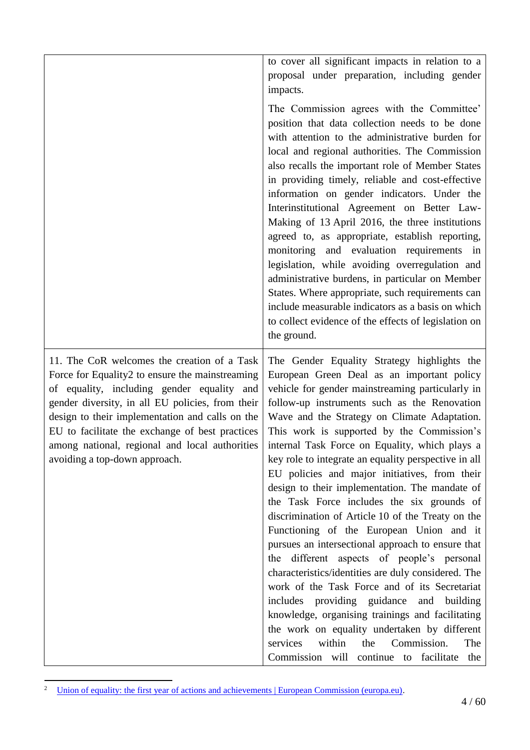|                                                                                                                                                                                                                                                                                                                                                                                           | to cover all significant impacts in relation to a<br>proposal under preparation, including gender<br>impacts.                                                                                                                                                                                                                                                                                                                                                                                                                                                                                                                                                                                                                                                                                                                                                                                                                                                                                                                                                                                                       |
|-------------------------------------------------------------------------------------------------------------------------------------------------------------------------------------------------------------------------------------------------------------------------------------------------------------------------------------------------------------------------------------------|---------------------------------------------------------------------------------------------------------------------------------------------------------------------------------------------------------------------------------------------------------------------------------------------------------------------------------------------------------------------------------------------------------------------------------------------------------------------------------------------------------------------------------------------------------------------------------------------------------------------------------------------------------------------------------------------------------------------------------------------------------------------------------------------------------------------------------------------------------------------------------------------------------------------------------------------------------------------------------------------------------------------------------------------------------------------------------------------------------------------|
|                                                                                                                                                                                                                                                                                                                                                                                           | The Commission agrees with the Committee'<br>position that data collection needs to be done<br>with attention to the administrative burden for<br>local and regional authorities. The Commission<br>also recalls the important role of Member States<br>in providing timely, reliable and cost-effective<br>information on gender indicators. Under the<br>Interinstitutional Agreement on Better Law-<br>Making of 13 April 2016, the three institutions<br>agreed to, as appropriate, establish reporting,<br>monitoring and evaluation requirements in<br>legislation, while avoiding overregulation and<br>administrative burdens, in particular on Member<br>States. Where appropriate, such requirements can<br>include measurable indicators as a basis on which<br>to collect evidence of the effects of legislation on<br>the ground.                                                                                                                                                                                                                                                                      |
| 11. The CoR welcomes the creation of a Task<br>Force for Equality2 to ensure the mainstreaming<br>of equality, including gender equality and<br>gender diversity, in all EU policies, from their<br>design to their implementation and calls on the<br>EU to facilitate the exchange of best practices<br>among national, regional and local authorities<br>avoiding a top-down approach. | The Gender Equality Strategy highlights the<br>European Green Deal as an important policy<br>vehicle for gender mainstreaming particularly in<br>follow-up instruments such as the Renovation<br>Wave and the Strategy on Climate Adaptation.<br>This work is supported by the Commission's<br>internal Task Force on Equality, which plays a<br>key role to integrate an equality perspective in all<br>EU policies and major initiatives, from their<br>design to their implementation. The mandate of<br>the Task Force includes the six grounds of<br>discrimination of Article 10 of the Treaty on the<br>Functioning of the European Union and it<br>pursues an intersectional approach to ensure that<br>the different aspects of people's personal<br>characteristics/identities are duly considered. The<br>work of the Task Force and of its Secretariat<br>includes providing guidance and building<br>knowledge, organising trainings and facilitating<br>the work on equality undertaken by different<br>within<br>the<br>Commission.<br>services<br>The<br>Commission will continue to facilitate the |

<sup>&</sup>lt;sup>2</sup> [Union of equality: the first year of actions and achievements | European Commission \(europa.eu\).](https://ec.europa.eu/commission/commissioners/2019-2024/dalli/announcements/union-equality-first-year-actions-and-achievements_en#:~:text=The%20Task%20Force%20on%20Equality%20is%20composed%20of,an%20unprecedented%20situation%20both%20in%20Europe%20and%20globally.)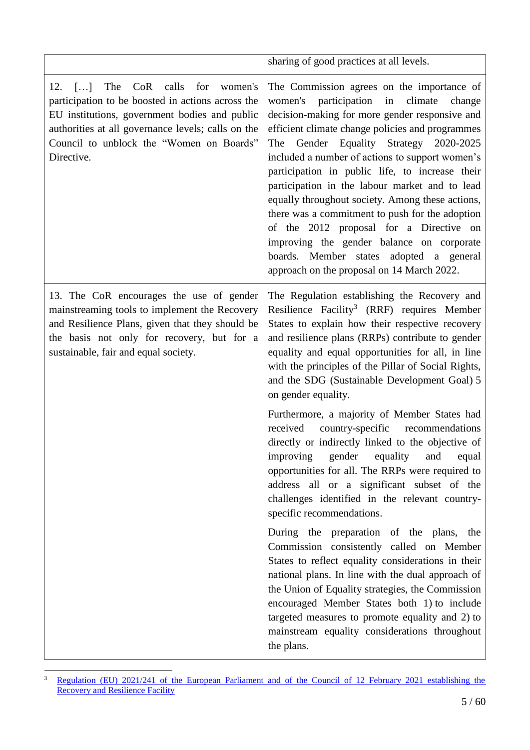|                                                                                                                                                                                                                                                                               | sharing of good practices at all levels.                                                                                                                                                                                                                                                                                                                                                                                                                                                                                                                                                                                                                                                             |
|-------------------------------------------------------------------------------------------------------------------------------------------------------------------------------------------------------------------------------------------------------------------------------|------------------------------------------------------------------------------------------------------------------------------------------------------------------------------------------------------------------------------------------------------------------------------------------------------------------------------------------------------------------------------------------------------------------------------------------------------------------------------------------------------------------------------------------------------------------------------------------------------------------------------------------------------------------------------------------------------|
| $\lceil  \rceil$ The<br>CoR calls for<br>12.<br>women's<br>participation to be boosted in actions across the<br>EU institutions, government bodies and public<br>authorities at all governance levels; calls on the<br>Council to unblock the "Women on Boards"<br>Directive. | The Commission agrees on the importance of<br>participation<br>women's<br>climate<br>in<br>change<br>decision-making for more gender responsive and<br>efficient climate change policies and programmes<br>Gender Equality Strategy 2020-2025<br>The<br>included a number of actions to support women's<br>participation in public life, to increase their<br>participation in the labour market and to lead<br>equally throughout society. Among these actions,<br>there was a commitment to push for the adoption<br>of the 2012 proposal for a Directive on<br>improving the gender balance on corporate<br>boards. Member states adopted a general<br>approach on the proposal on 14 March 2022. |
| 13. The CoR encourages the use of gender<br>mainstreaming tools to implement the Recovery<br>and Resilience Plans, given that they should be<br>the basis not only for recovery, but for a<br>sustainable, fair and equal society.                                            | The Regulation establishing the Recovery and<br>Resilience Facility <sup>3</sup> (RRF) requires Member<br>States to explain how their respective recovery<br>and resilience plans (RRPs) contribute to gender<br>equality and equal opportunities for all, in line<br>with the principles of the Pillar of Social Rights,<br>and the SDG (Sustainable Development Goal) 5<br>on gender equality.                                                                                                                                                                                                                                                                                                     |
|                                                                                                                                                                                                                                                                               | Furthermore, a majority of Member States had<br>received<br>country-specific recommendations<br>directly or indirectly linked to the objective of<br>improving gender equality<br>and<br>equal<br>opportunities for all. The RRPs were required to<br>address all or a significant subset of the<br>challenges identified in the relevant country-<br>specific recommendations.                                                                                                                                                                                                                                                                                                                      |
|                                                                                                                                                                                                                                                                               | During the preparation of the plans, the<br>Commission consistently called on Member<br>States to reflect equality considerations in their<br>national plans. In line with the dual approach of<br>the Union of Equality strategies, the Commission<br>encouraged Member States both 1) to include<br>targeted measures to promote equality and 2) to<br>mainstream equality considerations throughout<br>the plans.                                                                                                                                                                                                                                                                                 |

 $\overline{\mathbf{3}}$ <sup>3</sup> Regulation (EU) 2021/241 of the European Parliament and of the Council of 12 February 2021 establishing the **[Recovery and Resilience Facility](https://eur-lex.europa.eu/legal-content/EN/TXT/?uri=uriserv:OJ.L_.2021.057.01.0017.01.ENG&toc=OJ:L:2021:057:TOC)**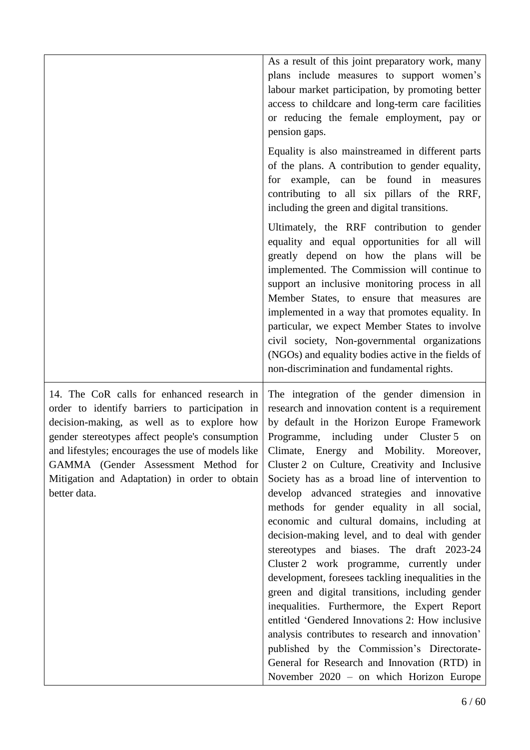|                                                                                                                                                                                                                                                                                                                                                           | As a result of this joint preparatory work, many<br>plans include measures to support women's<br>labour market participation, by promoting better<br>access to childcare and long-term care facilities<br>or reducing the female employment, pay or<br>pension gaps.<br>Equality is also mainstreamed in different parts<br>of the plans. A contribution to gender equality,<br>for example, can be found in measures<br>contributing to all six pillars of the RRF,<br>including the green and digital transitions.                                                                                                                                                                                                                                                                                                                                                                                                                                                                                                                      |
|-----------------------------------------------------------------------------------------------------------------------------------------------------------------------------------------------------------------------------------------------------------------------------------------------------------------------------------------------------------|-------------------------------------------------------------------------------------------------------------------------------------------------------------------------------------------------------------------------------------------------------------------------------------------------------------------------------------------------------------------------------------------------------------------------------------------------------------------------------------------------------------------------------------------------------------------------------------------------------------------------------------------------------------------------------------------------------------------------------------------------------------------------------------------------------------------------------------------------------------------------------------------------------------------------------------------------------------------------------------------------------------------------------------------|
|                                                                                                                                                                                                                                                                                                                                                           | Ultimately, the RRF contribution to gender<br>equality and equal opportunities for all will<br>greatly depend on how the plans will be<br>implemented. The Commission will continue to<br>support an inclusive monitoring process in all<br>Member States, to ensure that measures are<br>implemented in a way that promotes equality. In<br>particular, we expect Member States to involve<br>civil society, Non-governmental organizations<br>(NGOs) and equality bodies active in the fields of<br>non-discrimination and fundamental rights.                                                                                                                                                                                                                                                                                                                                                                                                                                                                                          |
| 14. The CoR calls for enhanced research in<br>order to identify barriers to participation in<br>decision-making, as well as to explore how<br>gender stereotypes affect people's consumption<br>and lifestyles; encourages the use of models like<br>GAMMA (Gender Assessment Method for<br>Mitigation and Adaptation) in order to obtain<br>better data. | The integration of the gender dimension in<br>research and innovation content is a requirement<br>by default in the Horizon Europe Framework<br>Programme, including under Cluster 5<br>on<br>Climate, Energy and Mobility. Moreover,<br>Cluster 2 on Culture, Creativity and Inclusive<br>Society has as a broad line of intervention to<br>develop advanced strategies and innovative<br>methods for gender equality in all social,<br>economic and cultural domains, including at<br>decision-making level, and to deal with gender<br>stereotypes and biases. The draft 2023-24<br>Cluster 2 work programme, currently under<br>development, foresees tackling inequalities in the<br>green and digital transitions, including gender<br>inequalities. Furthermore, the Expert Report<br>entitled 'Gendered Innovations 2: How inclusive<br>analysis contributes to research and innovation'<br>published by the Commission's Directorate-<br>General for Research and Innovation (RTD) in<br>November 2020 – on which Horizon Europe |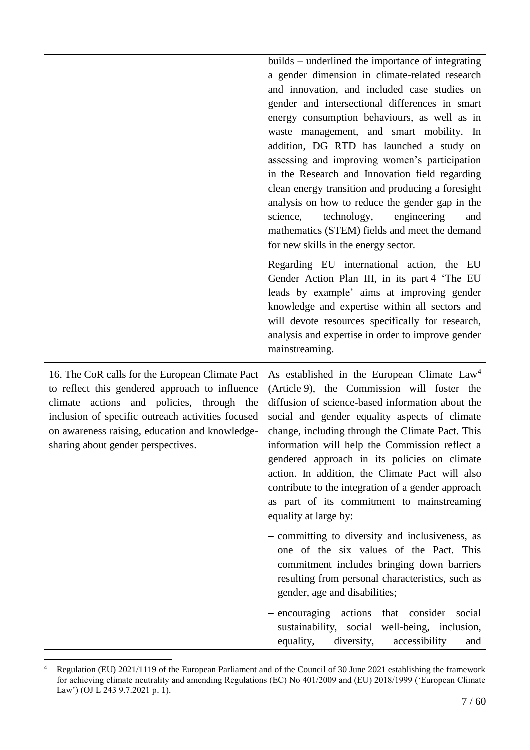|                                                                                                                                                                                                                                                                                             | builds – underlined the importance of integrating<br>a gender dimension in climate-related research<br>and innovation, and included case studies on<br>gender and intersectional differences in smart<br>energy consumption behaviours, as well as in<br>waste management, and smart mobility. In<br>addition, DG RTD has launched a study on<br>assessing and improving women's participation<br>in the Research and Innovation field regarding<br>clean energy transition and producing a foresight<br>analysis on how to reduce the gender gap in the<br>science,<br>technology,<br>engineering<br>and<br>mathematics (STEM) fields and meet the demand<br>for new skills in the energy sector.<br>Regarding EU international action, the EU<br>Gender Action Plan III, in its part 4 'The EU<br>leads by example' aims at improving gender<br>knowledge and expertise within all sectors and<br>will devote resources specifically for research,<br>analysis and expertise in order to improve gender<br>mainstreaming. |
|---------------------------------------------------------------------------------------------------------------------------------------------------------------------------------------------------------------------------------------------------------------------------------------------|-----------------------------------------------------------------------------------------------------------------------------------------------------------------------------------------------------------------------------------------------------------------------------------------------------------------------------------------------------------------------------------------------------------------------------------------------------------------------------------------------------------------------------------------------------------------------------------------------------------------------------------------------------------------------------------------------------------------------------------------------------------------------------------------------------------------------------------------------------------------------------------------------------------------------------------------------------------------------------------------------------------------------------|
| 16. The CoR calls for the European Climate Pact<br>to reflect this gendered approach to influence<br>climate actions and policies, through the<br>inclusion of specific outreach activities focused<br>on awareness raising, education and knowledge-<br>sharing about gender perspectives. | As established in the European Climate Law <sup>4</sup><br>(Article 9), the Commission will foster the<br>diffusion of science-based information about the<br>social and gender equality aspects of climate<br>change, including through the Climate Pact. This<br>information will help the Commission reflect a<br>gendered approach in its policies on climate<br>action. In addition, the Climate Pact will also<br>contribute to the integration of a gender approach<br>as part of its commitment to mainstreaming<br>equality at large by:<br>- committing to diversity and inclusiveness, as<br>one of the six values of the Pact. This<br>commitment includes bringing down barriers<br>resulting from personal characteristics, such as<br>gender, age and disabilities;<br>- encouraging actions that<br>consider<br>social<br>sustainability, social<br>well-being, inclusion,<br>equality,<br>diversity,<br>accessibility<br>and                                                                               |

 $\overline{4}$ <sup>4</sup> Regulation (EU) 2021/1119 of the European Parliament and of the Council of 30 June 2021 establishing the framework for achieving climate neutrality and amending Regulations (EC) No 401/2009 and (EU) 2018/1999 ('European Climate Law') (OJ L 243 9.7.2021 p. 1).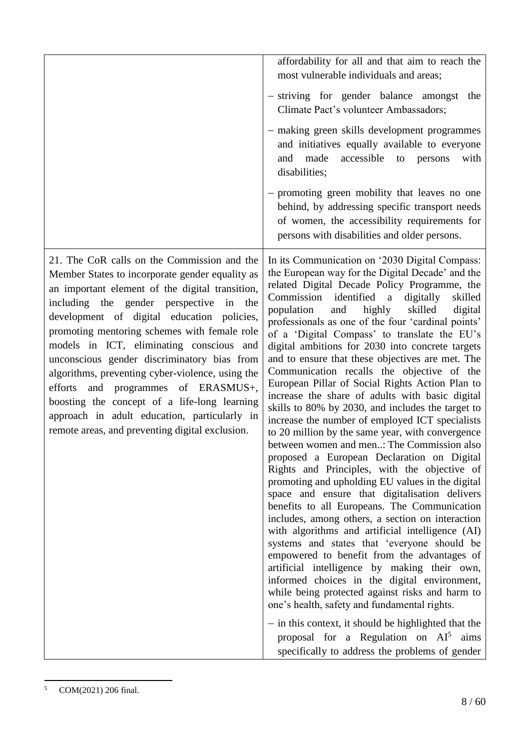|                                                                                                                                                                                                                                                                                                                                                                                                                                                                                                                                                                                                                                              | affordability for all and that aim to reach the<br>most vulnerable individuals and areas;<br>- striving for gender balance amongst the<br>Climate Pact's volunteer Ambassadors;<br>- making green skills development programmes<br>and initiatives equally available to everyone<br>accessible<br>made<br>with<br>and<br>to<br>persons<br>disabilities;<br>- promoting green mobility that leaves no one<br>behind, by addressing specific transport needs<br>of women, the accessibility requirements for<br>persons with disabilities and older persons.                                                                                                                                                                                                                                                                                                                                                                                                                                                                                                                                                                                                                                                                                                                                                                                                                                                                                                                                                                                                                                                                                                  |
|----------------------------------------------------------------------------------------------------------------------------------------------------------------------------------------------------------------------------------------------------------------------------------------------------------------------------------------------------------------------------------------------------------------------------------------------------------------------------------------------------------------------------------------------------------------------------------------------------------------------------------------------|-------------------------------------------------------------------------------------------------------------------------------------------------------------------------------------------------------------------------------------------------------------------------------------------------------------------------------------------------------------------------------------------------------------------------------------------------------------------------------------------------------------------------------------------------------------------------------------------------------------------------------------------------------------------------------------------------------------------------------------------------------------------------------------------------------------------------------------------------------------------------------------------------------------------------------------------------------------------------------------------------------------------------------------------------------------------------------------------------------------------------------------------------------------------------------------------------------------------------------------------------------------------------------------------------------------------------------------------------------------------------------------------------------------------------------------------------------------------------------------------------------------------------------------------------------------------------------------------------------------------------------------------------------------|
| 21. The CoR calls on the Commission and the<br>Member States to incorporate gender equality as<br>an important element of the digital transition,<br>including the gender perspective<br>in<br>the<br>development of digital education policies,<br>promoting mentoring schemes with female role<br>models in ICT, eliminating conscious and<br>unconscious gender discriminatory bias from<br>algorithms, preventing cyber-violence, using the<br>and programmes of ERASMUS+,<br>efforts<br>boosting the concept of a life-long learning<br>approach in adult education, particularly in<br>remote areas, and preventing digital exclusion. | In its Communication on '2030 Digital Compass:<br>the European way for the Digital Decade' and the<br>related Digital Decade Policy Programme, the<br>Commission<br>identified a<br>digitally<br>skilled<br>population<br>and<br>highly<br>skilled<br>digital<br>professionals as one of the four 'cardinal points'<br>of a 'Digital Compass' to translate the EU's<br>digital ambitions for 2030 into concrete targets<br>and to ensure that these objectives are met. The<br>Communication recalls the objective of the<br>European Pillar of Social Rights Action Plan to<br>increase the share of adults with basic digital<br>skills to 80% by 2030, and includes the target to<br>increase the number of employed ICT specialists<br>to 20 million by the same year, with convergence<br>between women and men: The Commission also<br>proposed a European Declaration on Digital<br>Rights and Principles, with the objective of<br>promoting and upholding EU values in the digital<br>space and ensure that digitalisation delivers<br>benefits to all Europeans. The Communication<br>includes, among others, a section on interaction<br>with algorithms and artificial intelligence (AI)<br>systems and states that 'everyone should be<br>empowered to benefit from the advantages of<br>artificial intelligence by making their own,<br>informed choices in the digital environment,<br>while being protected against risks and harm to<br>one's health, safety and fundamental rights.<br>- in this context, it should be highlighted that the<br>proposal for a Regulation on $AI^5$ aims<br>specifically to address the problems of gender |

 $\overline{a}$ <sup>5</sup> COM(2021) 206 final.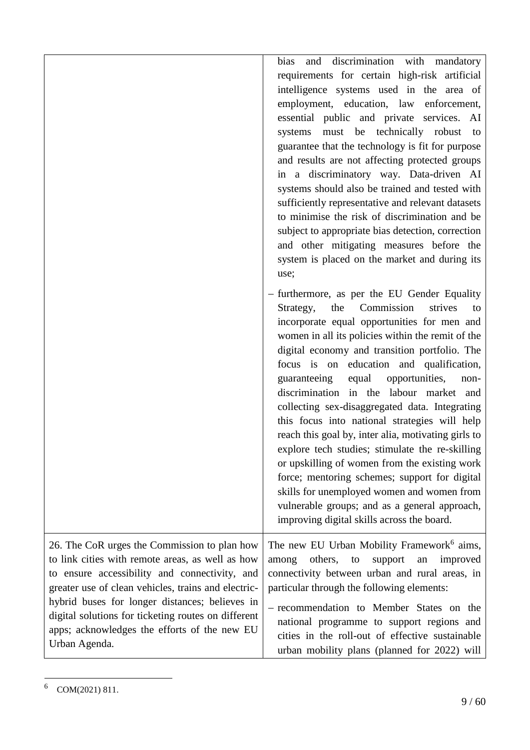|                                                                                                                                                                                                                                                                                                                                                                                    | and discrimination with mandatory<br>bias<br>requirements for certain high-risk artificial<br>intelligence systems used in the area of<br>employment, education, law enforcement,<br>essential public and private services. AI<br>systems must be technically robust to<br>guarantee that the technology is fit for purpose<br>and results are not affecting protected groups<br>in a discriminatory way. Data-driven AI<br>systems should also be trained and tested with<br>sufficiently representative and relevant datasets<br>to minimise the risk of discrimination and be<br>subject to appropriate bias detection, correction<br>and other mitigating measures before the<br>system is placed on the market and during its<br>use;                                                                                                                 |
|------------------------------------------------------------------------------------------------------------------------------------------------------------------------------------------------------------------------------------------------------------------------------------------------------------------------------------------------------------------------------------|------------------------------------------------------------------------------------------------------------------------------------------------------------------------------------------------------------------------------------------------------------------------------------------------------------------------------------------------------------------------------------------------------------------------------------------------------------------------------------------------------------------------------------------------------------------------------------------------------------------------------------------------------------------------------------------------------------------------------------------------------------------------------------------------------------------------------------------------------------|
|                                                                                                                                                                                                                                                                                                                                                                                    | - furthermore, as per the EU Gender Equality<br>Strategy,<br>the<br>Commission<br>strives<br>to<br>incorporate equal opportunities for men and<br>women in all its policies within the remit of the<br>digital economy and transition portfolio. The<br>focus is on education and qualification,<br>opportunities,<br>guaranteeing<br>equal<br>non-<br>discrimination in the labour market and<br>collecting sex-disaggregated data. Integrating<br>this focus into national strategies will help<br>reach this goal by, inter alia, motivating girls to<br>explore tech studies; stimulate the re-skilling<br>or upskilling of women from the existing work<br>force; mentoring schemes; support for digital<br>skills for unemployed women and women from<br>vulnerable groups; and as a general approach,<br>improving digital skills across the board. |
| 26. The CoR urges the Commission to plan how<br>to link cities with remote areas, as well as how<br>to ensure accessibility and connectivity, and<br>greater use of clean vehicles, trains and electric-<br>hybrid buses for longer distances; believes in<br>digital solutions for ticketing routes on different<br>apps; acknowledges the efforts of the new EU<br>Urban Agenda. | The new EU Urban Mobility Framework <sup>6</sup> aims,<br>others,<br>support<br>improved<br>to<br>among<br>an<br>connectivity between urban and rural areas, in<br>particular through the following elements:<br>- recommendation to Member States on the<br>national programme to support regions and<br>cities in the roll-out of effective sustainable<br>urban mobility plans (planned for 2022) will                                                                                                                                                                                                                                                                                                                                                                                                                                                  |

 $6$  COM(2021) 811.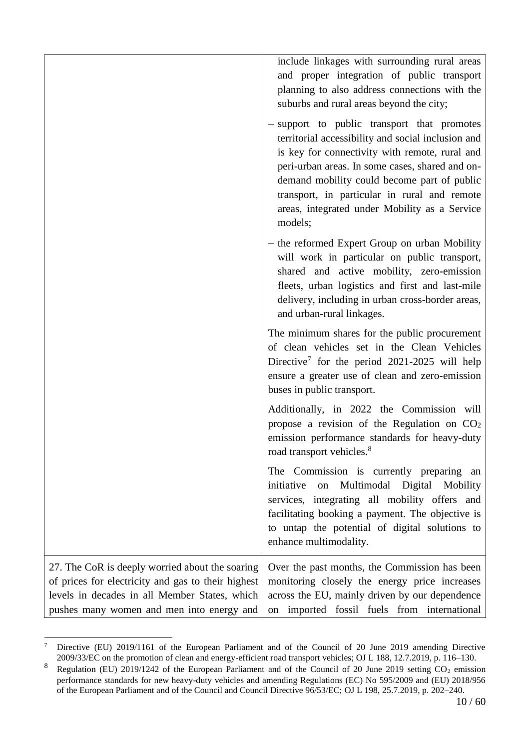|                                                                                                                                                                                                     | include linkages with surrounding rural areas<br>and proper integration of public transport<br>planning to also address connections with the<br>suburbs and rural areas beyond the city;                                                                                                                                                                          |
|-----------------------------------------------------------------------------------------------------------------------------------------------------------------------------------------------------|-------------------------------------------------------------------------------------------------------------------------------------------------------------------------------------------------------------------------------------------------------------------------------------------------------------------------------------------------------------------|
|                                                                                                                                                                                                     | - support to public transport that promotes<br>territorial accessibility and social inclusion and<br>is key for connectivity with remote, rural and<br>peri-urban areas. In some cases, shared and on-<br>demand mobility could become part of public<br>transport, in particular in rural and remote<br>areas, integrated under Mobility as a Service<br>models; |
|                                                                                                                                                                                                     | - the reformed Expert Group on urban Mobility<br>will work in particular on public transport,<br>shared and active mobility, zero-emission<br>fleets, urban logistics and first and last-mile<br>delivery, including in urban cross-border areas,<br>and urban-rural linkages.                                                                                    |
|                                                                                                                                                                                                     | The minimum shares for the public procurement<br>of clean vehicles set in the Clean Vehicles<br>Directive <sup>7</sup> for the period 2021-2025 will help<br>ensure a greater use of clean and zero-emission<br>buses in public transport.                                                                                                                        |
|                                                                                                                                                                                                     | Additionally, in 2022 the Commission will<br>propose a revision of the Regulation on CO <sub>2</sub><br>emission performance standards for heavy-duty<br>road transport vehicles. <sup>8</sup>                                                                                                                                                                    |
|                                                                                                                                                                                                     | The Commission is currently preparing an<br>Multimodal Digital<br>initiative<br>on<br>Mobility<br>services, integrating all mobility offers and<br>facilitating booking a payment. The objective is<br>to untap the potential of digital solutions to<br>enhance multimodality.                                                                                   |
| 27. The CoR is deeply worried about the soaring<br>of prices for electricity and gas to their highest<br>levels in decades in all Member States, which<br>pushes many women and men into energy and | Over the past months, the Commission has been<br>monitoring closely the energy price increases<br>across the EU, mainly driven by our dependence<br>on imported fossil fuels from international                                                                                                                                                                   |

 $\overline{a}$ <sup>7</sup> Directive (EU) 2019/1161 of the European Parliament and of the Council of 20 June 2019 amending Directive 2009/33/EC on the promotion of clean and energy-efficient road transport vehicles; OJ L 188, 12.7.2019, p. 116–130.

<sup>&</sup>lt;sup>8</sup> Regulation (EU) 2019/1242 of the European Parliament and of the Council of 20 June 2019 setting  $CO_2$  emission performance standards for new heavy-duty vehicles and amending Regulations (EC) No 595/2009 and (EU) 2018/956 of the European Parliament and of the Council and Council Directive 96/53/EC; OJ L 198, 25.7.2019, p. 202–240.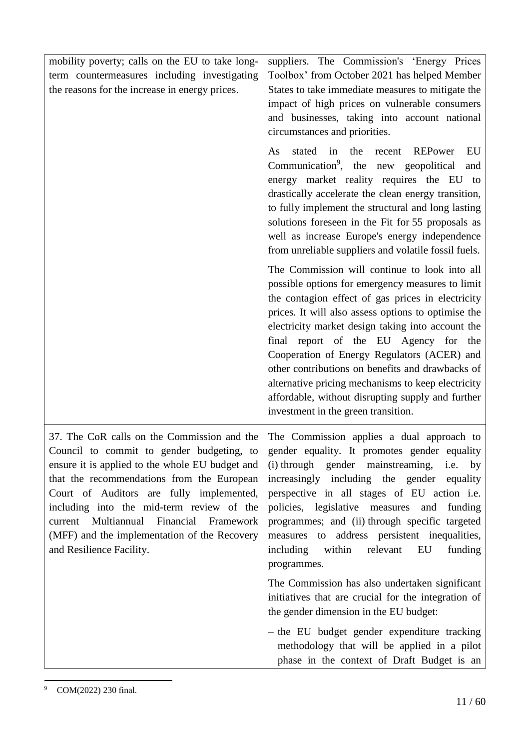| mobility poverty; calls on the EU to take long-                                                                                                                                                                                                                                                                                                              | suppliers. The Commission's 'Energy Prices                                                                                                                                                                                                                                                                                                                                                                                                                                                                                                                       |
|--------------------------------------------------------------------------------------------------------------------------------------------------------------------------------------------------------------------------------------------------------------------------------------------------------------------------------------------------------------|------------------------------------------------------------------------------------------------------------------------------------------------------------------------------------------------------------------------------------------------------------------------------------------------------------------------------------------------------------------------------------------------------------------------------------------------------------------------------------------------------------------------------------------------------------------|
| term countermeasures including investigating                                                                                                                                                                                                                                                                                                                 | Toolbox' from October 2021 has helped Member                                                                                                                                                                                                                                                                                                                                                                                                                                                                                                                     |
| the reasons for the increase in energy prices.                                                                                                                                                                                                                                                                                                               | States to take immediate measures to mitigate the<br>impact of high prices on vulnerable consumers<br>and businesses, taking into account national<br>circumstances and priorities.                                                                                                                                                                                                                                                                                                                                                                              |
|                                                                                                                                                                                                                                                                                                                                                              | stated in<br>the<br>EU<br><b>REPower</b><br>As<br>recent<br>Communication <sup>9</sup> , the new geopolitical<br>and<br>energy market reality requires the EU to<br>drastically accelerate the clean energy transition,<br>to fully implement the structural and long lasting<br>solutions foreseen in the Fit for 55 proposals as<br>well as increase Europe's energy independence<br>from unreliable suppliers and volatile fossil fuels.                                                                                                                      |
|                                                                                                                                                                                                                                                                                                                                                              | The Commission will continue to look into all<br>possible options for emergency measures to limit<br>the contagion effect of gas prices in electricity<br>prices. It will also assess options to optimise the<br>electricity market design taking into account the<br>final report of the EU Agency for the<br>Cooperation of Energy Regulators (ACER) and<br>other contributions on benefits and drawbacks of<br>alternative pricing mechanisms to keep electricity<br>affordable, without disrupting supply and further<br>investment in the green transition. |
| 37. The CoR calls on the Commission and the<br>ensure it is applied to the whole EU budget and<br>that the recommendations from the European<br>Court of Auditors are fully implemented,<br>including into the mid-term review of the<br>current Multiannual Financial Framework<br>(MFF) and the implementation of the Recovery<br>and Resilience Facility. | The Commission applies a dual approach to<br>Council to commit to gender budgeting, to gender equality. It promotes gender equality<br>(i) through gender mainstreaming,<br>i.e. by<br>increasingly including the gender<br>equality<br>perspective in all stages of EU action i.e.<br>policies, legislative measures<br>funding<br>and<br>programmes; and (ii) through specific targeted<br>measures to address persistent inequalities,<br>relevant<br>EU<br>including<br>within<br>funding<br>programmes.<br>The Commission has also undertaken significant   |
|                                                                                                                                                                                                                                                                                                                                                              | initiatives that are crucial for the integration of<br>the gender dimension in the EU budget:                                                                                                                                                                                                                                                                                                                                                                                                                                                                    |
|                                                                                                                                                                                                                                                                                                                                                              | - the EU budget gender expenditure tracking<br>methodology that will be applied in a pilot<br>phase in the context of Draft Budget is an                                                                                                                                                                                                                                                                                                                                                                                                                         |

 $\overline{a}$ <sup>9</sup> COM(2022) 230 final.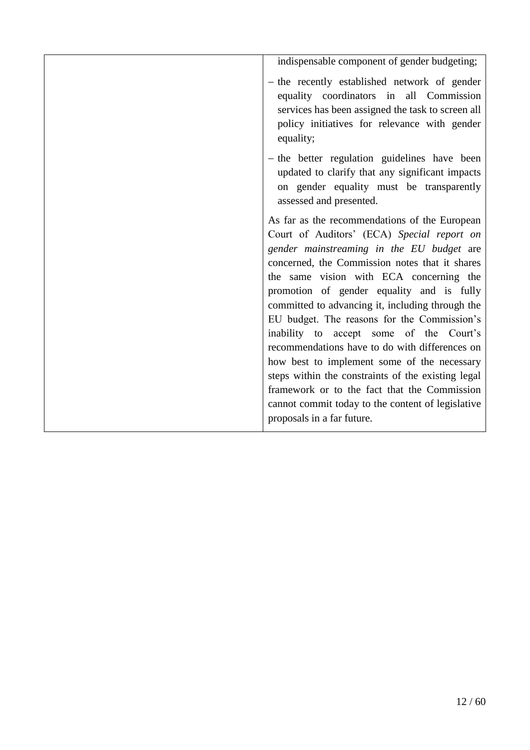indispensable component of gender budgeting;  $-$  the recently established network of gender equality coordinators in all Commission services has been assigned the task to screen all policy initiatives for relevance with gender equality;  $-$  the better regulation guidelines have been updated to clarify that any significant impacts on gender equality must be transparently assessed and presented. As far as the recommendations of the European Court of Auditors' (ECA) *Special report on gender mainstreaming in the EU budget* are concerned, the Commission notes that it shares the same vision with ECA concerning the promotion of gender equality and is fully committed to advancing it, including through the EU budget. The reasons for the Commission's inability to accept some of the Court's recommendations have to do with differences on how best to implement some of the necessary steps within the constraints of the existing legal framework or to the fact that the Commission cannot commit today to the content of legislative proposals in a far future.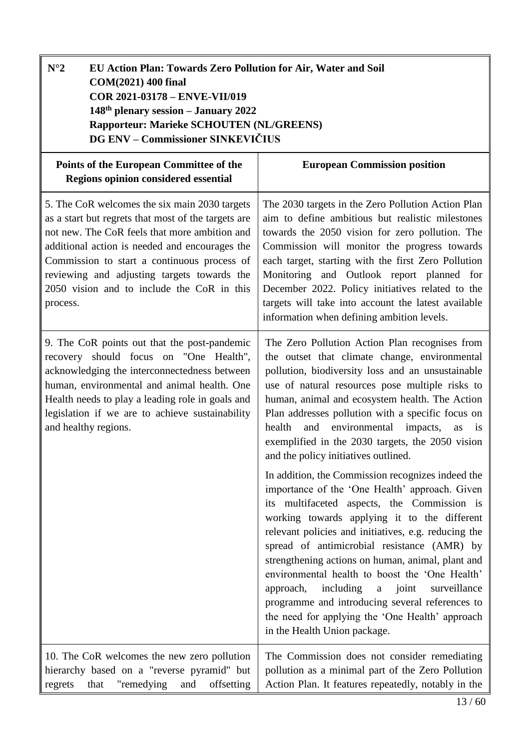<span id="page-12-0"></span>

| $N^{\circ}2$<br>EU Action Plan: Towards Zero Pollution for Air, Water and Soil<br>COM(2021) 400 final<br>COR 2021-03178 - ENVE-VII/019<br>148th plenary session - January 2022<br>Rapporteur: Marieke SCHOUTEN (NL/GREENS)<br>DG ENV - Commissioner SINKEVIČIUS                                                                                                 |                                                                                                                                                                                                                                                                                                                                                                                                                                                                                                                                                                                                                                                                                                                                                                                                                                                                                                                                                                                                                                                                               |
|-----------------------------------------------------------------------------------------------------------------------------------------------------------------------------------------------------------------------------------------------------------------------------------------------------------------------------------------------------------------|-------------------------------------------------------------------------------------------------------------------------------------------------------------------------------------------------------------------------------------------------------------------------------------------------------------------------------------------------------------------------------------------------------------------------------------------------------------------------------------------------------------------------------------------------------------------------------------------------------------------------------------------------------------------------------------------------------------------------------------------------------------------------------------------------------------------------------------------------------------------------------------------------------------------------------------------------------------------------------------------------------------------------------------------------------------------------------|
| Points of the European Committee of the<br>Regions opinion considered essential                                                                                                                                                                                                                                                                                 | <b>European Commission position</b>                                                                                                                                                                                                                                                                                                                                                                                                                                                                                                                                                                                                                                                                                                                                                                                                                                                                                                                                                                                                                                           |
| 5. The CoR welcomes the six main 2030 targets<br>as a start but regrets that most of the targets are<br>not new. The CoR feels that more ambition and<br>additional action is needed and encourages the<br>Commission to start a continuous process of<br>reviewing and adjusting targets towards the<br>2050 vision and to include the CoR in this<br>process. | The 2030 targets in the Zero Pollution Action Plan<br>aim to define ambitious but realistic milestones<br>towards the 2050 vision for zero pollution. The<br>Commission will monitor the progress towards<br>each target, starting with the first Zero Pollution<br>Monitoring and Outlook report planned for<br>December 2022. Policy initiatives related to the<br>targets will take into account the latest available<br>information when defining ambition levels.                                                                                                                                                                                                                                                                                                                                                                                                                                                                                                                                                                                                        |
| 9. The CoR points out that the post-pandemic<br>recovery should focus on "One Health",<br>acknowledging the interconnectedness between<br>human, environmental and animal health. One<br>Health needs to play a leading role in goals and<br>legislation if we are to achieve sustainability<br>and healthy regions.                                            | The Zero Pollution Action Plan recognises from<br>the outset that climate change, environmental<br>pollution, biodiversity loss and an unsustainable<br>use of natural resources pose multiple risks to<br>human, animal and ecosystem health. The Action<br>Plan addresses pollution with a specific focus on<br>and environmental impacts,<br>health<br>as is<br>exemplified in the 2030 targets, the 2050 vision<br>and the policy initiatives outlined.<br>In addition, the Commission recognizes indeed the<br>importance of the 'One Health' approach. Given<br>its multifaceted aspects, the Commission is<br>working towards applying it to the different<br>relevant policies and initiatives, e.g. reducing the<br>spread of antimicrobial resistance (AMR) by<br>strengthening actions on human, animal, plant and<br>environmental health to boost the 'One Health'<br>including<br>surveillance<br>approach,<br>joint<br>a<br>programme and introducing several references to<br>the need for applying the 'One Health' approach<br>in the Health Union package. |
| 10. The CoR welcomes the new zero pollution<br>hierarchy based on a "reverse pyramid" but<br>"remedying<br>and<br>offsetting<br>that<br>regrets                                                                                                                                                                                                                 | The Commission does not consider remediating<br>pollution as a minimal part of the Zero Pollution<br>Action Plan. It features repeatedly, notably in the                                                                                                                                                                                                                                                                                                                                                                                                                                                                                                                                                                                                                                                                                                                                                                                                                                                                                                                      |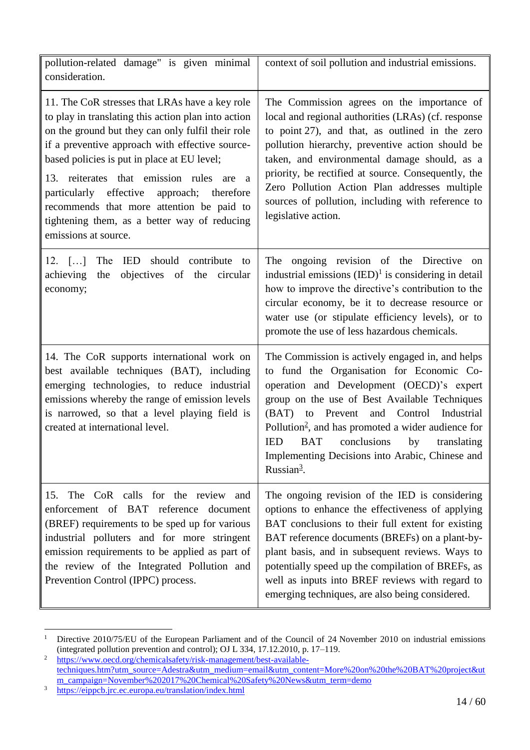| pollution-related damage" is given minimal<br>consideration.                                                                                                                                                                                                                                                                                                                                                                                                                                    | context of soil pollution and industrial emissions.                                                                                                                                                                                                                                                                                                                                                                                                      |
|-------------------------------------------------------------------------------------------------------------------------------------------------------------------------------------------------------------------------------------------------------------------------------------------------------------------------------------------------------------------------------------------------------------------------------------------------------------------------------------------------|----------------------------------------------------------------------------------------------------------------------------------------------------------------------------------------------------------------------------------------------------------------------------------------------------------------------------------------------------------------------------------------------------------------------------------------------------------|
| 11. The CoR stresses that LRAs have a key role<br>to play in translating this action plan into action<br>on the ground but they can only fulfil their role<br>if a preventive approach with effective source-<br>based policies is put in place at EU level;<br>13. reiterates that emission rules are<br><sub>a</sub><br>particularly effective<br>approach;<br>therefore<br>recommends that more attention be paid to<br>tightening them, as a better way of reducing<br>emissions at source. | The Commission agrees on the importance of<br>local and regional authorities (LRAs) (cf. response<br>to point 27), and that, as outlined in the zero<br>pollution hierarchy, preventive action should be<br>taken, and environmental damage should, as a<br>priority, be rectified at source. Consequently, the<br>Zero Pollution Action Plan addresses multiple<br>sources of pollution, including with reference to<br>legislative action.             |
| 12. $[\dots]$<br>The<br>IED should contribute to<br>objectives of the circular<br>achieving<br>the<br>economy;                                                                                                                                                                                                                                                                                                                                                                                  | The ongoing revision of the Directive<br>on<br>industrial emissions $(IED)^1$ is considering in detail<br>how to improve the directive's contribution to the<br>circular economy, be it to decrease resource or<br>water use (or stipulate efficiency levels), or to<br>promote the use of less hazardous chemicals.                                                                                                                                     |
| 14. The CoR supports international work on<br>best available techniques (BAT), including<br>emerging technologies, to reduce industrial<br>emissions whereby the range of emission levels<br>is narrowed, so that a level playing field is<br>created at international level.                                                                                                                                                                                                                   | The Commission is actively engaged in, and helps<br>to fund the Organisation for Economic Co-<br>operation and Development (OECD)'s expert<br>group on the use of Best Available Techniques<br>and Control Industrial<br>(BAT) to Prevent<br>Pollution <sup>2</sup> , and has promoted a wider audience for<br><b>IED</b><br><b>BAT</b><br>conclusions<br>by<br>translating<br>Implementing Decisions into Arabic, Chinese and<br>Russian <sup>3</sup> . |
| The CoR calls for the review and<br>15.<br>enforcement of BAT reference document<br>(BREF) requirements to be sped up for various<br>industrial polluters and for more stringent<br>emission requirements to be applied as part of<br>the review of the Integrated Pollution and<br>Prevention Control (IPPC) process.                                                                                                                                                                          | The ongoing revision of the IED is considering<br>options to enhance the effectiveness of applying<br>BAT conclusions to their full extent for existing<br>BAT reference documents (BREFs) on a plant-by-<br>plant basis, and in subsequent reviews. Ways to<br>potentially speed up the compilation of BREFs, as<br>well as inputs into BREF reviews with regard to<br>emerging techniques, are also being considered.                                  |

 $\,1$ Directive 2010/75/EU of the European Parliament and of the Council of 24 November 2010 on industrial emissions (integrated pollution prevention and control); OJ L 334, 17.12.2010, p. 17–119.

<sup>&</sup>lt;sup>2</sup> [https://www.oecd.org/chemicalsafety/risk-management/best-available](https://www.oecd.org/chemicalsafety/risk-management/best-available-techniques.htm?utm_source=Adestra&utm_medium=email&utm_content=More%20on%20the%20BAT%20project&utm_campaign=November%202017%20Chemical%20Safety%20News&utm_term=demo)[techniques.htm?utm\\_source=Adestra&utm\\_medium=email&utm\\_content=More%20on%20the%20BAT%20project&ut](https://www.oecd.org/chemicalsafety/risk-management/best-available-techniques.htm?utm_source=Adestra&utm_medium=email&utm_content=More%20on%20the%20BAT%20project&utm_campaign=November%202017%20Chemical%20Safety%20News&utm_term=demo) [m\\_campaign=November%202017%20Chemical%20Safety%20News&utm\\_term=demo](https://www.oecd.org/chemicalsafety/risk-management/best-available-techniques.htm?utm_source=Adestra&utm_medium=email&utm_content=More%20on%20the%20BAT%20project&utm_campaign=November%202017%20Chemical%20Safety%20News&utm_term=demo)

<sup>&</sup>lt;sup>3</sup> <https://eippcb.jrc.ec.europa.eu/translation/index.html>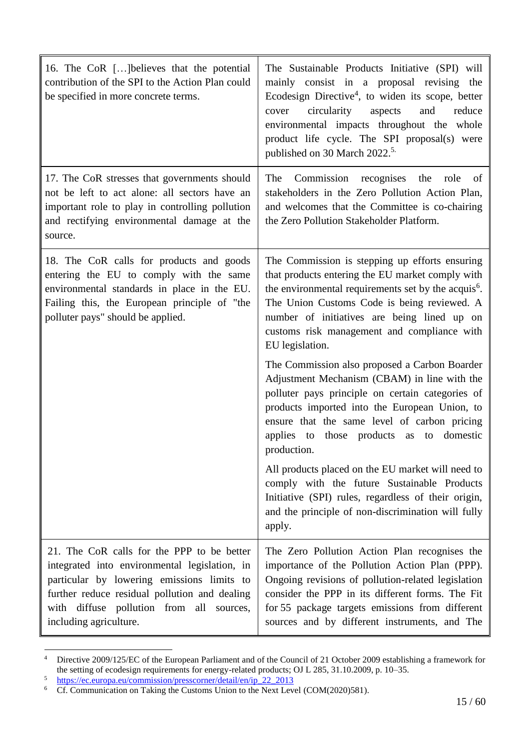| 16. The CoR [] believes that the potential<br>contribution of the SPI to the Action Plan could<br>be specified in more concrete terms.                                                                                                                           | The Sustainable Products Initiative (SPI) will<br>mainly consist in a proposal revising the<br>Ecodesign Directive <sup>4</sup> , to widen its scope, better<br>circularity<br>and<br>aspects<br>reduce<br>cover<br>environmental impacts throughout the whole<br>product life cycle. The SPI proposal(s) were<br>published on 30 March 2022. <sup>5.</sup> |
|------------------------------------------------------------------------------------------------------------------------------------------------------------------------------------------------------------------------------------------------------------------|-------------------------------------------------------------------------------------------------------------------------------------------------------------------------------------------------------------------------------------------------------------------------------------------------------------------------------------------------------------|
| 17. The CoR stresses that governments should<br>not be left to act alone: all sectors have an<br>important role to play in controlling pollution<br>and rectifying environmental damage at the<br>source.                                                        | The<br>Commission recognises the role<br>of<br>stakeholders in the Zero Pollution Action Plan,<br>and welcomes that the Committee is co-chairing<br>the Zero Pollution Stakeholder Platform.                                                                                                                                                                |
| 18. The CoR calls for products and goods<br>entering the EU to comply with the same<br>environmental standards in place in the EU.<br>Failing this, the European principle of "the<br>polluter pays" should be applied.                                          | The Commission is stepping up efforts ensuring<br>that products entering the EU market comply with<br>the environmental requirements set by the acquis <sup>6</sup> .<br>The Union Customs Code is being reviewed. A<br>number of initiatives are being lined up on<br>customs risk management and compliance with<br>EU legislation.                       |
|                                                                                                                                                                                                                                                                  | The Commission also proposed a Carbon Boarder<br>Adjustment Mechanism (CBAM) in line with the<br>polluter pays principle on certain categories of<br>products imported into the European Union, to<br>ensure that the same level of carbon pricing<br>applies to those products as to<br>domestic<br>production.                                            |
|                                                                                                                                                                                                                                                                  | All products placed on the EU market will need to<br>comply with the future Sustainable Products<br>Initiative (SPI) rules, regardless of their origin,<br>and the principle of non-discrimination will fully<br>apply.                                                                                                                                     |
| 21. The CoR calls for the PPP to be better<br>integrated into environmental legislation, in<br>particular by lowering emissions limits to<br>further reduce residual pollution and dealing<br>with diffuse pollution from all sources,<br>including agriculture. | The Zero Pollution Action Plan recognises the<br>importance of the Pollution Action Plan (PPP).<br>Ongoing revisions of pollution-related legislation<br>consider the PPP in its different forms. The Fit<br>for 55 package targets emissions from different<br>sources and by different instruments, and The                                               |

 $\overline{4}$ Directive 2009/125/EC of the European Parliament and of the Council of 21 October 2009 establishing a framework for the setting of ecodesign requirements for energy-related products; OJ L 285, 31.10.2009, p. 10–35.

<sup>5</sup> [https://ec.europa.eu/commission/presscorner/detail/en/ip\\_22\\_2013](https://ec.europa.eu/commission/presscorner/detail/en/ip_22_2013)

<sup>&</sup>lt;sup>6</sup> Cf. Communication on Taking the Customs Union to the Next Level (COM(2020)581).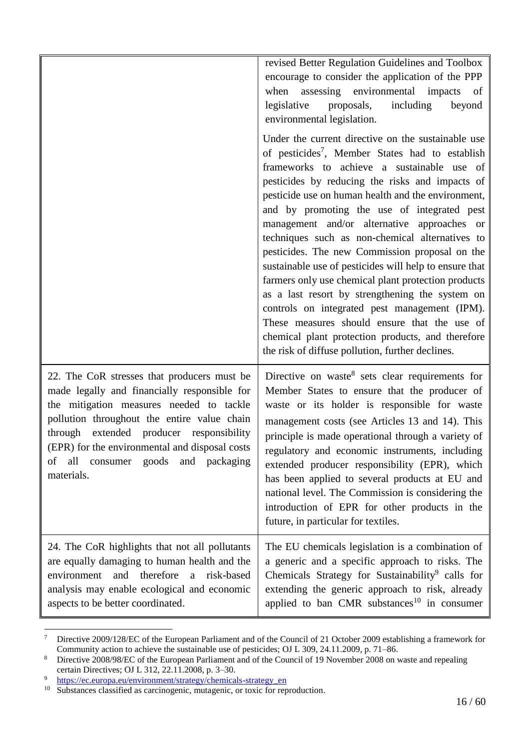|                                                                                                                                                                                                                                                                                                                                                 | revised Better Regulation Guidelines and Toolbox<br>encourage to consider the application of the PPP<br>assessing environmental<br>when<br>impacts<br>of<br>legislative<br>proposals,<br>including<br>beyond<br>environmental legislation.                                                                                                                                                                                                                                                                                                                                                                                                                                                                                                                                                                                                                |
|-------------------------------------------------------------------------------------------------------------------------------------------------------------------------------------------------------------------------------------------------------------------------------------------------------------------------------------------------|-----------------------------------------------------------------------------------------------------------------------------------------------------------------------------------------------------------------------------------------------------------------------------------------------------------------------------------------------------------------------------------------------------------------------------------------------------------------------------------------------------------------------------------------------------------------------------------------------------------------------------------------------------------------------------------------------------------------------------------------------------------------------------------------------------------------------------------------------------------|
|                                                                                                                                                                                                                                                                                                                                                 | Under the current directive on the sustainable use<br>of pesticides <sup>7</sup> , Member States had to establish<br>frameworks to achieve a sustainable use of<br>pesticides by reducing the risks and impacts of<br>pesticide use on human health and the environment,<br>and by promoting the use of integrated pest<br>management and/or alternative approaches or<br>techniques such as non-chemical alternatives to<br>pesticides. The new Commission proposal on the<br>sustainable use of pesticides will help to ensure that<br>farmers only use chemical plant protection products<br>as a last resort by strengthening the system on<br>controls on integrated pest management (IPM).<br>These measures should ensure that the use of<br>chemical plant protection products, and therefore<br>the risk of diffuse pollution, further declines. |
| 22. The CoR stresses that producers must be<br>made legally and financially responsible for<br>the mitigation measures needed to tackle<br>pollution throughout the entire value chain<br>through extended producer responsibility<br>(EPR) for the environmental and disposal costs<br>consumer goods and packaging<br>οf<br>all<br>materials. | Directive on waste <sup>8</sup> sets clear requirements for<br>Member States to ensure that the producer of<br>waste or its holder is responsible for waste<br>management costs (see Articles 13 and 14). This<br>principle is made operational through a variety of<br>regulatory and economic instruments, including<br>extended producer responsibility (EPR), which<br>has been applied to several products at EU and<br>national level. The Commission is considering the<br>introduction of EPR for other products in the<br>future, in particular for textiles.                                                                                                                                                                                                                                                                                    |
| 24. The CoR highlights that not all pollutants<br>are equally damaging to human health and the<br>therefore<br>risk-based<br>environment<br>and<br>a<br>analysis may enable ecological and economic<br>aspects to be better coordinated.                                                                                                        | The EU chemicals legislation is a combination of<br>a generic and a specific approach to risks. The<br>Chemicals Strategy for Sustainability <sup>9</sup> calls for<br>extending the generic approach to risk, already<br>applied to ban CMR substances <sup>10</sup> in consumer                                                                                                                                                                                                                                                                                                                                                                                                                                                                                                                                                                         |

 $\tau$ <sup>7</sup> Directive 2009/128/EC of the European Parliament and of the Council of 21 October 2009 establishing a framework for Community action to achieve the sustainable use of pesticides; OJ L 309, 24.11.2009, p. 71–86.

<sup>&</sup>lt;sup>8</sup> Directive 2008/98/EC of the European Parliament and of the Council of 19 November 2008 on waste and repealing certain Directives; OJ L 312, 22.11.2008, p. 3–30.

<sup>9</sup> [https://ec.europa.eu/environment/strategy/chemicals-strategy\\_en](https://ec.europa.eu/environment/strategy/chemicals-strategy_en)

<sup>&</sup>lt;sup>10</sup> Substances classified as carcinogenic, mutagenic, or toxic for reproduction.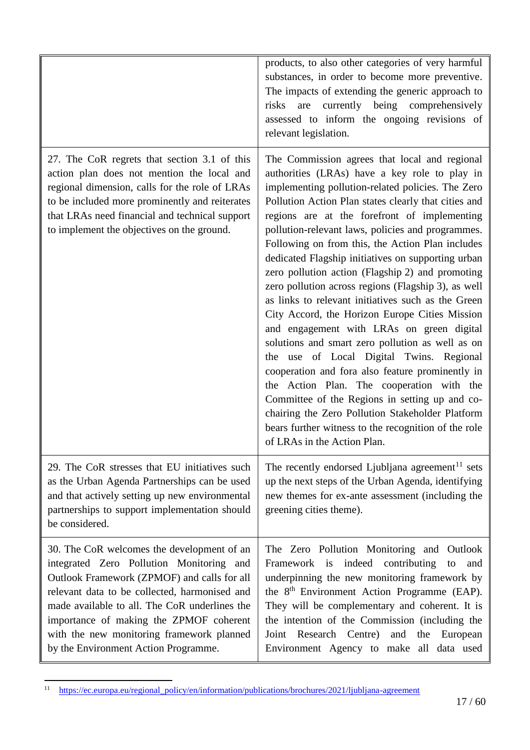|                                                                                                                                                                                                                                                                                                                                                                         | products, to also other categories of very harmful<br>substances, in order to become more preventive.<br>The impacts of extending the generic approach to<br>currently being comprehensively<br>risks<br>are<br>assessed to inform the ongoing revisions of<br>relevant legislation.                                                                                                                                                                                                                                                                                                                                                                                                                                                                                                                                                                                                                                                                                                                                                                                                     |
|-------------------------------------------------------------------------------------------------------------------------------------------------------------------------------------------------------------------------------------------------------------------------------------------------------------------------------------------------------------------------|------------------------------------------------------------------------------------------------------------------------------------------------------------------------------------------------------------------------------------------------------------------------------------------------------------------------------------------------------------------------------------------------------------------------------------------------------------------------------------------------------------------------------------------------------------------------------------------------------------------------------------------------------------------------------------------------------------------------------------------------------------------------------------------------------------------------------------------------------------------------------------------------------------------------------------------------------------------------------------------------------------------------------------------------------------------------------------------|
| 27. The CoR regrets that section 3.1 of this<br>action plan does not mention the local and<br>regional dimension, calls for the role of LRAs<br>to be included more prominently and reiterates<br>that LRAs need financial and technical support<br>to implement the objectives on the ground.                                                                          | The Commission agrees that local and regional<br>authorities (LRAs) have a key role to play in<br>implementing pollution-related policies. The Zero<br>Pollution Action Plan states clearly that cities and<br>regions are at the forefront of implementing<br>pollution-relevant laws, policies and programmes.<br>Following on from this, the Action Plan includes<br>dedicated Flagship initiatives on supporting urban<br>zero pollution action (Flagship 2) and promoting<br>zero pollution across regions (Flagship 3), as well<br>as links to relevant initiatives such as the Green<br>City Accord, the Horizon Europe Cities Mission<br>and engagement with LRAs on green digital<br>solutions and smart zero pollution as well as on<br>the use of Local Digital Twins. Regional<br>cooperation and fora also feature prominently in<br>the Action Plan. The cooperation with the<br>Committee of the Regions in setting up and co-<br>chairing the Zero Pollution Stakeholder Platform<br>bears further witness to the recognition of the role<br>of LRAs in the Action Plan. |
| 29. The CoR stresses that EU initiatives such<br>as the Urban Agenda Partnerships can be used<br>and that actively setting up new environmental<br>partnerships to support implementation should<br>be considered.                                                                                                                                                      | The recently endorsed Ljubljana agreement <sup>11</sup> sets<br>up the next steps of the Urban Agenda, identifying<br>new themes for ex-ante assessment (including the<br>greening cities theme).                                                                                                                                                                                                                                                                                                                                                                                                                                                                                                                                                                                                                                                                                                                                                                                                                                                                                        |
| 30. The CoR welcomes the development of an<br>integrated Zero Pollution Monitoring and<br>Outlook Framework (ZPMOF) and calls for all<br>relevant data to be collected, harmonised and<br>made available to all. The CoR underlines the<br>importance of making the ZPMOF coherent<br>with the new monitoring framework planned<br>by the Environment Action Programme. | The Zero Pollution Monitoring and Outlook<br>Framework is indeed contributing<br>to and<br>underpinning the new monitoring framework by<br>the 8 <sup>th</sup> Environment Action Programme (EAP).<br>They will be complementary and coherent. It is<br>the intention of the Commission (including the<br>Research Centre) and<br>Joint<br>the<br>European<br>Environment Agency to make all data used                                                                                                                                                                                                                                                                                                                                                                                                                                                                                                                                                                                                                                                                                   |

<sup>&</sup>lt;sup>11</sup> [https://ec.europa.eu/regional\\_policy/en/information/publications/brochures/2021/ljubljana-agreement](https://ec.europa.eu/regional_policy/en/information/publications/brochures/2021/ljubljana-agreement)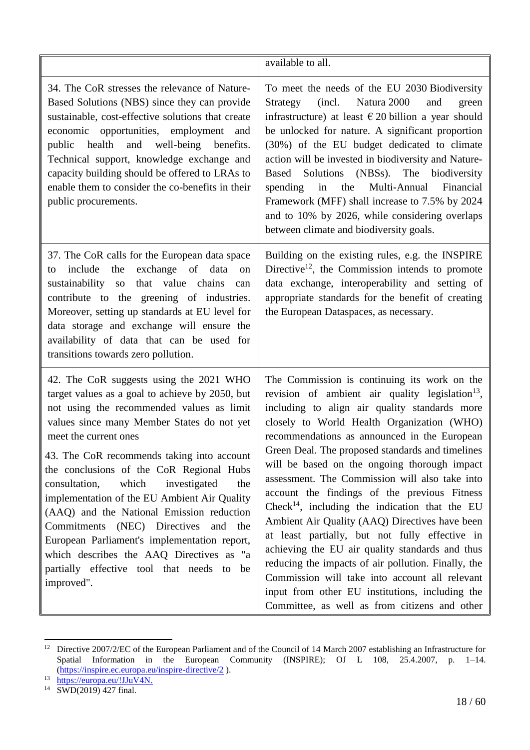|                                                                                                                                                                                                                                                                                                                                                                                                                                                                                                                                                                                                                                                                | available to all.                                                                                                                                                                                                                                                                                                                                                                                                                                                                                                                                                                                                                                                                                                                                                                                                                                                                                  |
|----------------------------------------------------------------------------------------------------------------------------------------------------------------------------------------------------------------------------------------------------------------------------------------------------------------------------------------------------------------------------------------------------------------------------------------------------------------------------------------------------------------------------------------------------------------------------------------------------------------------------------------------------------------|----------------------------------------------------------------------------------------------------------------------------------------------------------------------------------------------------------------------------------------------------------------------------------------------------------------------------------------------------------------------------------------------------------------------------------------------------------------------------------------------------------------------------------------------------------------------------------------------------------------------------------------------------------------------------------------------------------------------------------------------------------------------------------------------------------------------------------------------------------------------------------------------------|
| 34. The CoR stresses the relevance of Nature-<br>Based Solutions (NBS) since they can provide<br>sustainable, cost-effective solutions that create<br>economic opportunities, employment and<br>health and well-being benefits.<br>public<br>Technical support, knowledge exchange and<br>capacity building should be offered to LRAs to<br>enable them to consider the co-benefits in their<br>public procurements.                                                                                                                                                                                                                                           | To meet the needs of the EU 2030 Biodiversity<br>(incl. Natura 2000)<br>Strategy<br>and<br>green<br>infrastructure) at least $\epsilon$ 20 billion a year should<br>be unlocked for nature. A significant proportion<br>(30%) of the EU budget dedicated to climate<br>action will be invested in biodiversity and Nature-<br>Based Solutions (NBSs). The biodiversity<br>spending in<br>the<br>Multi-Annual Financial<br>Framework (MFF) shall increase to 7.5% by 2024<br>and to 10% by 2026, while considering overlaps<br>between climate and biodiversity goals.                                                                                                                                                                                                                                                                                                                              |
| 37. The CoR calls for the European data space<br>the<br>exchange of data<br>include<br>on<br>to<br>sustainability so that value chains<br>can<br>contribute to the greening of industries.<br>Moreover, setting up standards at EU level for<br>data storage and exchange will ensure the<br>availability of data that can be used for<br>transitions towards zero pollution.                                                                                                                                                                                                                                                                                  | Building on the existing rules, e.g. the INSPIRE<br>Directive <sup>12</sup> , the Commission intends to promote<br>data exchange, interoperability and setting of<br>appropriate standards for the benefit of creating<br>the European Dataspaces, as necessary.                                                                                                                                                                                                                                                                                                                                                                                                                                                                                                                                                                                                                                   |
| 42. The CoR suggests using the 2021 WHO<br>target values as a goal to achieve by 2050, but<br>not using the recommended values as limit<br>values since many Member States do not yet<br>meet the current ones<br>43. The CoR recommends taking into account<br>the conclusions of the CoR Regional Hubs<br>which<br>consultation,<br>investigated<br>the<br>implementation of the EU Ambient Air Quality<br>(AAQ) and the National Emission reduction<br>(NEC) Directives<br>Commitments<br>and<br>the<br>European Parliament's implementation report,<br>which describes the AAQ Directives as "a<br>partially effective tool that needs to be<br>improved". | The Commission is continuing its work on the<br>revision of ambient air quality legislation <sup>13</sup> ,<br>including to align air quality standards more<br>closely to World Health Organization (WHO)<br>recommendations as announced in the European<br>Green Deal. The proposed standards and timelines<br>will be based on the ongoing thorough impact<br>assessment. The Commission will also take into<br>account the findings of the previous Fitness<br>Check <sup>14</sup> , including the indication that the EU<br>Ambient Air Quality (AAQ) Directives have been<br>at least partially, but not fully effective in<br>achieving the EU air quality standards and thus<br>reducing the impacts of air pollution. Finally, the<br>Commission will take into account all relevant<br>input from other EU institutions, including the<br>Committee, as well as from citizens and other |

<sup>&</sup>lt;sup>12</sup> Directive 2007/2/EC of the European Parliament and of the Council of 14 March 2007 establishing an Infrastructure for Spatial Information in the European Community (INSPIRE); OJ L 108, 25.4.2007, p. 1–14. [\(https://inspire.ec.europa.eu/inspire-directive/2](https://inspire.ec.europa.eu/inspire-directive/2)).

<sup>13</sup> [https://europa.eu/!JJuV4N.](https://europa.eu/!JJuV4N)

<sup>14</sup> SWD(2019) 427 final.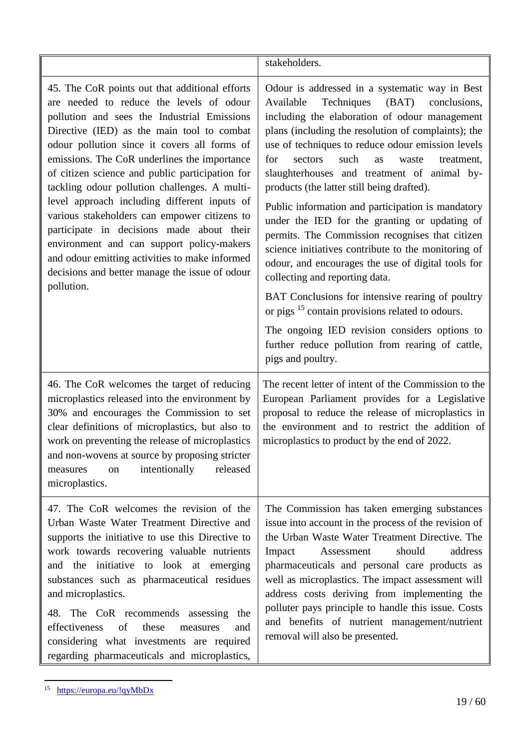|                                                                                                                                                                                                                                                                                                                                                                                                                                                                                                                                                                                                                                                                                                         | stakeholders.                                                                                                                                                                                                                                                                                                                                                                                                                                                                                                                                                                                                                                                                                                                                                                                                                                                                                                                                                            |
|---------------------------------------------------------------------------------------------------------------------------------------------------------------------------------------------------------------------------------------------------------------------------------------------------------------------------------------------------------------------------------------------------------------------------------------------------------------------------------------------------------------------------------------------------------------------------------------------------------------------------------------------------------------------------------------------------------|--------------------------------------------------------------------------------------------------------------------------------------------------------------------------------------------------------------------------------------------------------------------------------------------------------------------------------------------------------------------------------------------------------------------------------------------------------------------------------------------------------------------------------------------------------------------------------------------------------------------------------------------------------------------------------------------------------------------------------------------------------------------------------------------------------------------------------------------------------------------------------------------------------------------------------------------------------------------------|
| 45. The CoR points out that additional efforts<br>are needed to reduce the levels of odour<br>pollution and sees the Industrial Emissions<br>Directive (IED) as the main tool to combat<br>odour pollution since it covers all forms of<br>emissions. The CoR underlines the importance<br>of citizen science and public participation for<br>tackling odour pollution challenges. A multi-<br>level approach including different inputs of<br>various stakeholders can empower citizens to<br>participate in decisions made about their<br>environment and can support policy-makers<br>and odour emitting activities to make informed<br>decisions and better manage the issue of odour<br>pollution. | Odour is addressed in a systematic way in Best<br>Techniques<br>(BAT)<br>Available<br>conclusions,<br>including the elaboration of odour management<br>plans (including the resolution of complaints); the<br>use of techniques to reduce odour emission levels<br>for<br>such<br>sectors<br>waste<br>treatment,<br>as<br>slaughterhouses and treatment of animal by-<br>products (the latter still being drafted).<br>Public information and participation is mandatory<br>under the IED for the granting or updating of<br>permits. The Commission recognises that citizen<br>science initiatives contribute to the monitoring of<br>odour, and encourages the use of digital tools for<br>collecting and reporting data.<br>BAT Conclusions for intensive rearing of poultry<br>or pigs <sup>15</sup> contain provisions related to odours.<br>The ongoing IED revision considers options to<br>further reduce pollution from rearing of cattle,<br>pigs and poultry. |
| 46. The CoR welcomes the target of reducing<br>microplastics released into the environment by<br>30% and encourages the Commission to set<br>clear definitions of microplastics, but also to<br>work on preventing the release of microplastics<br>and non-wovens at source by proposing stricter<br>intentionally<br>released<br>measures<br>on<br>microplastics.                                                                                                                                                                                                                                                                                                                                      | The recent letter of intent of the Commission to the<br>European Parliament provides for a Legislative<br>proposal to reduce the release of microplastics in<br>the environment and to restrict the addition of<br>microplastics to product by the end of 2022.                                                                                                                                                                                                                                                                                                                                                                                                                                                                                                                                                                                                                                                                                                          |
| 47. The CoR welcomes the revision of the<br>Urban Waste Water Treatment Directive and<br>supports the initiative to use this Directive to<br>work towards recovering valuable nutrients<br>and the initiative to look at emerging<br>substances such as pharmaceutical residues<br>and microplastics.<br>The CoR recommends assessing<br>48.<br>the<br>of<br>these<br>effectiveness<br>measures<br>and<br>considering what investments are required<br>regarding pharmaceuticals and microplastics,                                                                                                                                                                                                     | The Commission has taken emerging substances<br>issue into account in the process of the revision of<br>the Urban Waste Water Treatment Directive. The<br>address<br>Impact<br>Assessment<br>should<br>pharmaceuticals and personal care products as<br>well as microplastics. The impact assessment will<br>address costs deriving from implementing the<br>polluter pays principle to handle this issue. Costs<br>and benefits of nutrient management/nutrient<br>removal will also be presented.                                                                                                                                                                                                                                                                                                                                                                                                                                                                      |

<sup>&</sup>lt;sup>15</sup> <https://europa.eu/!qyMbDx>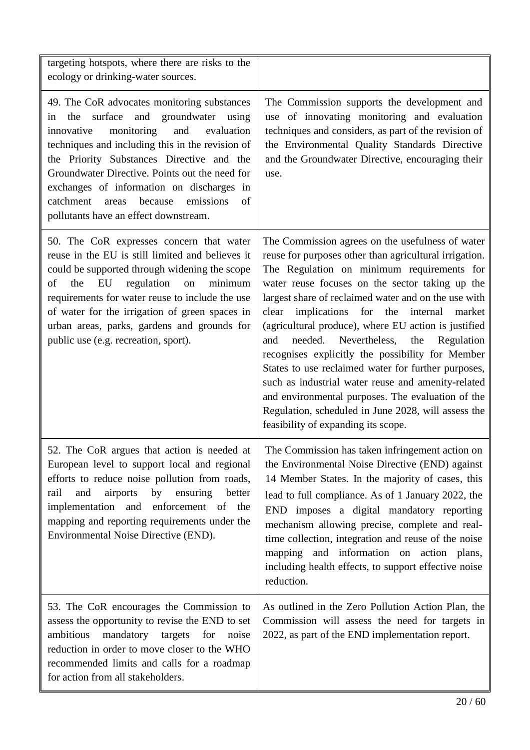| targeting hotspots, where there are risks to the<br>ecology or drinking-water sources.                                                                                                                                                                                                                                                                                                                                                     |                                                                                                                                                                                                                                                                                                                                                                                                                                                                                                                                                                                                                                                                                                                                                                   |
|--------------------------------------------------------------------------------------------------------------------------------------------------------------------------------------------------------------------------------------------------------------------------------------------------------------------------------------------------------------------------------------------------------------------------------------------|-------------------------------------------------------------------------------------------------------------------------------------------------------------------------------------------------------------------------------------------------------------------------------------------------------------------------------------------------------------------------------------------------------------------------------------------------------------------------------------------------------------------------------------------------------------------------------------------------------------------------------------------------------------------------------------------------------------------------------------------------------------------|
| 49. The CoR advocates monitoring substances<br>surface and groundwater<br>the<br>using<br>in<br>monitoring<br>and<br>innovative<br>evaluation<br>techniques and including this in the revision of<br>the Priority Substances Directive and the<br>Groundwater Directive. Points out the need for<br>exchanges of information on discharges in<br>emissions<br>catchment<br>because<br>areas<br>of<br>pollutants have an effect downstream. | The Commission supports the development and<br>use of innovating monitoring and evaluation<br>techniques and considers, as part of the revision of<br>the Environmental Quality Standards Directive<br>and the Groundwater Directive, encouraging their<br>use.                                                                                                                                                                                                                                                                                                                                                                                                                                                                                                   |
| 50. The CoR expresses concern that water<br>reuse in the EU is still limited and believes it<br>could be supported through widening the scope<br>EU<br>regulation<br>minimum<br>the<br>on<br>οf<br>requirements for water reuse to include the use<br>of water for the irrigation of green spaces in<br>urban areas, parks, gardens and grounds for<br>public use (e.g. recreation, sport).                                                | The Commission agrees on the usefulness of water<br>reuse for purposes other than agricultural irrigation.<br>The Regulation on minimum requirements for<br>water reuse focuses on the sector taking up the<br>largest share of reclaimed water and on the use with<br>implications for<br>the<br>internal<br>clear<br>market<br>(agricultural produce), where EU action is justified<br>needed.<br>Nevertheless,<br>the<br>Regulation<br>and<br>recognises explicitly the possibility for Member<br>States to use reclaimed water for further purposes,<br>such as industrial water reuse and amenity-related<br>and environmental purposes. The evaluation of the<br>Regulation, scheduled in June 2028, will assess the<br>feasibility of expanding its scope. |
| 52. The CoR argues that action is needed at<br>European level to support local and regional<br>efforts to reduce noise pollution from roads,<br>and<br>airports<br>by<br>ensuring<br>better<br>rail<br>implementation and enforcement of the<br>mapping and reporting requirements under the<br>Environmental Noise Directive (END).                                                                                                       | The Commission has taken infringement action on<br>the Environmental Noise Directive (END) against<br>14 Member States. In the majority of cases, this<br>lead to full compliance. As of 1 January 2022, the<br>END imposes a digital mandatory reporting<br>mechanism allowing precise, complete and real-<br>time collection, integration and reuse of the noise<br>mapping and information on action plans,<br>including health effects, to support effective noise<br>reduction.                                                                                                                                                                                                                                                                              |
| 53. The CoR encourages the Commission to<br>assess the opportunity to revise the END to set<br>ambitious<br>mandatory targets for noise<br>reduction in order to move closer to the WHO<br>recommended limits and calls for a roadmap<br>for action from all stakeholders.                                                                                                                                                                 | As outlined in the Zero Pollution Action Plan, the<br>Commission will assess the need for targets in<br>2022, as part of the END implementation report.                                                                                                                                                                                                                                                                                                                                                                                                                                                                                                                                                                                                           |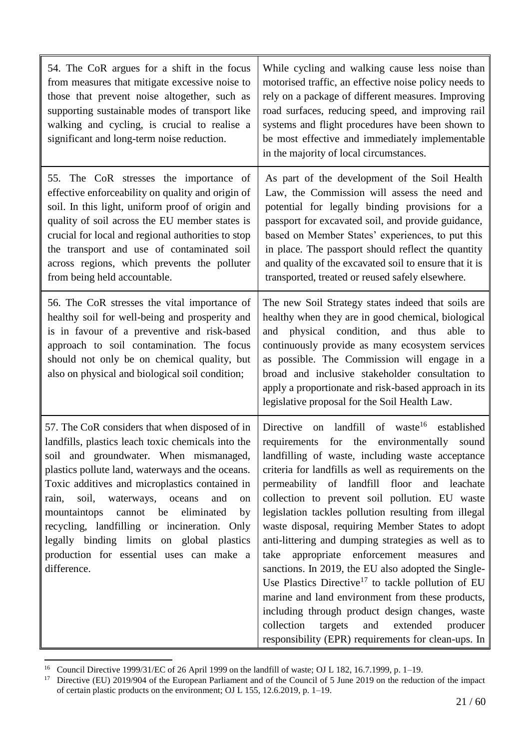| 54. The CoR argues for a shift in the focus<br>from measures that mitigate excessive noise to<br>those that prevent noise altogether, such as<br>supporting sustainable modes of transport like<br>walking and cycling, is crucial to realise a<br>significant and long-term noise reduction.                                                                                                                                                                                                                     | While cycling and walking cause less noise than<br>motorised traffic, an effective noise policy needs to<br>rely on a package of different measures. Improving<br>road surfaces, reducing speed, and improving rail<br>systems and flight procedures have been shown to<br>be most effective and immediately implementable<br>in the majority of local circumstances.                                                                                                                                                                                                                                                                                                                                                                                                                                                                                                                                          |
|-------------------------------------------------------------------------------------------------------------------------------------------------------------------------------------------------------------------------------------------------------------------------------------------------------------------------------------------------------------------------------------------------------------------------------------------------------------------------------------------------------------------|----------------------------------------------------------------------------------------------------------------------------------------------------------------------------------------------------------------------------------------------------------------------------------------------------------------------------------------------------------------------------------------------------------------------------------------------------------------------------------------------------------------------------------------------------------------------------------------------------------------------------------------------------------------------------------------------------------------------------------------------------------------------------------------------------------------------------------------------------------------------------------------------------------------|
| 55. The CoR stresses the importance of<br>effective enforceability on quality and origin of<br>soil. In this light, uniform proof of origin and<br>quality of soil across the EU member states is<br>crucial for local and regional authorities to stop<br>the transport and use of contaminated soil<br>across regions, which prevents the polluter<br>from being held accountable.                                                                                                                              | As part of the development of the Soil Health<br>Law, the Commission will assess the need and<br>potential for legally binding provisions for a<br>passport for excavated soil, and provide guidance,<br>based on Member States' experiences, to put this<br>in place. The passport should reflect the quantity<br>and quality of the excavated soil to ensure that it is<br>transported, treated or reused safely elsewhere.                                                                                                                                                                                                                                                                                                                                                                                                                                                                                  |
| 56. The CoR stresses the vital importance of<br>healthy soil for well-being and prosperity and<br>is in favour of a preventive and risk-based<br>approach to soil contamination. The focus<br>should not only be on chemical quality, but<br>also on physical and biological soil condition;                                                                                                                                                                                                                      | The new Soil Strategy states indeed that soils are<br>healthy when they are in good chemical, biological<br>and physical condition, and thus<br>able to<br>continuously provide as many ecosystem services<br>as possible. The Commission will engage in a<br>broad and inclusive stakeholder consultation to<br>apply a proportionate and risk-based approach in its<br>legislative proposal for the Soil Health Law.                                                                                                                                                                                                                                                                                                                                                                                                                                                                                         |
| 57. The CoR considers that when disposed of in<br>landfills, plastics leach toxic chemicals into the<br>soil and groundwater. When mismanaged,<br>plastics pollute land, waterways and the oceans.<br>Toxic additives and microplastics contained in<br>soil, waterways, oceans<br>and<br>rain,<br>on<br>eliminated<br>mountaintops<br>cannot<br>be<br>by<br>recycling, landfilling or incineration. Only<br>legally binding limits on global plastics<br>production for essential uses can make a<br>difference. | of waste <sup>16</sup><br>on landfill<br>established<br>Directive<br>for the environmentally<br>requirements<br>sound<br>landfilling of waste, including waste acceptance<br>criteria for landfills as well as requirements on the<br>permeability of landfill floor and leachate<br>collection to prevent soil pollution. EU waste<br>legislation tackles pollution resulting from illegal<br>waste disposal, requiring Member States to adopt<br>anti-littering and dumping strategies as well as to<br>enforcement<br>appropriate<br>take<br>measures<br>and<br>sanctions. In 2019, the EU also adopted the Single-<br>Use Plastics Directive <sup>17</sup> to tackle pollution of EU<br>marine and land environment from these products,<br>including through product design changes, waste<br>collection<br>targets<br>and<br>extended<br>producer<br>responsibility (EPR) requirements for clean-ups. In |

 $\ddot{\phantom{a}}$ <sup>16</sup> Council Directive 1999/31/EC of 26 April 1999 on the landfill of waste; OJ L 182, 16.7.1999, p. 1–19.

<sup>&</sup>lt;sup>17</sup> Directive (EU) 2019/904 of the European Parliament and of the Council of 5 June 2019 on the reduction of the impact of certain plastic products on the environment; OJ L 155, 12.6.2019, p. 1–19.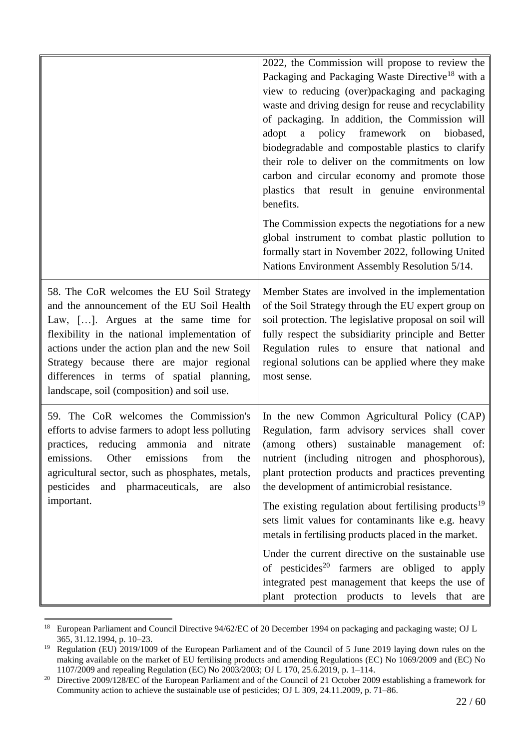|                                                                                                                                                                                                                                                                                                                                                                             | 2022, the Commission will propose to review the<br>Packaging and Packaging Waste Directive <sup>18</sup> with a<br>view to reducing (over)packaging and packaging<br>waste and driving design for reuse and recyclability<br>of packaging. In addition, the Commission will<br>policy framework on<br>adopt<br>biobased,<br>$\mathbf{a}$<br>biodegradable and compostable plastics to clarify<br>their role to deliver on the commitments on low<br>carbon and circular economy and promote those<br>plastics that result in genuine environmental<br>benefits. |
|-----------------------------------------------------------------------------------------------------------------------------------------------------------------------------------------------------------------------------------------------------------------------------------------------------------------------------------------------------------------------------|-----------------------------------------------------------------------------------------------------------------------------------------------------------------------------------------------------------------------------------------------------------------------------------------------------------------------------------------------------------------------------------------------------------------------------------------------------------------------------------------------------------------------------------------------------------------|
|                                                                                                                                                                                                                                                                                                                                                                             | The Commission expects the negotiations for a new<br>global instrument to combat plastic pollution to<br>formally start in November 2022, following United<br>Nations Environment Assembly Resolution 5/14.                                                                                                                                                                                                                                                                                                                                                     |
| 58. The CoR welcomes the EU Soil Strategy<br>and the announcement of the EU Soil Health<br>Law, []. Argues at the same time for<br>flexibility in the national implementation of<br>actions under the action plan and the new Soil<br>Strategy because there are major regional<br>differences in terms of spatial planning,<br>landscape, soil (composition) and soil use. | Member States are involved in the implementation<br>of the Soil Strategy through the EU expert group on<br>soil protection. The legislative proposal on soil will<br>fully respect the subsidiarity principle and Better<br>Regulation rules to ensure that national and<br>regional solutions can be applied where they make<br>most sense.                                                                                                                                                                                                                    |
| 59. The CoR welcomes the Commission's<br>efforts to advise farmers to adopt less polluting<br>practices, reducing ammonia and nitrate<br>Other<br>emissions<br>emissions.<br>from<br>the<br>agricultural sector, such as phosphates, metals,<br>and pharmaceuticals, are<br>pesticides<br>also                                                                              | In the new Common Agricultural Policy (CAP)<br>Regulation, farm advisory services shall cover<br>(among others)<br>sustainable<br>management<br>of:<br>nutrient (including nitrogen and phosphorous),<br>plant protection products and practices preventing<br>the development of antimicrobial resistance.                                                                                                                                                                                                                                                     |
| important.                                                                                                                                                                                                                                                                                                                                                                  | The existing regulation about fertilising products <sup>19</sup><br>sets limit values for contaminants like e.g. heavy<br>metals in fertilising products placed in the market.                                                                                                                                                                                                                                                                                                                                                                                  |
|                                                                                                                                                                                                                                                                                                                                                                             | Under the current directive on the sustainable use<br>of pesticides <sup>20</sup> farmers are obliged to apply<br>integrated pest management that keeps the use of<br>plant protection products to levels that are                                                                                                                                                                                                                                                                                                                                              |

<sup>18</sup> <sup>18</sup> European Parliament and Council Directive 94/62/EC of 20 December 1994 on packaging and packaging waste; OJ L 365, 31.12.1994, p. 10–23.

<sup>&</sup>lt;sup>19</sup> Regulation (EU) 2019/1009 of the European Parliament and of the Council of 5 June 2019 laying down rules on the making available on the market of EU fertilising products and amending Regulations (EC) No 1069/2009 and (EC) No 1107/2009 and repealing Regulation (EC) No 2003/2003; OJ L 170, 25.6.2019, p. 1–114.

<sup>&</sup>lt;sup>20</sup> Directive 2009/128/EC of the European Parliament and of the Council of 21 October 2009 establishing a framework for Community action to achieve the sustainable use of pesticides; OJ L 309, 24.11.2009, p. 71–86.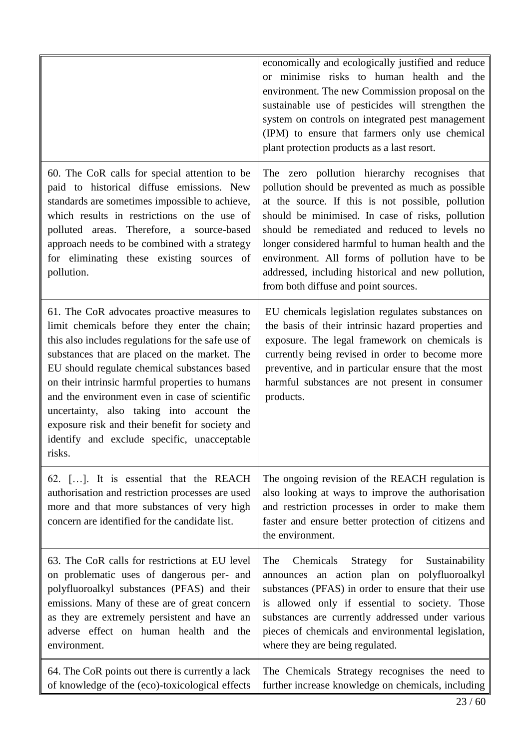|                                                                                                                                                                                                                                                                                                                                                                                                                                                                                                                  | economically and ecologically justified and reduce<br>or minimise risks to human health and the<br>environment. The new Commission proposal on the<br>sustainable use of pesticides will strengthen the<br>system on controls on integrated pest management<br>(IPM) to ensure that farmers only use chemical<br>plant protection products as a last resort.                                                                                                     |
|------------------------------------------------------------------------------------------------------------------------------------------------------------------------------------------------------------------------------------------------------------------------------------------------------------------------------------------------------------------------------------------------------------------------------------------------------------------------------------------------------------------|------------------------------------------------------------------------------------------------------------------------------------------------------------------------------------------------------------------------------------------------------------------------------------------------------------------------------------------------------------------------------------------------------------------------------------------------------------------|
| 60. The CoR calls for special attention to be<br>paid to historical diffuse emissions. New<br>standards are sometimes impossible to achieve,<br>which results in restrictions on the use of<br>polluted areas. Therefore, a source-based<br>approach needs to be combined with a strategy<br>for eliminating these existing sources of<br>pollution.                                                                                                                                                             | The zero pollution hierarchy recognises that<br>pollution should be prevented as much as possible<br>at the source. If this is not possible, pollution<br>should be minimised. In case of risks, pollution<br>should be remediated and reduced to levels no<br>longer considered harmful to human health and the<br>environment. All forms of pollution have to be<br>addressed, including historical and new pollution,<br>from both diffuse and point sources. |
| 61. The CoR advocates proactive measures to<br>limit chemicals before they enter the chain;<br>this also includes regulations for the safe use of<br>substances that are placed on the market. The<br>EU should regulate chemical substances based<br>on their intrinsic harmful properties to humans<br>and the environment even in case of scientific<br>uncertainty, also taking into account the<br>exposure risk and their benefit for society and<br>identify and exclude specific, unacceptable<br>risks. | EU chemicals legislation regulates substances on<br>the basis of their intrinsic hazard properties and<br>exposure. The legal framework on chemicals is<br>currently being revised in order to become more<br>preventive, and in particular ensure that the most<br>harmful substances are not present in consumer<br>products.                                                                                                                                  |
| 62. []. It is essential that the REACH<br>authorisation and restriction processes are used<br>more and that more substances of very high<br>concern are identified for the candidate list.                                                                                                                                                                                                                                                                                                                       | The ongoing revision of the REACH regulation is<br>also looking at ways to improve the authorisation<br>and restriction processes in order to make them<br>faster and ensure better protection of citizens and<br>the environment.                                                                                                                                                                                                                               |
| 63. The CoR calls for restrictions at EU level<br>on problematic uses of dangerous per- and<br>polyfluoroalkyl substances (PFAS) and their<br>emissions. Many of these are of great concern<br>as they are extremely persistent and have an<br>adverse effect on human health and the<br>environment.                                                                                                                                                                                                            | Chemicals<br>Strategy<br>Sustainability<br>The<br>for<br>announces an action plan on polyfluoroalkyl<br>substances (PFAS) in order to ensure that their use<br>is allowed only if essential to society. Those<br>substances are currently addressed under various<br>pieces of chemicals and environmental legislation,<br>where they are being regulated.                                                                                                       |
| 64. The CoR points out there is currently a lack<br>of knowledge of the (eco)-toxicological effects                                                                                                                                                                                                                                                                                                                                                                                                              | The Chemicals Strategy recognises the need to<br>further increase knowledge on chemicals, including                                                                                                                                                                                                                                                                                                                                                              |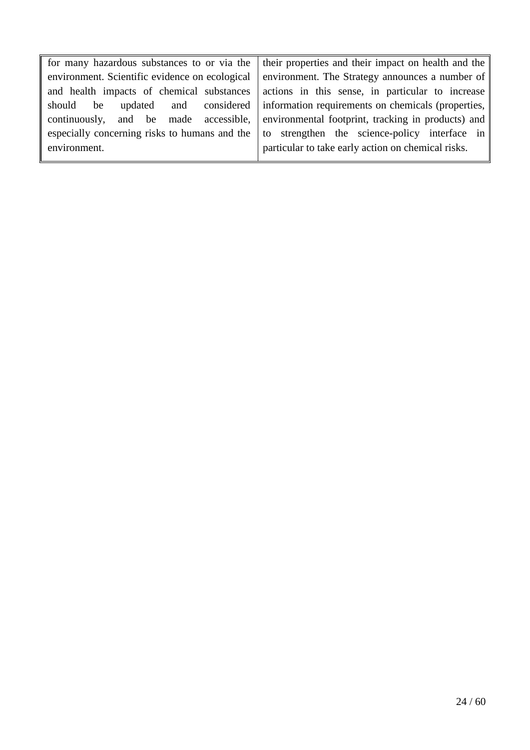|                                                | for many hazardous substances to or via the   their properties and their impact on health and the $\parallel$ |
|------------------------------------------------|---------------------------------------------------------------------------------------------------------------|
| environment. Scientific evidence on ecological | environment. The Strategy announces a number of $\parallel$                                                   |
| and health impacts of chemical substances      | actions in this sense, in particular to increase                                                              |
| should<br>be                                   | updated and considered information requirements on chemicals (properties,                                     |
|                                                | continuously, and be made accessible, environmental footprint, tracking in products) and                      |
|                                                | especially concerning risks to humans and the $\vert$ to strengthen the science-policy interface in           |
| environment.                                   | particular to take early action on chemical risks.                                                            |
|                                                |                                                                                                               |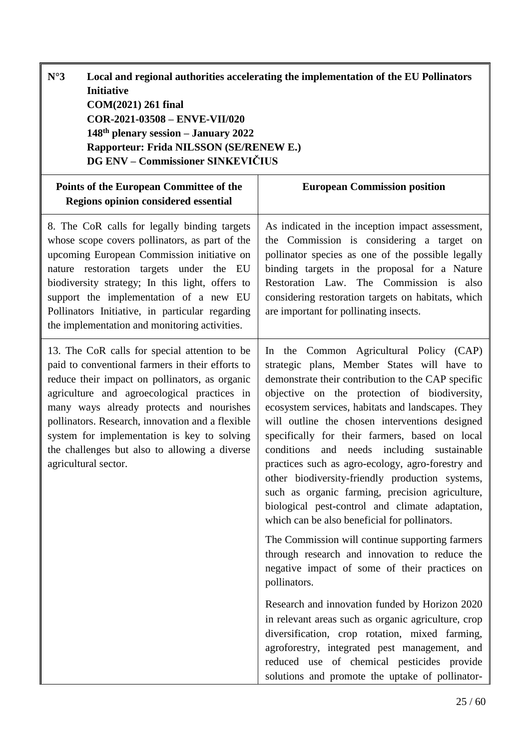<span id="page-24-0"></span>

| $N^{\circ}3$<br><b>Initiative</b><br>COM(2021) 261 final<br>COR-2021-03508 - ENVE-VII/020<br>148 <sup>th</sup> plenary session - January 2022<br>Rapporteur: Frida NILSSON (SE/RENEW E.)<br><b>DG ENV – Commissioner SINKEVIČIUS</b>                                                                                                                                                                                       | Local and regional authorities accelerating the implementation of the EU Pollinators                                                                                                                                                                                                                                                                                                                                                                                                                                                                                                                                                                                                                                                                                                                                                             |
|----------------------------------------------------------------------------------------------------------------------------------------------------------------------------------------------------------------------------------------------------------------------------------------------------------------------------------------------------------------------------------------------------------------------------|--------------------------------------------------------------------------------------------------------------------------------------------------------------------------------------------------------------------------------------------------------------------------------------------------------------------------------------------------------------------------------------------------------------------------------------------------------------------------------------------------------------------------------------------------------------------------------------------------------------------------------------------------------------------------------------------------------------------------------------------------------------------------------------------------------------------------------------------------|
| Points of the European Committee of the<br>Regions opinion considered essential                                                                                                                                                                                                                                                                                                                                            | <b>European Commission position</b>                                                                                                                                                                                                                                                                                                                                                                                                                                                                                                                                                                                                                                                                                                                                                                                                              |
| 8. The CoR calls for legally binding targets<br>whose scope covers pollinators, as part of the<br>upcoming European Commission initiative on<br>nature restoration targets under the EU<br>biodiversity strategy; In this light, offers to<br>support the implementation of a new EU<br>Pollinators Initiative, in particular regarding<br>the implementation and monitoring activities.                                   | As indicated in the inception impact assessment,<br>the Commission is considering a target on<br>pollinator species as one of the possible legally<br>binding targets in the proposal for a Nature<br>Restoration Law. The Commission is<br>also<br>considering restoration targets on habitats, which<br>are important for pollinating insects.                                                                                                                                                                                                                                                                                                                                                                                                                                                                                                 |
| 13. The CoR calls for special attention to be<br>paid to conventional farmers in their efforts to<br>reduce their impact on pollinators, as organic<br>agriculture and agroecological practices in<br>many ways already protects and nourishes<br>pollinators. Research, innovation and a flexible<br>system for implementation is key to solving<br>the challenges but also to allowing a diverse<br>agricultural sector. | the Common Agricultural Policy (CAP)<br>$\ln$<br>strategic plans, Member States will have to<br>demonstrate their contribution to the CAP specific<br>objective on the protection of biodiversity,<br>ecosystem services, habitats and landscapes. They<br>will outline the chosen interventions designed<br>specifically for their farmers, based on local<br>and needs including sustainable<br>conditions<br>practices such as agro-ecology, agro-forestry and<br>other biodiversity-friendly production systems,<br>such as organic farming, precision agriculture,<br>biological pest-control and climate adaptation,<br>which can be also beneficial for pollinators.<br>The Commission will continue supporting farmers<br>through research and innovation to reduce the<br>negative impact of some of their practices on<br>pollinators. |
|                                                                                                                                                                                                                                                                                                                                                                                                                            | Research and innovation funded by Horizon 2020<br>in relevant areas such as organic agriculture, crop<br>diversification, crop rotation, mixed farming,<br>agroforestry, integrated pest management, and<br>reduced use of chemical pesticides provide<br>solutions and promote the uptake of pollinator-                                                                                                                                                                                                                                                                                                                                                                                                                                                                                                                                        |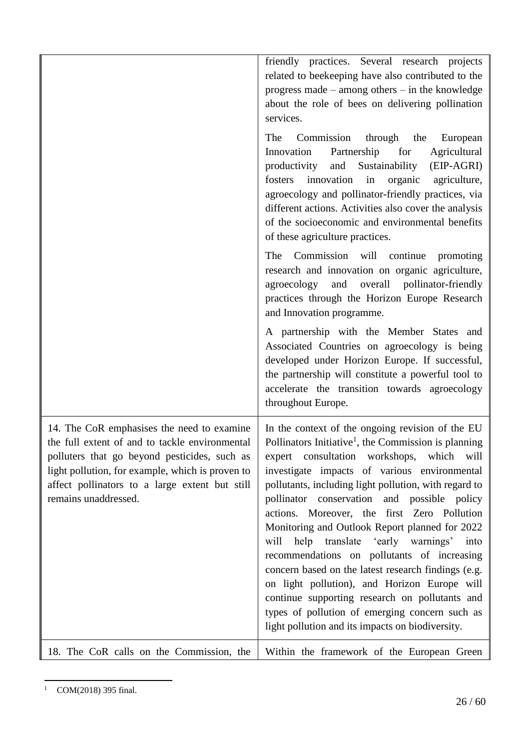|                                                                                                                                                                                                                                                                            | friendly practices. Several research projects<br>related to beekeeping have also contributed to the<br>progress made $-$ among others $-$ in the knowledge<br>about the role of bees on delivering pollination<br>services.                                                                                                                                                                                                                                                                                                                                                                                                                                                                                                                                                                 |
|----------------------------------------------------------------------------------------------------------------------------------------------------------------------------------------------------------------------------------------------------------------------------|---------------------------------------------------------------------------------------------------------------------------------------------------------------------------------------------------------------------------------------------------------------------------------------------------------------------------------------------------------------------------------------------------------------------------------------------------------------------------------------------------------------------------------------------------------------------------------------------------------------------------------------------------------------------------------------------------------------------------------------------------------------------------------------------|
|                                                                                                                                                                                                                                                                            | The<br>Commission<br>through the<br>European<br>Partnership<br>for<br>Agricultural<br>Innovation<br>Sustainability<br>productivity<br>and<br>(EIP-AGRI)<br>innovation<br>in<br>organic<br>agriculture,<br>fosters<br>agroecology and pollinator-friendly practices, via<br>different actions. Activities also cover the analysis<br>of the socioeconomic and environmental benefits<br>of these agriculture practices.                                                                                                                                                                                                                                                                                                                                                                      |
|                                                                                                                                                                                                                                                                            | The Commission will continue<br>promoting<br>research and innovation on organic agriculture,<br>and overall pollinator-friendly<br>agroecology<br>practices through the Horizon Europe Research<br>and Innovation programme.                                                                                                                                                                                                                                                                                                                                                                                                                                                                                                                                                                |
|                                                                                                                                                                                                                                                                            | A partnership with the Member States and<br>Associated Countries on agroecology is being<br>developed under Horizon Europe. If successful,<br>the partnership will constitute a powerful tool to<br>accelerate the transition towards agroecology<br>throughout Europe.                                                                                                                                                                                                                                                                                                                                                                                                                                                                                                                     |
| 14. The CoR emphasises the need to examine<br>the full extent of and to tackle environmental<br>polluters that go beyond pesticides, such as<br>light pollution, for example, which is proven to<br>affect pollinators to a large extent but still<br>remains unaddressed. | In the context of the ongoing revision of the EU<br>Pollinators Initiative <sup>1</sup> , the Commission is planning<br>expert consultation workshops, which<br>will<br>investigate impacts of various environmental<br>pollutants, including light pollution, with regard to<br>pollinator conservation and possible policy<br>actions. Moreover, the first Zero Pollution<br>Monitoring and Outlook Report planned for 2022<br>will help translate 'early warnings'<br>into<br>recommendations on pollutants of increasing<br>concern based on the latest research findings (e.g.<br>on light pollution), and Horizon Europe will<br>continue supporting research on pollutants and<br>types of pollution of emerging concern such as<br>light pollution and its impacts on biodiversity. |
| 18. The CoR calls on the Commission, the                                                                                                                                                                                                                                   | Within the framework of the European Green                                                                                                                                                                                                                                                                                                                                                                                                                                                                                                                                                                                                                                                                                                                                                  |

 $\overline{a}$  $1$  COM(2018) 395 final.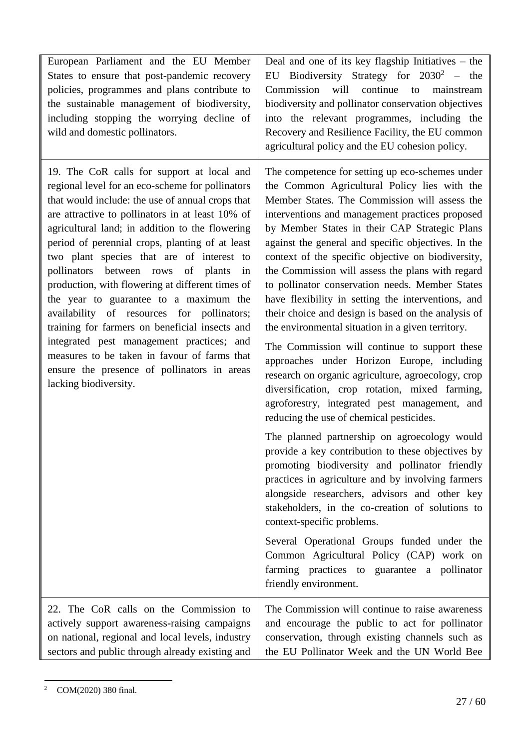| European Parliament and the EU Member<br>States to ensure that post-pandemic recovery<br>policies, programmes and plans contribute to<br>the sustainable management of biodiversity,<br>including stopping the worrying decline of<br>wild and domestic pollinators.                                                                                                                                                                                                                                                                                                                                                                                                                                                                                                        | Deal and one of its key flagship Initiatives - the<br>EU Biodiversity Strategy for $2030^2$ – the<br>continue<br>will<br>Commission<br>to mainstream<br>biodiversity and pollinator conservation objectives<br>into the relevant programmes, including the<br>Recovery and Resilience Facility, the EU common<br>agricultural policy and the EU cohesion policy.                                                                                                                                                                                                                                                                                                                                                                                                                                                                                                                                                                                                                                                                                                                                                                                                                                                                                                                                                                                                                                                                                                 |
|-----------------------------------------------------------------------------------------------------------------------------------------------------------------------------------------------------------------------------------------------------------------------------------------------------------------------------------------------------------------------------------------------------------------------------------------------------------------------------------------------------------------------------------------------------------------------------------------------------------------------------------------------------------------------------------------------------------------------------------------------------------------------------|------------------------------------------------------------------------------------------------------------------------------------------------------------------------------------------------------------------------------------------------------------------------------------------------------------------------------------------------------------------------------------------------------------------------------------------------------------------------------------------------------------------------------------------------------------------------------------------------------------------------------------------------------------------------------------------------------------------------------------------------------------------------------------------------------------------------------------------------------------------------------------------------------------------------------------------------------------------------------------------------------------------------------------------------------------------------------------------------------------------------------------------------------------------------------------------------------------------------------------------------------------------------------------------------------------------------------------------------------------------------------------------------------------------------------------------------------------------|
| 19. The CoR calls for support at local and<br>regional level for an eco-scheme for pollinators<br>that would include: the use of annual crops that<br>are attractive to pollinators in at least 10% of<br>agricultural land; in addition to the flowering<br>period of perennial crops, planting of at least<br>two plant species that are of interest to<br>between rows of plants<br>pollinators<br>in<br>production, with flowering at different times of<br>the year to guarantee to a maximum the<br>availability of resources for pollinators;<br>training for farmers on beneficial insects and<br>integrated pest management practices; and<br>measures to be taken in favour of farms that<br>ensure the presence of pollinators in areas<br>lacking biodiversity. | The competence for setting up eco-schemes under<br>the Common Agricultural Policy lies with the<br>Member States. The Commission will assess the<br>interventions and management practices proposed<br>by Member States in their CAP Strategic Plans<br>against the general and specific objectives. In the<br>context of the specific objective on biodiversity,<br>the Commission will assess the plans with regard<br>to pollinator conservation needs. Member States<br>have flexibility in setting the interventions, and<br>their choice and design is based on the analysis of<br>the environmental situation in a given territory.<br>The Commission will continue to support these<br>approaches under Horizon Europe, including<br>research on organic agriculture, agroecology, crop<br>diversification, crop rotation, mixed farming,<br>agroforestry, integrated pest management, and<br>reducing the use of chemical pesticides.<br>The planned partnership on agroecology would<br>provide a key contribution to these objectives by<br>promoting biodiversity and pollinator friendly<br>practices in agriculture and by involving farmers<br>alongside researchers, advisors and other key<br>stakeholders, in the co-creation of solutions to<br>context-specific problems.<br>Several Operational Groups funded under the<br>Common Agricultural Policy (CAP) work on<br>farming practices to guarantee a pollinator<br>friendly environment. |
| 22. The CoR calls on the Commission to<br>actively support awareness-raising campaigns<br>on national, regional and local levels, industry<br>sectors and public through already existing and                                                                                                                                                                                                                                                                                                                                                                                                                                                                                                                                                                               | The Commission will continue to raise awareness<br>and encourage the public to act for pollinator<br>conservation, through existing channels such as<br>the EU Pollinator Week and the UN World Bee                                                                                                                                                                                                                                                                                                                                                                                                                                                                                                                                                                                                                                                                                                                                                                                                                                                                                                                                                                                                                                                                                                                                                                                                                                                              |

 $\overline{a}$ <sup>2</sup> COM(2020) 380 final.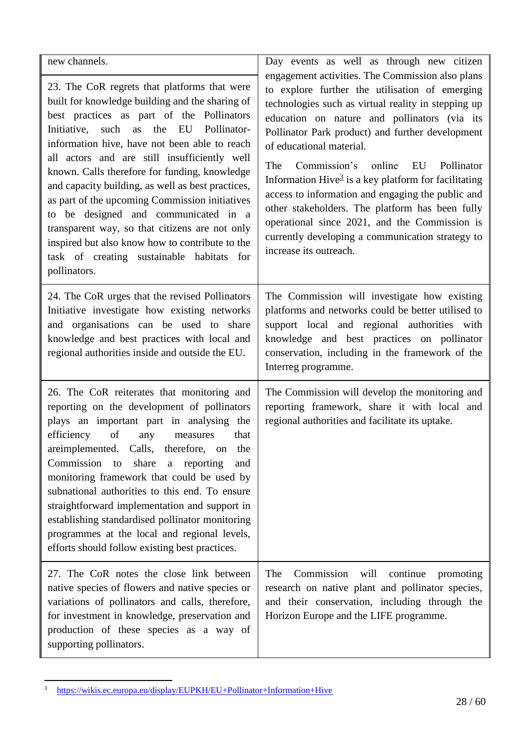| new channels.                                                                                                                                                                                                                                                                                                                                                                                                                                                                                                                                                                                                                                                            | Day events as well as through new citizen<br>engagement activities. The Commission also plans                                                                                                                                                                                                                                                                                                                                                                                                                                                                                             |
|--------------------------------------------------------------------------------------------------------------------------------------------------------------------------------------------------------------------------------------------------------------------------------------------------------------------------------------------------------------------------------------------------------------------------------------------------------------------------------------------------------------------------------------------------------------------------------------------------------------------------------------------------------------------------|-------------------------------------------------------------------------------------------------------------------------------------------------------------------------------------------------------------------------------------------------------------------------------------------------------------------------------------------------------------------------------------------------------------------------------------------------------------------------------------------------------------------------------------------------------------------------------------------|
| 23. The CoR regrets that platforms that were<br>built for knowledge building and the sharing of<br>best practices as part of the Pollinators<br>Pollinator-<br>Initiative,<br>such as<br>the<br>EU<br>information hive, have not been able to reach<br>all actors and are still insufficiently well<br>known. Calls therefore for funding, knowledge<br>and capacity building, as well as best practices,<br>as part of the upcoming Commission initiatives<br>to be designed and communicated in a<br>transparent way, so that citizens are not only<br>inspired but also know how to contribute to the<br>task of creating sustainable habitats<br>for<br>pollinators. | to explore further the utilisation of emerging<br>technologies such as virtual reality in stepping up<br>education on nature and pollinators (via its<br>Pollinator Park product) and further development<br>of educational material.<br>Commission's online<br>The<br>EU<br>Pollinator<br>Information Hive $3$ is a key platform for facilitating<br>access to information and engaging the public and<br>other stakeholders. The platform has been fully<br>operational since 2021, and the Commission is<br>currently developing a communication strategy to<br>increase its outreach. |
| 24. The CoR urges that the revised Pollinators<br>Initiative investigate how existing networks<br>and organisations can be used to share<br>knowledge and best practices with local and<br>regional authorities inside and outside the EU.                                                                                                                                                                                                                                                                                                                                                                                                                               | The Commission will investigate how existing<br>platforms and networks could be better utilised to<br>support local and regional authorities with<br>knowledge and best practices on pollinator<br>conservation, including in the framework of the<br>Interreg programme.                                                                                                                                                                                                                                                                                                                 |
| 26. The CoR reiterates that monitoring and<br>reporting on the development of pollinators<br>plays an important part in analysing the<br>of<br>efficiency<br>any<br>measures<br>that<br>areimplemented. Calls, therefore, on the<br>Commission to share a reporting<br>and<br>monitoring framework that could be used by<br>subnational authorities to this end. To ensure<br>straightforward implementation and support in<br>establishing standardised pollinator monitoring<br>programmes at the local and regional levels,<br>efforts should follow existing best practices.                                                                                         | The Commission will develop the monitoring and<br>reporting framework, share it with local and<br>regional authorities and facilitate its uptake.                                                                                                                                                                                                                                                                                                                                                                                                                                         |
| 27. The CoR notes the close link between<br>native species of flowers and native species or<br>variations of pollinators and calls, therefore,<br>for investment in knowledge, preservation and<br>production of these species as a way of<br>supporting pollinators.                                                                                                                                                                                                                                                                                                                                                                                                    | Commission<br>continue<br>The<br>will<br>promoting<br>research on native plant and pollinator species,<br>and their conservation, including through the<br>Horizon Europe and the LIFE programme.                                                                                                                                                                                                                                                                                                                                                                                         |

 $\overline{3}$ <sup>3</sup> <https://wikis.ec.europa.eu/display/EUPKH/EU+Pollinator+Information+Hive>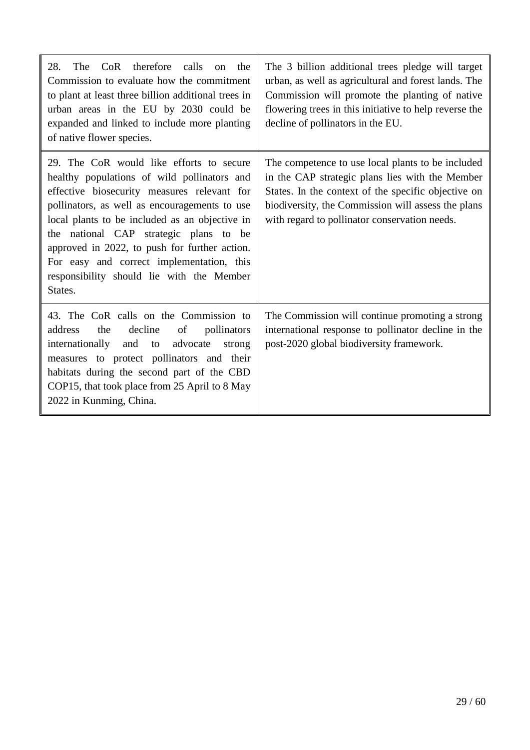| therefore<br>The<br>CoR<br>calls<br>28.<br>the<br><sub>on</sub><br>Commission to evaluate how the commitment<br>to plant at least three billion additional trees in<br>urban areas in the EU by 2030 could be<br>expanded and linked to include more planting<br>of native flower species.                                                                                                                                                | The 3 billion additional trees pledge will target<br>urban, as well as agricultural and forest lands. The<br>Commission will promote the planting of native<br>flowering trees in this initiative to help reverse the<br>decline of pollinators in the EU.         |
|-------------------------------------------------------------------------------------------------------------------------------------------------------------------------------------------------------------------------------------------------------------------------------------------------------------------------------------------------------------------------------------------------------------------------------------------|--------------------------------------------------------------------------------------------------------------------------------------------------------------------------------------------------------------------------------------------------------------------|
| 29. The CoR would like efforts to secure<br>healthy populations of wild pollinators and<br>effective biosecurity measures relevant for<br>pollinators, as well as encouragements to use<br>local plants to be included as an objective in<br>the national CAP strategic plans to be<br>approved in 2022, to push for further action.<br>For easy and correct implementation, this<br>responsibility should lie with the Member<br>States. | The competence to use local plants to be included<br>in the CAP strategic plans lies with the Member<br>States. In the context of the specific objective on<br>biodiversity, the Commission will assess the plans<br>with regard to pollinator conservation needs. |
| 43. The CoR calls on the Commission to<br>decline<br>address<br>the<br>of<br>pollinators<br>internationally<br>and to<br>advocate<br>strong<br>measures to protect pollinators and their<br>habitats during the second part of the CBD<br>COP15, that took place from 25 April to 8 May<br>2022 in Kunming, China.                                                                                                                        | The Commission will continue promoting a strong<br>international response to pollinator decline in the<br>post-2020 global biodiversity framework.                                                                                                                 |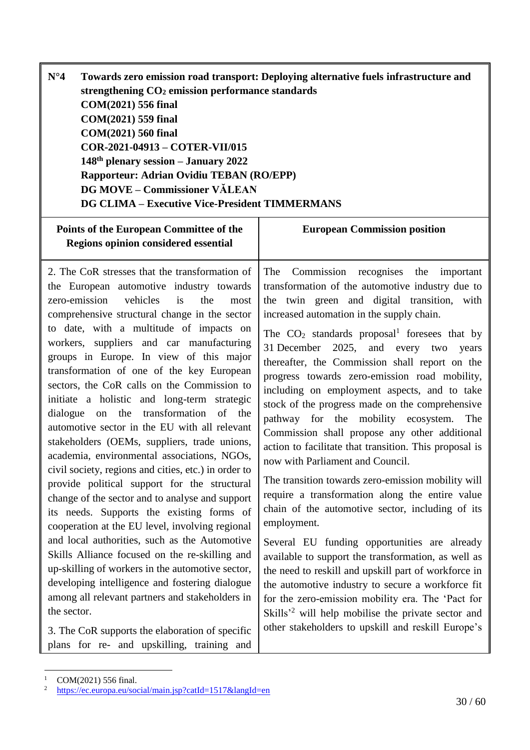<span id="page-29-0"></span>

| Towards zero emission road transport: Deploying alternative fuels infrastructure and |
|--------------------------------------------------------------------------------------|
| strengthening CO <sub>2</sub> emission performance standards                         |
| COM(2021) 556 final                                                                  |
| COM(2021) 559 final                                                                  |
| COM(2021) 560 final                                                                  |
| COR-2021-04913 - COTER-VII/015                                                       |
| $148th$ plenary session – January 2022                                               |
| Rapporteur: Adrian Ovidiu TEBAN (RO/EPP)                                             |
| <b>DG MOVE - Commissioner VÄLEAN</b>                                                 |
| <b>DG CLIMA – Executive Vice-President TIMMERMANS</b>                                |
|                                                                                      |

| Points of the European Committee of the<br><b>Regions opinion considered essential</b>                                                                                                                                                                                                                                                                                                                                                                                                                                                                                                                                                                                                                                                                                                                                                                                                                                                                                                                                                                                                                                                                                                                    | <b>European Commission position</b>                                                                                                                                                                                                                                                                                                                                                                                                                                                                                                                                                                                                                                                                                                                                                                                                                                                                                                                                                                                                                                                                                                                                                                                            |
|-----------------------------------------------------------------------------------------------------------------------------------------------------------------------------------------------------------------------------------------------------------------------------------------------------------------------------------------------------------------------------------------------------------------------------------------------------------------------------------------------------------------------------------------------------------------------------------------------------------------------------------------------------------------------------------------------------------------------------------------------------------------------------------------------------------------------------------------------------------------------------------------------------------------------------------------------------------------------------------------------------------------------------------------------------------------------------------------------------------------------------------------------------------------------------------------------------------|--------------------------------------------------------------------------------------------------------------------------------------------------------------------------------------------------------------------------------------------------------------------------------------------------------------------------------------------------------------------------------------------------------------------------------------------------------------------------------------------------------------------------------------------------------------------------------------------------------------------------------------------------------------------------------------------------------------------------------------------------------------------------------------------------------------------------------------------------------------------------------------------------------------------------------------------------------------------------------------------------------------------------------------------------------------------------------------------------------------------------------------------------------------------------------------------------------------------------------|
| 2. The CoR stresses that the transformation of<br>the European automotive industry towards<br>zero-emission<br>vehicles<br>is<br>the<br>most<br>comprehensive structural change in the sector<br>to date, with a multitude of impacts on<br>workers, suppliers and car manufacturing<br>groups in Europe. In view of this major<br>transformation of one of the key European<br>sectors, the CoR calls on the Commission to<br>initiate a holistic and long-term strategic<br>dialogue on the transformation of the<br>automotive sector in the EU with all relevant<br>stakeholders (OEMs, suppliers, trade unions,<br>academia, environmental associations, NGOs,<br>civil society, regions and cities, etc.) in order to<br>provide political support for the structural<br>change of the sector and to analyse and support<br>its needs. Supports the existing forms of<br>cooperation at the EU level, involving regional<br>and local authorities, such as the Automotive<br>Skills Alliance focused on the re-skilling and<br>up-skilling of workers in the automotive sector,<br>developing intelligence and fostering dialogue<br>among all relevant partners and stakeholders in<br>the sector. | Commission recognises the important<br>The<br>transformation of the automotive industry due to<br>the twin green and digital transition, with<br>increased automation in the supply chain.<br>The $CO2$ standards proposal <sup>1</sup> foresees that by<br>31 December 2025, and every two<br>years<br>thereafter, the Commission shall report on the<br>progress towards zero-emission road mobility,<br>including on employment aspects, and to take<br>stock of the progress made on the comprehensive<br>pathway for the mobility ecosystem.<br>The<br>Commission shall propose any other additional<br>action to facilitate that transition. This proposal is<br>now with Parliament and Council.<br>The transition towards zero-emission mobility will<br>require a transformation along the entire value<br>chain of the automotive sector, including of its<br>employment.<br>Several EU funding opportunities are already<br>available to support the transformation, as well as<br>the need to reskill and upskill part of workforce in<br>the automotive industry to secure a workforce fit<br>for the zero-emission mobility era. The 'Pact for<br>Skills' <sup>2</sup> will help mobilise the private sector and |
| 3. The CoR supports the elaboration of specific<br>plans for re- and upskilling, training and                                                                                                                                                                                                                                                                                                                                                                                                                                                                                                                                                                                                                                                                                                                                                                                                                                                                                                                                                                                                                                                                                                             | other stakeholders to upskill and reskill Europe's                                                                                                                                                                                                                                                                                                                                                                                                                                                                                                                                                                                                                                                                                                                                                                                                                                                                                                                                                                                                                                                                                                                                                                             |

 $1$  COM(2021) 556 final.

<sup>&</sup>lt;sup>2</sup> <https://ec.europa.eu/social/main.jsp?catId=1517&langId=en>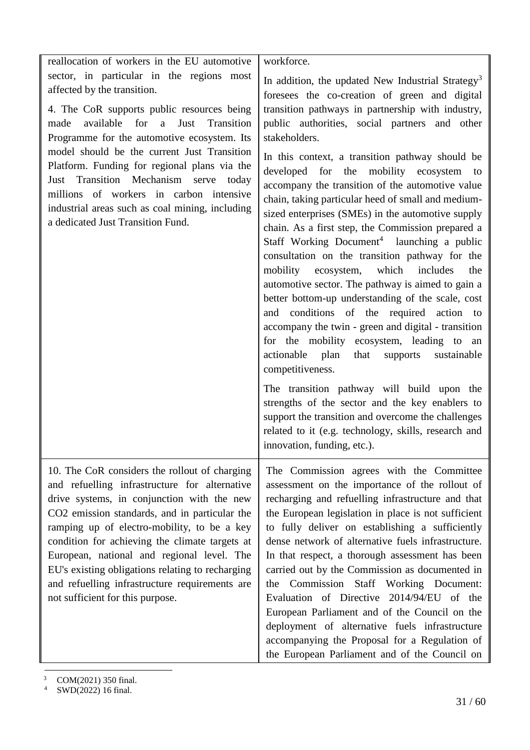| reallocation of workers in the EU automotive                                                                                                                                                                                                                                                                                                                                                                                                                                                               | workforce.                                                                                                                                                                                                                                                                                                                                                                                                                                                                                                                                                                                                                                                                                                                                                                                                                                                                                                                                                                                                                                                                                                                                                                                                                                                                   |
|------------------------------------------------------------------------------------------------------------------------------------------------------------------------------------------------------------------------------------------------------------------------------------------------------------------------------------------------------------------------------------------------------------------------------------------------------------------------------------------------------------|------------------------------------------------------------------------------------------------------------------------------------------------------------------------------------------------------------------------------------------------------------------------------------------------------------------------------------------------------------------------------------------------------------------------------------------------------------------------------------------------------------------------------------------------------------------------------------------------------------------------------------------------------------------------------------------------------------------------------------------------------------------------------------------------------------------------------------------------------------------------------------------------------------------------------------------------------------------------------------------------------------------------------------------------------------------------------------------------------------------------------------------------------------------------------------------------------------------------------------------------------------------------------|
| sector, in particular in the regions most<br>affected by the transition.<br>4. The CoR supports public resources being<br>available<br>for<br>a<br>Just<br>Transition<br>made<br>Programme for the automotive ecosystem. Its<br>model should be the current Just Transition<br>Platform. Funding for regional plans via the<br>Transition Mechanism serve today<br>Just<br>millions of workers in carbon intensive<br>industrial areas such as coal mining, including<br>a dedicated Just Transition Fund. | In addition, the updated New Industrial Strategy <sup>3</sup><br>foresees the co-creation of green and digital<br>transition pathways in partnership with industry,<br>public authorities, social partners and other<br>stakeholders.<br>In this context, a transition pathway should be<br>developed for the mobility ecosystem<br>to<br>accompany the transition of the automotive value<br>chain, taking particular heed of small and medium-<br>sized enterprises (SMEs) in the automotive supply<br>chain. As a first step, the Commission prepared a<br>Staff Working Document <sup>4</sup> launching a public<br>consultation on the transition pathway for the<br>ecosystem, which includes<br>mobility<br>the<br>automotive sector. The pathway is aimed to gain a<br>better bottom-up understanding of the scale, cost<br>and conditions of the required action to<br>accompany the twin - green and digital - transition<br>for the mobility ecosystem, leading to an<br>actionable<br>plan<br>that<br>supports<br>sustainable<br>competitiveness.<br>The transition pathway will build upon the<br>strengths of the sector and the key enablers to<br>support the transition and overcome the challenges<br>related to it (e.g. technology, skills, research and |
| 10. The CoR considers the rollout of charging                                                                                                                                                                                                                                                                                                                                                                                                                                                              | innovation, funding, etc.).<br>The Commission agrees with the Committee                                                                                                                                                                                                                                                                                                                                                                                                                                                                                                                                                                                                                                                                                                                                                                                                                                                                                                                                                                                                                                                                                                                                                                                                      |
| and refuelling infrastructure for alternative<br>drive systems, in conjunction with the new<br>CO2 emission standards, and in particular the<br>ramping up of electro-mobility, to be a key<br>condition for achieving the climate targets at<br>European, national and regional level. The<br>EU's existing obligations relating to recharging<br>and refuelling infrastructure requirements are<br>not sufficient for this purpose.                                                                      | assessment on the importance of the rollout of<br>recharging and refuelling infrastructure and that<br>the European legislation in place is not sufficient<br>to fully deliver on establishing a sufficiently<br>dense network of alternative fuels infrastructure.<br>In that respect, a thorough assessment has been<br>carried out by the Commission as documented in<br>Commission Staff Working Document:<br>the<br>Evaluation of Directive 2014/94/EU of the<br>European Parliament and of the Council on the<br>deployment of alternative fuels infrastructure<br>accompanying the Proposal for a Regulation of<br>the European Parliament and of the Council on                                                                                                                                                                                                                                                                                                                                                                                                                                                                                                                                                                                                      |

<sup>3</sup> COM(2021) 350 final.

<sup>4</sup> SWD(2022) 16 final.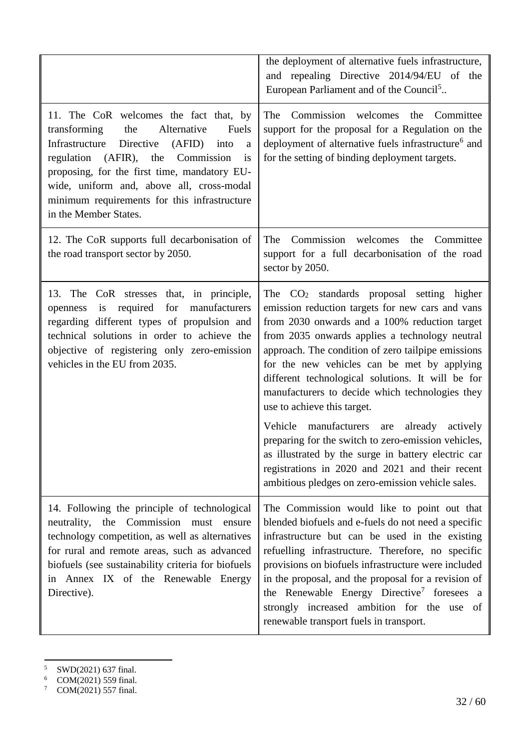|                                                                                                                                                                                                                                                                                                                                                              | the deployment of alternative fuels infrastructure,<br>and repealing Directive 2014/94/EU of the<br>European Parliament and of the Council <sup>5</sup>                                                                                                                                                                                                                                                                                                                                                                                                                                                                                                                                                                     |
|--------------------------------------------------------------------------------------------------------------------------------------------------------------------------------------------------------------------------------------------------------------------------------------------------------------------------------------------------------------|-----------------------------------------------------------------------------------------------------------------------------------------------------------------------------------------------------------------------------------------------------------------------------------------------------------------------------------------------------------------------------------------------------------------------------------------------------------------------------------------------------------------------------------------------------------------------------------------------------------------------------------------------------------------------------------------------------------------------------|
| 11. The CoR welcomes the fact that, by<br>the<br>Alternative<br>Fuels<br>transforming<br>Directive<br>Infrastructure<br>(AFID)<br>into<br>a<br>regulation (AFIR), the Commission<br>is<br>proposing, for the first time, mandatory EU-<br>wide, uniform and, above all, cross-modal<br>minimum requirements for this infrastructure<br>in the Member States. | The Commission welcomes the Committee<br>support for the proposal for a Regulation on the<br>deployment of alternative fuels infrastructure <sup>6</sup> and<br>for the setting of binding deployment targets.                                                                                                                                                                                                                                                                                                                                                                                                                                                                                                              |
| 12. The CoR supports full decarbonisation of<br>the road transport sector by 2050.                                                                                                                                                                                                                                                                           | Commission<br>welcomes<br>the Committee<br>The<br>support for a full decarbonisation of the road<br>sector by 2050.                                                                                                                                                                                                                                                                                                                                                                                                                                                                                                                                                                                                         |
| 13. The CoR stresses that, in principle,<br>required<br>for<br>manufacturers<br>is<br>openness<br>regarding different types of propulsion and<br>technical solutions in order to achieve the<br>objective of registering only zero-emission<br>vehicles in the EU from 2035.                                                                                 | The $CO2$ standards proposal setting higher<br>emission reduction targets for new cars and vans<br>from 2030 onwards and a 100% reduction target<br>from 2035 onwards applies a technology neutral<br>approach. The condition of zero tailpipe emissions<br>for the new vehicles can be met by applying<br>different technological solutions. It will be for<br>manufacturers to decide which technologies they<br>use to achieve this target.<br>Vehicle manufacturers<br>already<br>actively<br>are<br>preparing for the switch to zero-emission vehicles,<br>as illustrated by the surge in battery electric car<br>registrations in 2020 and 2021 and their recent<br>ambitious pledges on zero-emission vehicle sales. |
| 14. Following the principle of technological<br>neutrality, the Commission must ensure<br>technology competition, as well as alternatives<br>for rural and remote areas, such as advanced<br>biofuels (see sustainability criteria for biofuels<br>in Annex IX of the Renewable Energy<br>Directive).                                                        | The Commission would like to point out that<br>blended biofuels and e-fuels do not need a specific<br>infrastructure but can be used in the existing<br>refuelling infrastructure. Therefore, no specific<br>provisions on biofuels infrastructure were included<br>in the proposal, and the proposal for a revision of<br>the Renewable Energy Directive <sup>7</sup> foresees a<br>strongly increased ambition for the use of<br>renewable transport fuels in transport.                                                                                                                                                                                                                                                  |

<sup>&</sup>lt;sup>5</sup> SWD(2021) 637 final.

 $\ddot{\phantom{a}}$ 

 $6$  COM(2021) 559 final.

 $7 \text{ COM}(2021) 557 \text{ final.}$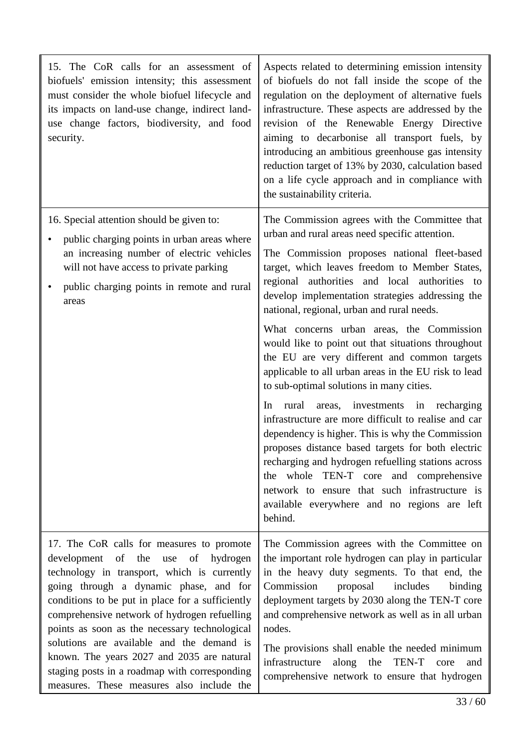| 15. The CoR calls for an assessment of<br>biofuels' emission intensity; this assessment<br>must consider the whole biofuel lifecycle and<br>its impacts on land-use change, indirect land-<br>use change factors, biodiversity, and food<br>security.                                                                                                                                                                                                                                                                              | Aspects related to determining emission intensity<br>of biofuels do not fall inside the scope of the<br>regulation on the deployment of alternative fuels<br>infrastructure. These aspects are addressed by the<br>revision of the Renewable Energy Directive<br>aiming to decarbonise all transport fuels, by<br>introducing an ambitious greenhouse gas intensity<br>reduction target of 13% by 2030, calculation based<br>on a life cycle approach and in compliance with<br>the sustainability criteria.                                                                                                                                                                                                                                                                                                                                                                                                                                                                                                                                   |
|------------------------------------------------------------------------------------------------------------------------------------------------------------------------------------------------------------------------------------------------------------------------------------------------------------------------------------------------------------------------------------------------------------------------------------------------------------------------------------------------------------------------------------|------------------------------------------------------------------------------------------------------------------------------------------------------------------------------------------------------------------------------------------------------------------------------------------------------------------------------------------------------------------------------------------------------------------------------------------------------------------------------------------------------------------------------------------------------------------------------------------------------------------------------------------------------------------------------------------------------------------------------------------------------------------------------------------------------------------------------------------------------------------------------------------------------------------------------------------------------------------------------------------------------------------------------------------------|
| 16. Special attention should be given to:<br>public charging points in urban areas where<br>٠<br>an increasing number of electric vehicles<br>will not have access to private parking<br>public charging points in remote and rural<br>$\bullet$<br>areas                                                                                                                                                                                                                                                                          | The Commission agrees with the Committee that<br>urban and rural areas need specific attention.<br>The Commission proposes national fleet-based<br>target, which leaves freedom to Member States,<br>regional authorities and local authorities to<br>develop implementation strategies addressing the<br>national, regional, urban and rural needs.<br>What concerns urban areas, the Commission<br>would like to point out that situations throughout<br>the EU are very different and common targets<br>applicable to all urban areas in the EU risk to lead<br>to sub-optimal solutions in many cities.<br>rural<br>areas, investments<br>in recharging<br>In<br>infrastructure are more difficult to realise and car<br>dependency is higher. This is why the Commission<br>proposes distance based targets for both electric<br>recharging and hydrogen refuelling stations across<br>the whole TEN-T core and comprehensive<br>network to ensure that such infrastructure is<br>available everywhere and no regions are left<br>behind. |
| 17. The CoR calls for measures to promote<br>of the<br>development<br>use<br>of<br>hydrogen<br>technology in transport, which is currently<br>going through a dynamic phase, and for<br>conditions to be put in place for a sufficiently<br>comprehensive network of hydrogen refuelling<br>points as soon as the necessary technological<br>solutions are available and the demand is<br>known. The years 2027 and 2035 are natural<br>staging posts in a roadmap with corresponding<br>measures. These measures also include the | The Commission agrees with the Committee on<br>the important role hydrogen can play in particular<br>in the heavy duty segments. To that end, the<br>includes<br>Commission<br>proposal<br>binding<br>deployment targets by 2030 along the TEN-T core<br>and comprehensive network as well as in all urban<br>nodes.<br>The provisions shall enable the needed minimum<br>infrastructure<br>along<br>the<br>TEN-T core<br>and<br>comprehensive network to ensure that hydrogen                                                                                                                                                                                                                                                                                                                                                                                                                                                                                                                                                                 |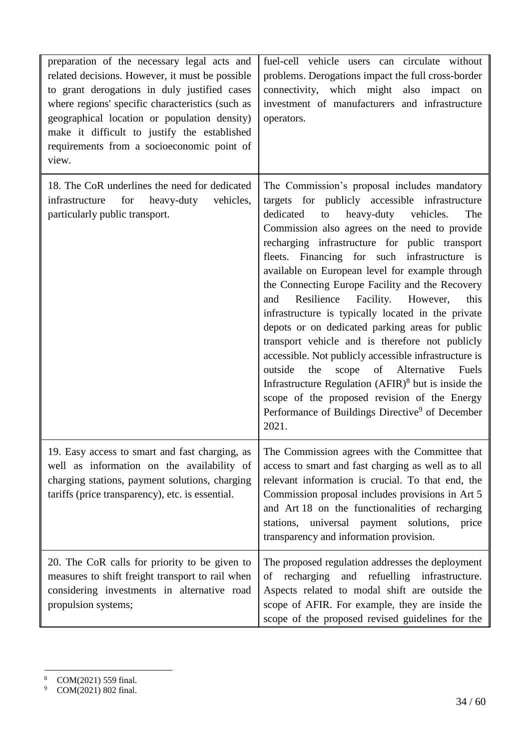| preparation of the necessary legal acts and<br>related decisions. However, it must be possible<br>to grant derogations in duly justified cases<br>where regions' specific characteristics (such as<br>geographical location or population density)<br>make it difficult to justify the established<br>requirements from a socioeconomic point of<br>view. | fuel-cell vehicle users can circulate without<br>problems. Derogations impact the full cross-border<br>connectivity, which might also impact<br>on<br>investment of manufacturers and infrastructure<br>operators.                                                                                                                                                                                                                                                                                                                                                                                                                                                                                                                                                                                                                                                                                                        |
|-----------------------------------------------------------------------------------------------------------------------------------------------------------------------------------------------------------------------------------------------------------------------------------------------------------------------------------------------------------|---------------------------------------------------------------------------------------------------------------------------------------------------------------------------------------------------------------------------------------------------------------------------------------------------------------------------------------------------------------------------------------------------------------------------------------------------------------------------------------------------------------------------------------------------------------------------------------------------------------------------------------------------------------------------------------------------------------------------------------------------------------------------------------------------------------------------------------------------------------------------------------------------------------------------|
| 18. The CoR underlines the need for dedicated<br>infrastructure for<br>heavy-duty vehicles,<br>particularly public transport.                                                                                                                                                                                                                             | The Commission's proposal includes mandatory<br>targets for publicly accessible infrastructure<br>dedicated<br>heavy-duty vehicles.<br>The<br>to<br>Commission also agrees on the need to provide<br>recharging infrastructure for public transport<br>fleets. Financing for such infrastructure is<br>available on European level for example through<br>the Connecting Europe Facility and the Recovery<br>Resilience<br>Facility.<br>However,<br>this<br>and<br>infrastructure is typically located in the private<br>depots or on dedicated parking areas for public<br>transport vehicle and is therefore not publicly<br>accessible. Not publicly accessible infrastructure is<br>scope of Alternative<br>outside<br>the<br>Fuels<br>Infrastructure Regulation $(AFIR)^8$ but is inside the<br>scope of the proposed revision of the Energy<br>Performance of Buildings Directive <sup>9</sup> of December<br>2021. |
| 19. Easy access to smart and fast charging, as<br>well as information on the availability of<br>charging stations, payment solutions, charging<br>tariffs (price transparency), etc. is essential.                                                                                                                                                        | The Commission agrees with the Committee that<br>access to smart and fast charging as well as to all<br>relevant information is crucial. To that end, the<br>Commission proposal includes provisions in Art 5<br>and Art 18 on the functionalities of recharging<br>stations, universal payment solutions,<br>price<br>transparency and information provision.                                                                                                                                                                                                                                                                                                                                                                                                                                                                                                                                                            |
| 20. The CoR calls for priority to be given to<br>measures to shift freight transport to rail when<br>considering investments in alternative road<br>propulsion systems;                                                                                                                                                                                   | The proposed regulation addresses the deployment<br>of recharging<br>and refuelling infrastructure.<br>Aspects related to modal shift are outside the<br>scope of AFIR. For example, they are inside the<br>scope of the proposed revised guidelines for the                                                                                                                                                                                                                                                                                                                                                                                                                                                                                                                                                                                                                                                              |

 $\,$  8  $\,$ COM(2021) 559 final.

<sup>9</sup> COM(2021) 802 final.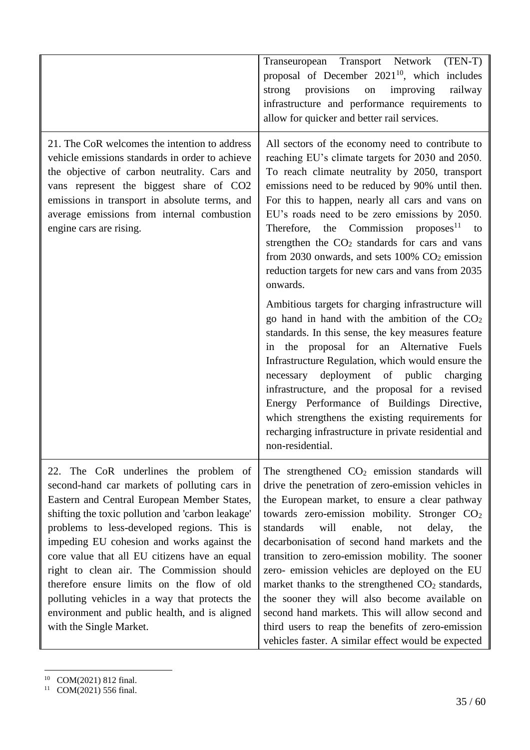|                                                                                                                                                                                                                                                                                                                                                                                                                                                                                                                                                                 | Transeuropean Transport Network<br>$(TEN-T)$<br>proposal of December $2021^{10}$ , which includes<br>provisions<br>improving<br>strong<br>$\,$ on $\,$<br>railway<br>infrastructure and performance requirements to<br>allow for quicker and better rail services.                                                                                                                                                                                                                                                                                                                                                                                                                                                 |
|-----------------------------------------------------------------------------------------------------------------------------------------------------------------------------------------------------------------------------------------------------------------------------------------------------------------------------------------------------------------------------------------------------------------------------------------------------------------------------------------------------------------------------------------------------------------|--------------------------------------------------------------------------------------------------------------------------------------------------------------------------------------------------------------------------------------------------------------------------------------------------------------------------------------------------------------------------------------------------------------------------------------------------------------------------------------------------------------------------------------------------------------------------------------------------------------------------------------------------------------------------------------------------------------------|
| 21. The CoR welcomes the intention to address<br>vehicle emissions standards in order to achieve<br>the objective of carbon neutrality. Cars and<br>vans represent the biggest share of CO2<br>emissions in transport in absolute terms, and<br>average emissions from internal combustion<br>engine cars are rising.                                                                                                                                                                                                                                           | All sectors of the economy need to contribute to<br>reaching EU's climate targets for 2030 and 2050.<br>To reach climate neutrality by 2050, transport<br>emissions need to be reduced by 90% until then.<br>For this to happen, nearly all cars and vans on<br>EU's roads need to be zero emissions by 2050.<br>Therefore, the Commission proposes <sup>11</sup> to<br>strengthen the CO <sub>2</sub> standards for cars and vans<br>from 2030 onwards, and sets $100\%$ CO <sub>2</sub> emission<br>reduction targets for new cars and vans from 2035<br>onwards.                                                                                                                                                |
|                                                                                                                                                                                                                                                                                                                                                                                                                                                                                                                                                                 | Ambitious targets for charging infrastructure will<br>go hand in hand with the ambition of the $CO2$<br>standards. In this sense, the key measures feature<br>the proposal for an Alternative Fuels<br>in<br>Infrastructure Regulation, which would ensure the<br>necessary deployment of public<br>charging<br>infrastructure, and the proposal for a revised<br>Energy Performance of Buildings Directive,<br>which strengthens the existing requirements for<br>recharging infrastructure in private residential and<br>non-residential.                                                                                                                                                                        |
| 22. The CoR underlines the problem of<br>second-hand car markets of polluting cars in<br>Eastern and Central European Member States,<br>shifting the toxic pollution and 'carbon leakage'<br>problems to less-developed regions. This is<br>impeding EU cohesion and works against the<br>core value that all EU citizens have an equal<br>right to clean air. The Commission should<br>therefore ensure limits on the flow of old<br>polluting vehicles in a way that protects the<br>environment and public health, and is aligned<br>with the Single Market. | The strengthened $CO2$ emission standards will<br>drive the penetration of zero-emission vehicles in<br>the European market, to ensure a clear pathway<br>towards zero-emission mobility. Stronger CO <sub>2</sub><br>will<br>standards<br>enable,<br>delay,<br>not<br>the<br>decarbonisation of second hand markets and the<br>transition to zero-emission mobility. The sooner<br>zero- emission vehicles are deployed on the EU<br>market thanks to the strengthened CO <sub>2</sub> standards,<br>the sooner they will also become available on<br>second hand markets. This will allow second and<br>third users to reap the benefits of zero-emission<br>vehicles faster. A similar effect would be expected |

<sup>10</sup> COM(2021) 812 final.

 $11$  COM(2021) 556 final.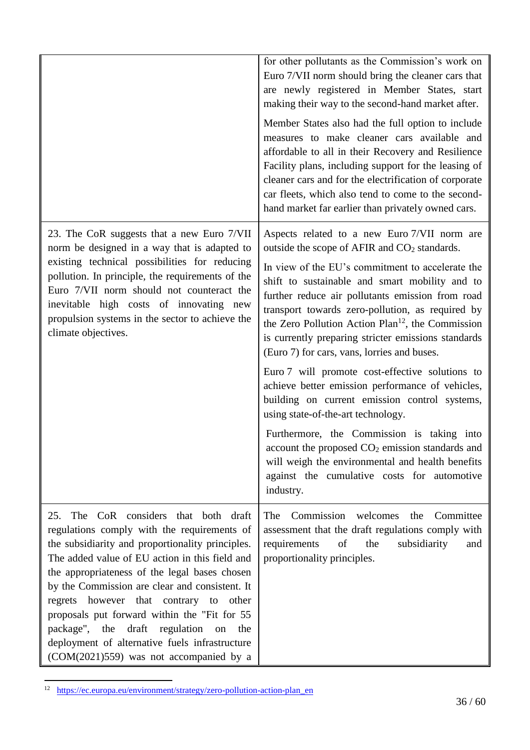|                                                                                                                                                                                                                                                                                                                                                                                                                                                                                                                                     | for other pollutants as the Commission's work on<br>Euro 7/VII norm should bring the cleaner cars that<br>are newly registered in Member States, start<br>making their way to the second-hand market after.<br>Member States also had the full option to include<br>measures to make cleaner cars available and<br>affordable to all in their Recovery and Resilience<br>Facility plans, including support for the leasing of<br>cleaner cars and for the electrification of corporate<br>car fleets, which also tend to come to the second-<br>hand market far earlier than privately owned cars.                                                                                                                                                                                                                                                                                                                       |
|-------------------------------------------------------------------------------------------------------------------------------------------------------------------------------------------------------------------------------------------------------------------------------------------------------------------------------------------------------------------------------------------------------------------------------------------------------------------------------------------------------------------------------------|--------------------------------------------------------------------------------------------------------------------------------------------------------------------------------------------------------------------------------------------------------------------------------------------------------------------------------------------------------------------------------------------------------------------------------------------------------------------------------------------------------------------------------------------------------------------------------------------------------------------------------------------------------------------------------------------------------------------------------------------------------------------------------------------------------------------------------------------------------------------------------------------------------------------------|
| 23. The CoR suggests that a new Euro 7/VII<br>norm be designed in a way that is adapted to<br>existing technical possibilities for reducing<br>pollution. In principle, the requirements of the<br>Euro 7/VII norm should not counteract the<br>inevitable high costs of innovating new<br>propulsion systems in the sector to achieve the<br>climate objectives.                                                                                                                                                                   | Aspects related to a new Euro 7/VII norm are<br>outside the scope of AFIR and CO <sub>2</sub> standards.<br>In view of the EU's commitment to accelerate the<br>shift to sustainable and smart mobility and to<br>further reduce air pollutants emission from road<br>transport towards zero-pollution, as required by<br>the Zero Pollution Action Plan <sup>12</sup> , the Commission<br>is currently preparing stricter emissions standards<br>(Euro 7) for cars, vans, lorries and buses.<br>Euro 7 will promote cost-effective solutions to<br>achieve better emission performance of vehicles,<br>building on current emission control systems,<br>using state-of-the-art technology.<br>Furthermore, the Commission is taking into<br>account the proposed CO <sub>2</sub> emission standards and<br>will weigh the environmental and health benefits<br>against the cumulative costs for automotive<br>industry. |
| The CoR considers that both draft<br>25.<br>regulations comply with the requirements of<br>the subsidiarity and proportionality principles.<br>The added value of EU action in this field and<br>the appropriateness of the legal bases chosen<br>by the Commission are clear and consistent. It<br>regrets however that contrary to other<br>proposals put forward within the "Fit for 55<br>package", the draft regulation on<br>the<br>deployment of alternative fuels infrastructure<br>(COM(2021)559) was not accompanied by a | Commission<br>welcomes<br>Committee<br>the<br>The<br>assessment that the draft regulations comply with<br>requirements<br>of<br>the<br>subsidiarity<br>and<br>proportionality principles.                                                                                                                                                                                                                                                                                                                                                                                                                                                                                                                                                                                                                                                                                                                                |

<sup>&</sup>lt;sup>12</sup> [https://ec.europa.eu/environment/strategy/zero-pollution-action-plan\\_en](https://ec.europa.eu/environment/strategy/zero-pollution-action-plan_en)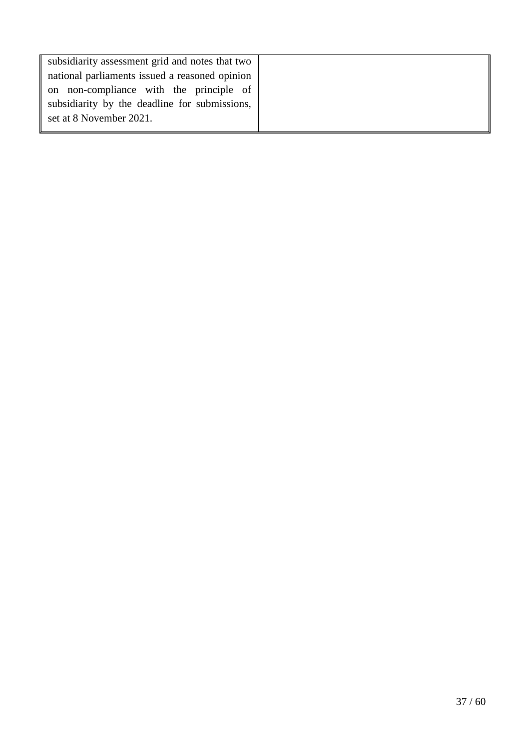| subsidiarity assessment grid and notes that two |
|-------------------------------------------------|
| national parliaments issued a reasoned opinion  |
| on non-compliance with the principle of         |
| subsidiarity by the deadline for submissions,   |
| set at 8 November 2021.                         |
|                                                 |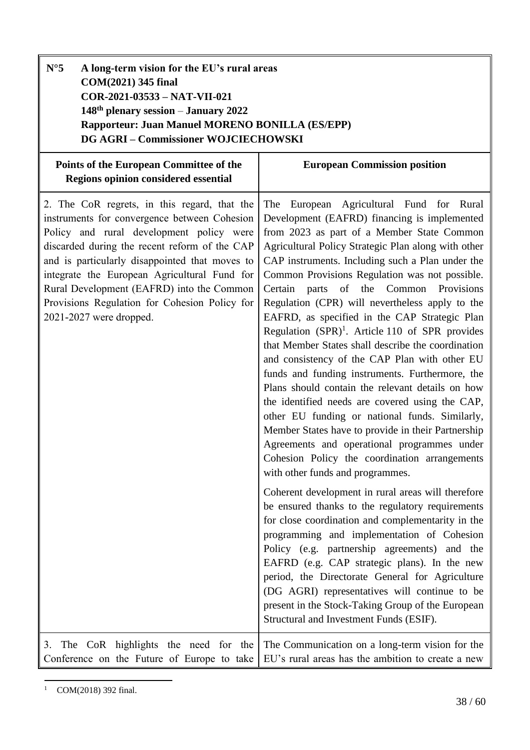<span id="page-37-0"></span>

| $N^{\circ}5$<br>A long-term vision for the EU's rural areas<br>COM(2021) 345 final<br>COR-2021-03533 - NAT-VII-021<br>$148th$ plenary session – January 2022<br>Rapporteur: Juan Manuel MORENO BONILLA (ES/EPP)<br><b>DG AGRI-Commissioner WOJCIECHOWSKI</b>                                                                                                                                                         |                                                                                                                                                                                                                                                                                                                                                                                                                                                                                                                                                                                                                                                                                                                                                                                                                                                                                                                                                                                                                                                                                                                                                                                                                                                                                                                                                                                                                                                                                                                                             |
|----------------------------------------------------------------------------------------------------------------------------------------------------------------------------------------------------------------------------------------------------------------------------------------------------------------------------------------------------------------------------------------------------------------------|---------------------------------------------------------------------------------------------------------------------------------------------------------------------------------------------------------------------------------------------------------------------------------------------------------------------------------------------------------------------------------------------------------------------------------------------------------------------------------------------------------------------------------------------------------------------------------------------------------------------------------------------------------------------------------------------------------------------------------------------------------------------------------------------------------------------------------------------------------------------------------------------------------------------------------------------------------------------------------------------------------------------------------------------------------------------------------------------------------------------------------------------------------------------------------------------------------------------------------------------------------------------------------------------------------------------------------------------------------------------------------------------------------------------------------------------------------------------------------------------------------------------------------------------|
| Points of the European Committee of the<br><b>Regions opinion considered essential</b>                                                                                                                                                                                                                                                                                                                               | <b>European Commission position</b>                                                                                                                                                                                                                                                                                                                                                                                                                                                                                                                                                                                                                                                                                                                                                                                                                                                                                                                                                                                                                                                                                                                                                                                                                                                                                                                                                                                                                                                                                                         |
| 2. The CoR regrets, in this regard, that the<br>instruments for convergence between Cohesion<br>Policy and rural development policy were<br>discarded during the recent reform of the CAP<br>and is particularly disappointed that moves to<br>integrate the European Agricultural Fund for<br>Rural Development (EAFRD) into the Common<br>Provisions Regulation for Cohesion Policy for<br>2021-2027 were dropped. | European Agricultural Fund for Rural<br>The<br>Development (EAFRD) financing is implemented<br>from 2023 as part of a Member State Common<br>Agricultural Policy Strategic Plan along with other<br>CAP instruments. Including such a Plan under the<br>Common Provisions Regulation was not possible.<br>parts of the Common Provisions<br>Certain<br>Regulation (CPR) will nevertheless apply to the<br>EAFRD, as specified in the CAP Strategic Plan<br>Regulation $(SPR)^1$ . Article 110 of SPR provides<br>that Member States shall describe the coordination<br>and consistency of the CAP Plan with other EU<br>funds and funding instruments. Furthermore, the<br>Plans should contain the relevant details on how<br>the identified needs are covered using the CAP,<br>other EU funding or national funds. Similarly,<br>Member States have to provide in their Partnership<br>Agreements and operational programmes under<br>Cohesion Policy the coordination arrangements<br>with other funds and programmes.<br>Coherent development in rural areas will therefore<br>be ensured thanks to the regulatory requirements<br>for close coordination and complementarity in the<br>programming and implementation of Cohesion<br>Policy (e.g. partnership agreements) and the<br>EAFRD (e.g. CAP strategic plans). In the new<br>period, the Directorate General for Agriculture<br>(DG AGRI) representatives will continue to be<br>present in the Stock-Taking Group of the European<br>Structural and Investment Funds (ESIF). |
| 3. The CoR highlights the need for the<br>Conference on the Future of Europe to take                                                                                                                                                                                                                                                                                                                                 | The Communication on a long-term vision for the<br>EU's rural areas has the ambition to create a new                                                                                                                                                                                                                                                                                                                                                                                                                                                                                                                                                                                                                                                                                                                                                                                                                                                                                                                                                                                                                                                                                                                                                                                                                                                                                                                                                                                                                                        |

 $\overline{a}$  $1$  COM(2018) 392 final.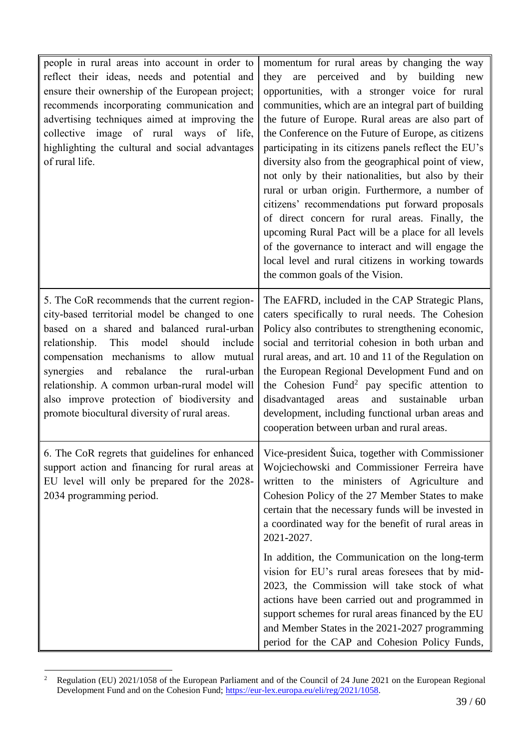| people in rural areas into account in order to<br>reflect their ideas, needs and potential and<br>ensure their ownership of the European project;<br>recommends incorporating communication and<br>advertising techniques aimed at improving the<br>collective image of rural ways of life,<br>highlighting the cultural and social advantages<br>of rural life.                                                                                | momentum for rural areas by changing the way<br>are perceived and by building<br>they<br>new<br>opportunities, with a stronger voice for rural<br>communities, which are an integral part of building<br>the future of Europe. Rural areas are also part of<br>the Conference on the Future of Europe, as citizens<br>participating in its citizens panels reflect the EU's<br>diversity also from the geographical point of view,<br>not only by their nationalities, but also by their<br>rural or urban origin. Furthermore, a number of<br>citizens' recommendations put forward proposals<br>of direct concern for rural areas. Finally, the<br>upcoming Rural Pact will be a place for all levels<br>of the governance to interact and will engage the<br>local level and rural citizens in working towards<br>the common goals of the Vision. |
|-------------------------------------------------------------------------------------------------------------------------------------------------------------------------------------------------------------------------------------------------------------------------------------------------------------------------------------------------------------------------------------------------------------------------------------------------|------------------------------------------------------------------------------------------------------------------------------------------------------------------------------------------------------------------------------------------------------------------------------------------------------------------------------------------------------------------------------------------------------------------------------------------------------------------------------------------------------------------------------------------------------------------------------------------------------------------------------------------------------------------------------------------------------------------------------------------------------------------------------------------------------------------------------------------------------|
| 5. The CoR recommends that the current region-<br>city-based territorial model be changed to one<br>based on a shared and balanced rural-urban<br>relationship. This<br>model should<br>include<br>compensation mechanisms to allow mutual<br>and rebalance<br>the<br>rural-urban<br>synergies<br>relationship. A common urban-rural model will<br>also improve protection of biodiversity and<br>promote biocultural diversity of rural areas. | The EAFRD, included in the CAP Strategic Plans,<br>caters specifically to rural needs. The Cohesion<br>Policy also contributes to strengthening economic,<br>social and territorial cohesion in both urban and<br>rural areas, and art. 10 and 11 of the Regulation on<br>the European Regional Development Fund and on<br>the Cohesion Fund <sup>2</sup> pay specific attention to<br>disadvantaged areas and sustainable<br>urban<br>development, including functional urban areas and<br>cooperation between urban and rural areas.                                                                                                                                                                                                                                                                                                               |
| support action and financing for rural areas at<br>EU level will only be prepared for the 2028-<br>2034 programming period.                                                                                                                                                                                                                                                                                                                     | 6. The CoR regrets that guidelines for enhanced   Vice-president Šuica, together with Commissioner<br>Wojciechowski and Commissioner Ferreira have<br>written to the ministers of Agriculture and<br>Cohesion Policy of the 27 Member States to make<br>certain that the necessary funds will be invested in<br>a coordinated way for the benefit of rural areas in<br>2021-2027.                                                                                                                                                                                                                                                                                                                                                                                                                                                                    |
|                                                                                                                                                                                                                                                                                                                                                                                                                                                 | In addition, the Communication on the long-term<br>vision for EU's rural areas foresees that by mid-<br>2023, the Commission will take stock of what<br>actions have been carried out and programmed in<br>support schemes for rural areas financed by the EU<br>and Member States in the 2021-2027 programming<br>period for the CAP and Cohesion Policy Funds,                                                                                                                                                                                                                                                                                                                                                                                                                                                                                     |

 $\overline{c}$ <sup>2</sup> Regulation (EU) 2021/1058 of the European Parliament and of the Council of 24 June 2021 on the European Regional Development Fund and on the Cohesion Fund; [https://eur-lex.europa.eu/eli/reg/2021/1058.](https://eur-lex.europa.eu/eli/reg/2021/1058)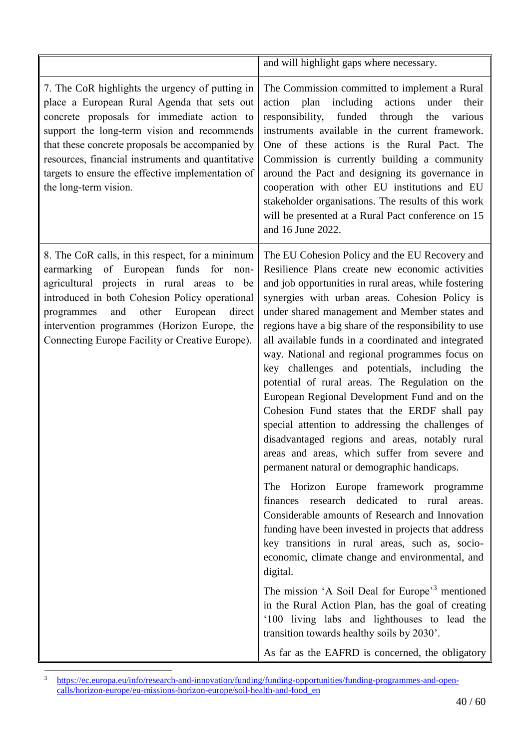|                                                                                                                                                                                                                                                                                                                                                                                   | and will highlight gaps where necessary.                                                                                                                                                                                                                                                                                                                                                                                                                                                                                                                                                                                                                                                                                                                                                                                                                                                                                                                                                                                                                                                                                                                                                                                                                                                                                                                                                                                                     |
|-----------------------------------------------------------------------------------------------------------------------------------------------------------------------------------------------------------------------------------------------------------------------------------------------------------------------------------------------------------------------------------|----------------------------------------------------------------------------------------------------------------------------------------------------------------------------------------------------------------------------------------------------------------------------------------------------------------------------------------------------------------------------------------------------------------------------------------------------------------------------------------------------------------------------------------------------------------------------------------------------------------------------------------------------------------------------------------------------------------------------------------------------------------------------------------------------------------------------------------------------------------------------------------------------------------------------------------------------------------------------------------------------------------------------------------------------------------------------------------------------------------------------------------------------------------------------------------------------------------------------------------------------------------------------------------------------------------------------------------------------------------------------------------------------------------------------------------------|
| 7. The CoR highlights the urgency of putting in<br>place a European Rural Agenda that sets out<br>concrete proposals for immediate action to<br>support the long-term vision and recommends<br>that these concrete proposals be accompanied by<br>resources, financial instruments and quantitative<br>targets to ensure the effective implementation of<br>the long-term vision. | The Commission committed to implement a Rural<br>including actions<br>action plan<br>under<br>their<br>responsibility,<br>funded<br>through<br>the<br>various<br>instruments available in the current framework.<br>One of these actions is the Rural Pact. The<br>Commission is currently building a community<br>around the Pact and designing its governance in<br>cooperation with other EU institutions and EU<br>stakeholder organisations. The results of this work<br>will be presented at a Rural Pact conference on 15<br>and 16 June 2022.                                                                                                                                                                                                                                                                                                                                                                                                                                                                                                                                                                                                                                                                                                                                                                                                                                                                                        |
| 8. The CoR calls, in this respect, for a minimum<br>of European funds for non-<br>earmarking<br>agricultural projects in rural areas to be<br>introduced in both Cohesion Policy operational<br>European<br>other<br>direct<br>programmes<br>and<br>intervention programmes (Horizon Europe, the<br>Connecting Europe Facility or Creative Europe).                               | The EU Cohesion Policy and the EU Recovery and<br>Resilience Plans create new economic activities<br>and job opportunities in rural areas, while fostering<br>synergies with urban areas. Cohesion Policy is<br>under shared management and Member states and<br>regions have a big share of the responsibility to use<br>all available funds in a coordinated and integrated<br>way. National and regional programmes focus on<br>key challenges and potentials, including the<br>potential of rural areas. The Regulation on the<br>European Regional Development Fund and on the<br>Cohesion Fund states that the ERDF shall pay<br>special attention to addressing the challenges of<br>disadvantaged regions and areas, notably rural<br>areas and areas, which suffer from severe and<br>permanent natural or demographic handicaps.<br>The Horizon Europe framework programme<br>research dedicated to rural<br>finances<br>areas.<br>Considerable amounts of Research and Innovation<br>funding have been invested in projects that address<br>key transitions in rural areas, such as, socio-<br>economic, climate change and environmental, and<br>digital.<br>The mission 'A Soil Deal for Europe' <sup>3</sup> mentioned<br>in the Rural Action Plan, has the goal of creating<br>'100 living labs and lighthouses to lead the<br>transition towards healthy soils by 2030'.<br>As far as the EAFRD is concerned, the obligatory |

 $\overline{\mathbf{3}}$ <sup>3</sup> [https://ec.europa.eu/info/research-and-innovation/funding/funding-opportunities/funding-programmes-and-open](https://ec.europa.eu/info/research-and-innovation/funding/funding-opportunities/funding-programmes-and-open-calls/horizon-europe/eu-missions-horizon-europe/soil-health-and-food_en)[calls/horizon-europe/eu-missions-horizon-europe/soil-health-and-food\\_en](https://ec.europa.eu/info/research-and-innovation/funding/funding-opportunities/funding-programmes-and-open-calls/horizon-europe/eu-missions-horizon-europe/soil-health-and-food_en)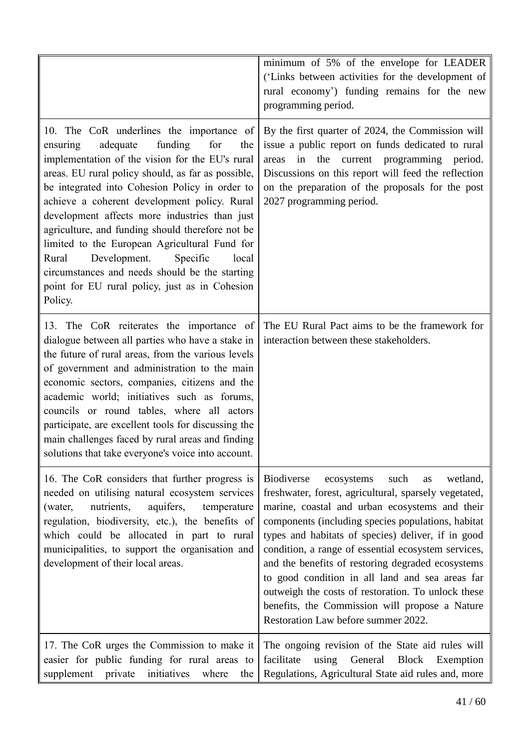|                                                                                                                                                                                                                                                                                                                                                                                                                                                                                                                                                                                                                         | minimum of 5% of the envelope for LEADER<br>('Links between activities for the development of<br>rural economy') funding remains for the new<br>programming period.                                                                                                                                                                                                                                                                                                                                                                                                                            |
|-------------------------------------------------------------------------------------------------------------------------------------------------------------------------------------------------------------------------------------------------------------------------------------------------------------------------------------------------------------------------------------------------------------------------------------------------------------------------------------------------------------------------------------------------------------------------------------------------------------------------|------------------------------------------------------------------------------------------------------------------------------------------------------------------------------------------------------------------------------------------------------------------------------------------------------------------------------------------------------------------------------------------------------------------------------------------------------------------------------------------------------------------------------------------------------------------------------------------------|
| 10. The CoR underlines the importance of<br>adequate<br>funding<br>for<br>the<br>ensuring<br>implementation of the vision for the EU's rural<br>areas. EU rural policy should, as far as possible,<br>be integrated into Cohesion Policy in order to<br>achieve a coherent development policy. Rural<br>development affects more industries than just<br>agriculture, and funding should therefore not be<br>limited to the European Agricultural Fund for<br>Development.<br>Specific<br>Rural<br>local<br>circumstances and needs should be the starting<br>point for EU rural policy, just as in Cohesion<br>Policy. | By the first quarter of 2024, the Commission will<br>issue a public report on funds dedicated to rural<br>in<br>the current programming period.<br>areas<br>Discussions on this report will feed the reflection<br>on the preparation of the proposals for the post<br>2027 programming period.                                                                                                                                                                                                                                                                                                |
| 13. The CoR reiterates the importance of<br>dialogue between all parties who have a stake in<br>the future of rural areas, from the various levels<br>of government and administration to the main<br>economic sectors, companies, citizens and the<br>academic world; initiatives such as forums,<br>councils or round tables, where all actors<br>participate, are excellent tools for discussing the<br>main challenges faced by rural areas and finding<br>solutions that take everyone's voice into account.                                                                                                       | The EU Rural Pact aims to be the framework for<br>interaction between these stakeholders.                                                                                                                                                                                                                                                                                                                                                                                                                                                                                                      |
| 16. The CoR considers that further progress is<br>needed on utilising natural ecosystem services<br>nutrients,<br>aquifers,<br>(water,<br>temperature<br>regulation, biodiversity, etc.), the benefits of<br>which could be allocated in part to rural<br>municipalities, to support the organisation and<br>development of their local areas.                                                                                                                                                                                                                                                                          | wetland,<br><b>Biodiverse</b><br>ecosystems<br>such<br>as<br>freshwater, forest, agricultural, sparsely vegetated,<br>marine, coastal and urban ecosystems and their<br>components (including species populations, habitat<br>types and habitats of species) deliver, if in good<br>condition, a range of essential ecosystem services,<br>and the benefits of restoring degraded ecosystems<br>to good condition in all land and sea areas far<br>outweigh the costs of restoration. To unlock these<br>benefits, the Commission will propose a Nature<br>Restoration Law before summer 2022. |
| 17. The CoR urges the Commission to make it<br>easier for public funding for rural areas to<br>supplement<br>private<br>initiatives<br>where<br>the                                                                                                                                                                                                                                                                                                                                                                                                                                                                     | The ongoing revision of the State aid rules will<br>facilitate<br>using General<br>Block Exemption<br>Regulations, Agricultural State aid rules and, more                                                                                                                                                                                                                                                                                                                                                                                                                                      |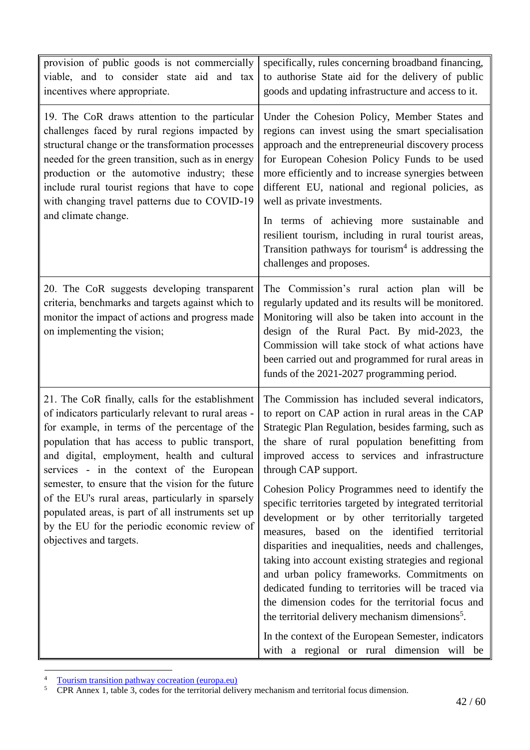| provision of public goods is not commercially<br>viable, and to consider state aid and tax<br>incentives where appropriate.                                                                                                                                                                                                                                                                                                                                                                                                                             | specifically, rules concerning broadband financing,<br>to authorise State aid for the delivery of public<br>goods and updating infrastructure and access to it.                                                                                                                                                                                                                                                                                                                                                                                                                                                                                                                                                                                                                                                                                                                                                                                         |
|---------------------------------------------------------------------------------------------------------------------------------------------------------------------------------------------------------------------------------------------------------------------------------------------------------------------------------------------------------------------------------------------------------------------------------------------------------------------------------------------------------------------------------------------------------|---------------------------------------------------------------------------------------------------------------------------------------------------------------------------------------------------------------------------------------------------------------------------------------------------------------------------------------------------------------------------------------------------------------------------------------------------------------------------------------------------------------------------------------------------------------------------------------------------------------------------------------------------------------------------------------------------------------------------------------------------------------------------------------------------------------------------------------------------------------------------------------------------------------------------------------------------------|
| 19. The CoR draws attention to the particular<br>challenges faced by rural regions impacted by<br>structural change or the transformation processes<br>needed for the green transition, such as in energy<br>production or the automotive industry; these<br>include rural tourist regions that have to cope<br>with changing travel patterns due to COVID-19<br>and climate change.                                                                                                                                                                    | Under the Cohesion Policy, Member States and<br>regions can invest using the smart specialisation<br>approach and the entrepreneurial discovery process<br>for European Cohesion Policy Funds to be used<br>more efficiently and to increase synergies between<br>different EU, national and regional policies, as<br>well as private investments.<br>In terms of achieving more sustainable and<br>resilient tourism, including in rural tourist areas,<br>Transition pathways for tourism <sup>4</sup> is addressing the<br>challenges and proposes.                                                                                                                                                                                                                                                                                                                                                                                                  |
| 20. The CoR suggests developing transparent<br>criteria, benchmarks and targets against which to<br>monitor the impact of actions and progress made<br>on implementing the vision;                                                                                                                                                                                                                                                                                                                                                                      | The Commission's rural action plan will be<br>regularly updated and its results will be monitored.<br>Monitoring will also be taken into account in the<br>design of the Rural Pact. By mid-2023, the<br>Commission will take stock of what actions have<br>been carried out and programmed for rural areas in<br>funds of the 2021-2027 programming period.                                                                                                                                                                                                                                                                                                                                                                                                                                                                                                                                                                                            |
| 21. The CoR finally, calls for the establishment<br>of indicators particularly relevant to rural areas -<br>for example, in terms of the percentage of the<br>population that has access to public transport,<br>and digital, employment, health and cultural<br>services - in the context of the European<br>semester, to ensure that the vision for the future<br>of the EU's rural areas, particularly in sparsely<br>populated areas, is part of all instruments set up<br>by the EU for the periodic economic review of<br>objectives and targets. | The Commission has included several indicators,<br>to report on CAP action in rural areas in the CAP<br>Strategic Plan Regulation, besides farming, such as<br>the share of rural population benefitting from<br>improved access to services and infrastructure<br>through CAP support.<br>Cohesion Policy Programmes need to identify the<br>specific territories targeted by integrated territorial<br>development or by other territorially targeted<br>measures, based on the identified territorial<br>disparities and inequalities, needs and challenges,<br>taking into account existing strategies and regional<br>and urban policy frameworks. Commitments on<br>dedicated funding to territories will be traced via<br>the dimension codes for the territorial focus and<br>the territorial delivery mechanism dimensions <sup>5</sup> .<br>In the context of the European Semester, indicators<br>with a regional or rural dimension will be |

 $\overline{4}$ <sup>4</sup> [Tourism transition pathway cocreation \(europa.eu\)](https://ec.europa.eu/growth/sectors/tourism/tourism-transition-pathway_en)

<sup>&</sup>lt;sup>5</sup> CPR Annex 1, table 3, codes for the territorial delivery mechanism and territorial focus dimension.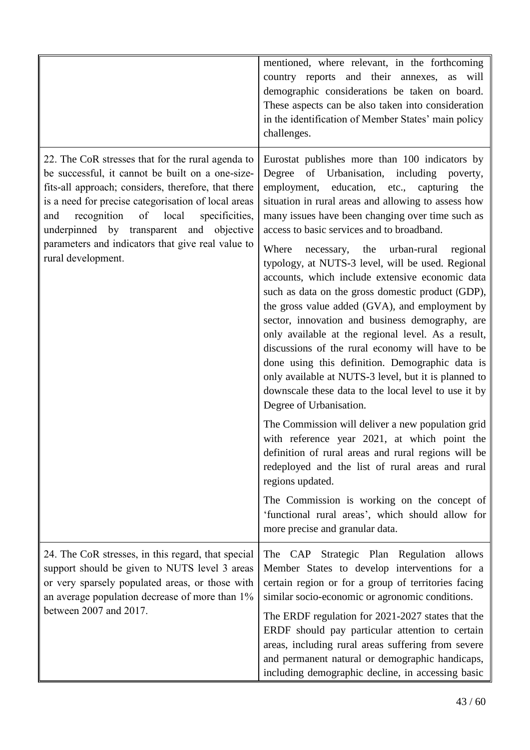|                                                                                                                                                                                                                                                                                                                                                                                                   | mentioned, where relevant, in the forthcoming<br>country reports and their annexes, as will<br>demographic considerations be taken on board.<br>These aspects can be also taken into consideration<br>in the identification of Member States' main policy<br>challenges.                                                                                                                                                                                                                                                                                                                                                                                                                                                                                                                                                                                                                                                               |
|---------------------------------------------------------------------------------------------------------------------------------------------------------------------------------------------------------------------------------------------------------------------------------------------------------------------------------------------------------------------------------------------------|----------------------------------------------------------------------------------------------------------------------------------------------------------------------------------------------------------------------------------------------------------------------------------------------------------------------------------------------------------------------------------------------------------------------------------------------------------------------------------------------------------------------------------------------------------------------------------------------------------------------------------------------------------------------------------------------------------------------------------------------------------------------------------------------------------------------------------------------------------------------------------------------------------------------------------------|
| 22. The CoR stresses that for the rural agenda to<br>be successful, it cannot be built on a one-size-<br>fits-all approach; considers, therefore, that there<br>is a need for precise categorisation of local areas<br>recognition<br>of<br>local<br>specificities,<br>and<br>underpinned by transparent and objective<br>parameters and indicators that give real value to<br>rural development. | Eurostat publishes more than 100 indicators by<br>of Urbanisation, including poverty,<br>Degree<br>employment, education, etc., capturing<br>the<br>situation in rural areas and allowing to assess how<br>many issues have been changing over time such as<br>access to basic services and to broadband.<br>necessary, the urban-rural<br>Where<br>regional<br>typology, at NUTS-3 level, will be used. Regional<br>accounts, which include extensive economic data<br>such as data on the gross domestic product (GDP),<br>the gross value added (GVA), and employment by<br>sector, innovation and business demography, are<br>only available at the regional level. As a result,<br>discussions of the rural economy will have to be<br>done using this definition. Demographic data is<br>only available at NUTS-3 level, but it is planned to<br>downscale these data to the local level to use it by<br>Degree of Urbanisation. |
|                                                                                                                                                                                                                                                                                                                                                                                                   | The Commission will deliver a new population grid<br>with reference year 2021, at which point the<br>definition of rural areas and rural regions will be<br>redeployed and the list of rural areas and rural<br>regions updated.<br>The Commission is working on the concept of<br>'functional rural areas', which should allow for                                                                                                                                                                                                                                                                                                                                                                                                                                                                                                                                                                                                    |
|                                                                                                                                                                                                                                                                                                                                                                                                   | more precise and granular data.                                                                                                                                                                                                                                                                                                                                                                                                                                                                                                                                                                                                                                                                                                                                                                                                                                                                                                        |
| 24. The CoR stresses, in this regard, that special<br>support should be given to NUTS level 3 areas<br>or very sparsely populated areas, or those with<br>an average population decrease of more than 1%<br>between 2007 and 2017.                                                                                                                                                                | The CAP Strategic Plan Regulation<br>allows<br>Member States to develop interventions for a<br>certain region or for a group of territories facing<br>similar socio-economic or agronomic conditions.<br>The ERDF regulation for 2021-2027 states that the<br>ERDF should pay particular attention to certain<br>areas, including rural areas suffering from severe<br>and permanent natural or demographic handicaps,<br>including demographic decline, in accessing basic                                                                                                                                                                                                                                                                                                                                                                                                                                                            |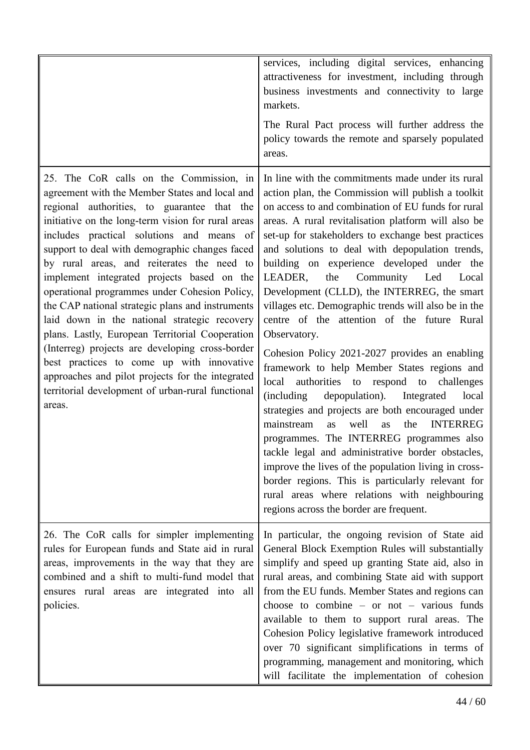|                                                                                                                                                                                                                                                                                                                                                                                                                                                                                                                                                                                                                                                                                                                                                                                                                      | services, including digital services, enhancing<br>attractiveness for investment, including through<br>business investments and connectivity to large<br>markets.<br>The Rural Pact process will further address the<br>policy towards the remote and sparsely populated<br>areas.                                                                                                                                                                                                                                                                                                                                                                                                                                                                                                                                                                                                                                                                                                                                                                                                                                                                                                                                              |
|----------------------------------------------------------------------------------------------------------------------------------------------------------------------------------------------------------------------------------------------------------------------------------------------------------------------------------------------------------------------------------------------------------------------------------------------------------------------------------------------------------------------------------------------------------------------------------------------------------------------------------------------------------------------------------------------------------------------------------------------------------------------------------------------------------------------|---------------------------------------------------------------------------------------------------------------------------------------------------------------------------------------------------------------------------------------------------------------------------------------------------------------------------------------------------------------------------------------------------------------------------------------------------------------------------------------------------------------------------------------------------------------------------------------------------------------------------------------------------------------------------------------------------------------------------------------------------------------------------------------------------------------------------------------------------------------------------------------------------------------------------------------------------------------------------------------------------------------------------------------------------------------------------------------------------------------------------------------------------------------------------------------------------------------------------------|
| 25. The CoR calls on the Commission, in<br>agreement with the Member States and local and<br>regional authorities, to guarantee that the<br>initiative on the long-term vision for rural areas<br>includes practical solutions and means of<br>support to deal with demographic changes faced<br>by rural areas, and reiterates the need to<br>implement integrated projects based on the<br>operational programmes under Cohesion Policy,<br>the CAP national strategic plans and instruments<br>laid down in the national strategic recovery<br>plans. Lastly, European Territorial Cooperation<br>(Interreg) projects are developing cross-border<br>best practices to come up with innovative<br>approaches and pilot projects for the integrated<br>territorial development of urban-rural functional<br>areas. | In line with the commitments made under its rural<br>action plan, the Commission will publish a toolkit<br>on access to and combination of EU funds for rural<br>areas. A rural revitalisation platform will also be<br>set-up for stakeholders to exchange best practices<br>and solutions to deal with depopulation trends,<br>building on experience developed under the<br>LEADER,<br>the<br>Community Led<br>Local<br>Development (CLLD), the INTERREG, the smart<br>villages etc. Demographic trends will also be in the<br>centre of the attention of the future Rural<br>Observatory.<br>Cohesion Policy 2021-2027 provides an enabling<br>framework to help Member States regions and<br>authorities to respond to challenges<br>local<br>depopulation). Integrated<br>(including)<br>local<br>strategies and projects are both encouraged under<br>mainstream<br>well<br>the<br><b>INTERREG</b><br>as<br>as<br>programmes. The INTERREG programmes also<br>tackle legal and administrative border obstacles,<br>improve the lives of the population living in cross-<br>border regions. This is particularly relevant for<br>rural areas where relations with neighbouring<br>regions across the border are frequent. |
| 26. The CoR calls for simpler implementing<br>rules for European funds and State aid in rural<br>areas, improvements in the way that they are<br>combined and a shift to multi-fund model that<br>ensures rural areas are integrated into all<br>policies.                                                                                                                                                                                                                                                                                                                                                                                                                                                                                                                                                           | In particular, the ongoing revision of State aid<br>General Block Exemption Rules will substantially<br>simplify and speed up granting State aid, also in<br>rural areas, and combining State aid with support<br>from the EU funds. Member States and regions can<br>choose to combine $-$ or not $-$ various funds<br>available to them to support rural areas. The<br>Cohesion Policy legislative framework introduced<br>over 70 significant simplifications in terms of<br>programming, management and monitoring, which<br>will facilitate the implementation of cohesion                                                                                                                                                                                                                                                                                                                                                                                                                                                                                                                                                                                                                                                 |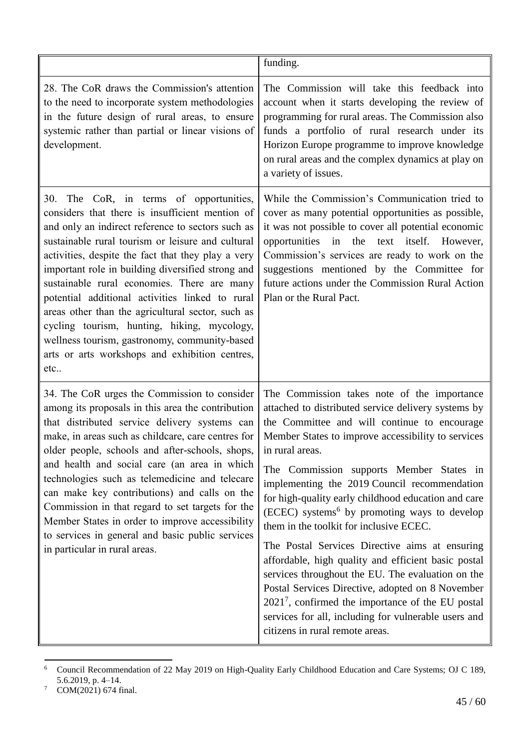|                                                                                                                                                                                                                                                                                                                                                                                                                                                                                                                                                                                                                                    | funding.                                                                                                                                                                                                                                                                                                                                                                                                                                                                                                                                                                                                                                                                                                                                                                                                                                                  |
|------------------------------------------------------------------------------------------------------------------------------------------------------------------------------------------------------------------------------------------------------------------------------------------------------------------------------------------------------------------------------------------------------------------------------------------------------------------------------------------------------------------------------------------------------------------------------------------------------------------------------------|-----------------------------------------------------------------------------------------------------------------------------------------------------------------------------------------------------------------------------------------------------------------------------------------------------------------------------------------------------------------------------------------------------------------------------------------------------------------------------------------------------------------------------------------------------------------------------------------------------------------------------------------------------------------------------------------------------------------------------------------------------------------------------------------------------------------------------------------------------------|
| 28. The CoR draws the Commission's attention<br>to the need to incorporate system methodologies<br>in the future design of rural areas, to ensure<br>systemic rather than partial or linear visions of<br>development.                                                                                                                                                                                                                                                                                                                                                                                                             | The Commission will take this feedback into<br>account when it starts developing the review of<br>programming for rural areas. The Commission also<br>funds a portfolio of rural research under its<br>Horizon Europe programme to improve knowledge<br>on rural areas and the complex dynamics at play on<br>a variety of issues.                                                                                                                                                                                                                                                                                                                                                                                                                                                                                                                        |
| The CoR, in terms of opportunities,<br>30.<br>considers that there is insufficient mention of<br>and only an indirect reference to sectors such as<br>sustainable rural tourism or leisure and cultural<br>activities, despite the fact that they play a very<br>important role in building diversified strong and<br>sustainable rural economies. There are many<br>potential additional activities linked to rural<br>areas other than the agricultural sector, such as<br>cycling tourism, hunting, hiking, mycology,<br>wellness tourism, gastronomy, community-based<br>arts or arts workshops and exhibition centres,<br>etc | While the Commission's Communication tried to<br>cover as many potential opportunities as possible,<br>it was not possible to cover all potential economic<br>opportunities in the text itself. However,<br>Commission's services are ready to work on the<br>suggestions mentioned by the Committee for<br>future actions under the Commission Rural Action<br>Plan or the Rural Pact.                                                                                                                                                                                                                                                                                                                                                                                                                                                                   |
| 34. The CoR urges the Commission to consider<br>among its proposals in this area the contribution<br>that distributed service delivery systems can<br>make, in areas such as childcare, care centres for<br>older people, schools and after-schools, shops,<br>and health and social care (an area in which<br>technologies such as telemedicine and telecare<br>can make key contributions) and calls on the<br>Commission in that regard to set targets for the<br>Member States in order to improve accessibility<br>to services in general and basic public services<br>in particular in rural areas.                          | The Commission takes note of the importance<br>attached to distributed service delivery systems by<br>the Committee and will continue to encourage<br>Member States to improve accessibility to services<br>in rural areas.<br>The Commission supports Member States in<br>implementing the 2019 Council recommendation<br>for high-quality early childhood education and care<br>(ECEC) systems <sup>6</sup> by promoting ways to develop<br>them in the toolkit for inclusive ECEC.<br>The Postal Services Directive aims at ensuring<br>affordable, high quality and efficient basic postal<br>services throughout the EU. The evaluation on the<br>Postal Services Directive, adopted on 8 November<br>$20217$ , confirmed the importance of the EU postal<br>services for all, including for vulnerable users and<br>citizens in rural remote areas. |

 $\sqrt{6}$ <sup>6</sup> Council Recommendation of 22 May 2019 on High-Quality Early Childhood Education and Care Systems; OJ C 189, 5.6.2019, p. 4–14.

 $7$  COM(2021) 674 final.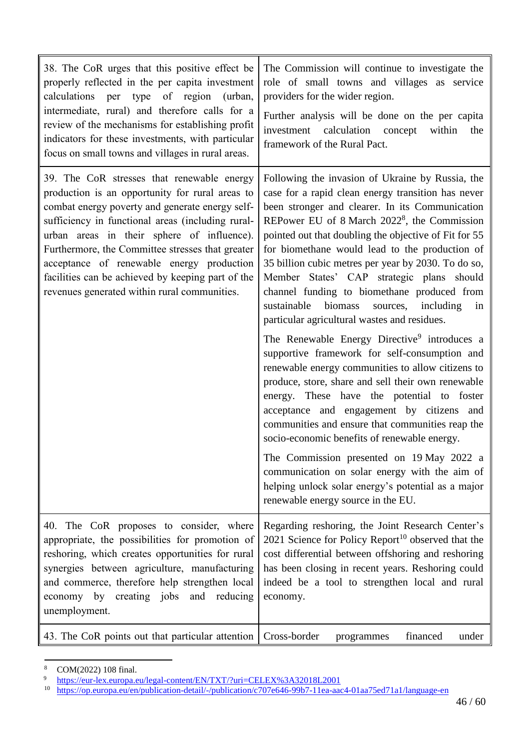| 38. The CoR urges that this positive effect be<br>properly reflected in the per capita investment<br>calculations per type of region<br>(urban,<br>intermediate, rural) and therefore calls for a<br>review of the mechanisms for establishing profit<br>indicators for these investments, with particular<br>focus on small towns and villages in rural areas.                                                                                           | The Commission will continue to investigate the<br>role of small towns and villages as service<br>providers for the wider region.<br>Further analysis will be done on the per capita<br>investment calculation concept within<br>the<br>framework of the Rural Pact.                                                                                                                                                                                                                                                                                                                                          |
|-----------------------------------------------------------------------------------------------------------------------------------------------------------------------------------------------------------------------------------------------------------------------------------------------------------------------------------------------------------------------------------------------------------------------------------------------------------|---------------------------------------------------------------------------------------------------------------------------------------------------------------------------------------------------------------------------------------------------------------------------------------------------------------------------------------------------------------------------------------------------------------------------------------------------------------------------------------------------------------------------------------------------------------------------------------------------------------|
| 39. The CoR stresses that renewable energy<br>production is an opportunity for rural areas to<br>combat energy poverty and generate energy self-<br>sufficiency in functional areas (including rural-<br>urban areas in their sphere of influence).<br>Furthermore, the Committee stresses that greater<br>acceptance of renewable energy production<br>facilities can be achieved by keeping part of the<br>revenues generated within rural communities. | Following the invasion of Ukraine by Russia, the<br>case for a rapid clean energy transition has never<br>been stronger and clearer. In its Communication<br>REPower EU of 8 March 2022 <sup>8</sup> , the Commission<br>pointed out that doubling the objective of Fit for 55<br>for biomethane would lead to the production of<br>35 billion cubic metres per year by 2030. To do so,<br>Member States' CAP strategic plans should<br>channel funding to biomethane produced from<br>sustainable<br>biomass<br>sources, including<br>in<br>particular agricultural wastes and residues.                     |
|                                                                                                                                                                                                                                                                                                                                                                                                                                                           | The Renewable Energy Directive <sup>9</sup> introduces a<br>supportive framework for self-consumption and<br>renewable energy communities to allow citizens to<br>produce, store, share and sell their own renewable<br>energy. These have the potential to foster<br>acceptance and engagement by citizens and<br>communities and ensure that communities reap the<br>socio-economic benefits of renewable energy.<br>The Commission presented on 19 May 2022 a<br>communication on solar energy with the aim of<br>helping unlock solar energy's potential as a major<br>renewable energy source in the EU. |
| 40. The CoR proposes to consider, where<br>appropriate, the possibilities for promotion of<br>reshoring, which creates opportunities for rural<br>synergies between agriculture, manufacturing<br>and commerce, therefore help strengthen local<br>economy by creating jobs and reducing<br>unemployment.                                                                                                                                                 | Regarding reshoring, the Joint Research Center's<br>2021 Science for Policy Report <sup>10</sup> observed that the<br>cost differential between offshoring and reshoring<br>has been closing in recent years. Reshoring could<br>indeed be a tool to strengthen local and rural<br>economy.                                                                                                                                                                                                                                                                                                                   |
| 43. The CoR points out that particular attention                                                                                                                                                                                                                                                                                                                                                                                                          | Cross-border<br>financed<br>under<br>programmes                                                                                                                                                                                                                                                                                                                                                                                                                                                                                                                                                               |

 $\,$  8  $\,$  $\frac{8}{9}$  COM(2022) 108 final.

<sup>9</sup> <https://eur-lex.europa.eu/legal-content/EN/TXT/?uri=CELEX%3A32018L2001>

<sup>10</sup> <https://op.europa.eu/en/publication-detail/-/publication/c707e646-99b7-11ea-aac4-01aa75ed71a1/language-en>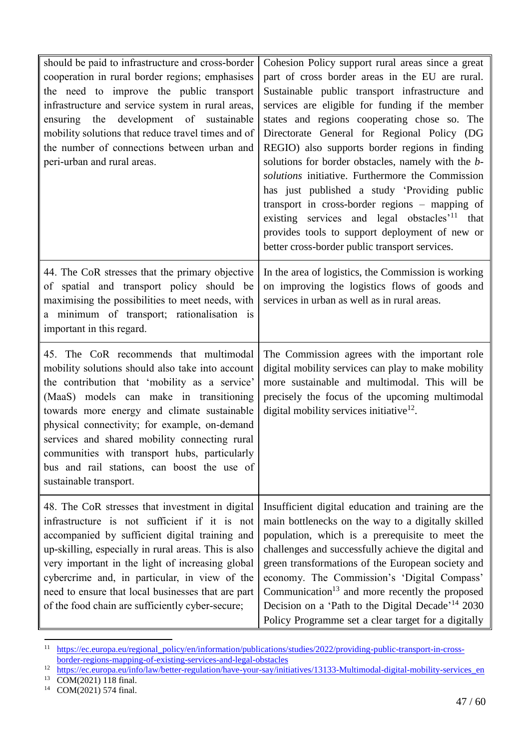| should be paid to infrastructure and cross-border<br>cooperation in rural border regions; emphasises<br>the need to improve the public transport<br>infrastructure and service system in rural areas,<br>ensuring the development of sustainable<br>mobility solutions that reduce travel times and of<br>the number of connections between urban and<br>peri-urban and rural areas.                                                                              | Cohesion Policy support rural areas since a great<br>part of cross border areas in the EU are rural.<br>Sustainable public transport infrastructure and<br>services are eligible for funding if the member<br>states and regions cooperating chose so. The<br>Directorate General for Regional Policy (DG<br>REGIO) also supports border regions in finding<br>solutions for border obstacles, namely with the b-<br>solutions initiative. Furthermore the Commission<br>has just published a study 'Providing public<br>transport in cross-border regions – mapping of<br>existing services and legal obstacles' <sup>11</sup> that<br>provides tools to support deployment of new or<br>better cross-border public transport services. |
|-------------------------------------------------------------------------------------------------------------------------------------------------------------------------------------------------------------------------------------------------------------------------------------------------------------------------------------------------------------------------------------------------------------------------------------------------------------------|------------------------------------------------------------------------------------------------------------------------------------------------------------------------------------------------------------------------------------------------------------------------------------------------------------------------------------------------------------------------------------------------------------------------------------------------------------------------------------------------------------------------------------------------------------------------------------------------------------------------------------------------------------------------------------------------------------------------------------------|
| 44. The CoR stresses that the primary objective<br>of spatial and transport policy should be<br>maximising the possibilities to meet needs, with<br>a minimum of transport; rationalisation is<br>important in this regard.                                                                                                                                                                                                                                       | In the area of logistics, the Commission is working<br>on improving the logistics flows of goods and<br>services in urban as well as in rural areas.                                                                                                                                                                                                                                                                                                                                                                                                                                                                                                                                                                                     |
| 45. The CoR recommends that multimodal<br>mobility solutions should also take into account<br>the contribution that 'mobility as a service'<br>(MaaS) models can make in transitioning<br>towards more energy and climate sustainable<br>physical connectivity; for example, on-demand<br>services and shared mobility connecting rural<br>communities with transport hubs, particularly<br>bus and rail stations, can boost the use of<br>sustainable transport. | The Commission agrees with the important role<br>digital mobility services can play to make mobility<br>more sustainable and multimodal. This will be<br>precisely the focus of the upcoming multimodal<br>digital mobility services initiative <sup>12</sup> .                                                                                                                                                                                                                                                                                                                                                                                                                                                                          |
| 48. The CoR stresses that investment in digital<br>infrastructure is not sufficient if it is not<br>accompanied by sufficient digital training and<br>up-skilling, especially in rural areas. This is also<br>very important in the light of increasing global<br>cybercrime and, in particular, in view of the<br>need to ensure that local businesses that are part<br>of the food chain are sufficiently cyber-secure;                                         | Insufficient digital education and training are the<br>main bottlenecks on the way to a digitally skilled<br>population, which is a prerequisite to meet the<br>challenges and successfully achieve the digital and<br>green transformations of the European society and<br>economy. The Commission's 'Digital Compass'<br>Communication <sup>13</sup> and more recently the proposed<br>Decision on a 'Path to the Digital Decade' <sup>14</sup> 2030<br>Policy Programme set a clear target for a digitally                                                                                                                                                                                                                            |

 $11\,$ <sup>11</sup> [https://ec.europa.eu/regional\\_policy/en/information/publications/studies/2022/providing-public-transport-in-cross](https://ec.europa.eu/regional_policy/en/information/publications/studies/2022/providing-public-transport-in-cross-border-regions-mapping-of-existing-services-and-legal-obstacles)[border-regions-mapping-of-existing-services-and-legal-obstacles](https://ec.europa.eu/regional_policy/en/information/publications/studies/2022/providing-public-transport-in-cross-border-regions-mapping-of-existing-services-and-legal-obstacles)

<sup>12</sup> [https://ec.europa.eu/info/law/better-regulation/have-your-say/initiatives/13133-Multimodal-digital-mobility-services\\_en](https://ec.europa.eu/info/law/better-regulation/have-your-say/initiatives/13133-Multimodal-digital-mobility-services_en)

<sup>&</sup>lt;sup>13</sup> COM(2021) 118 final.

 $14$  COM(2021) 574 final.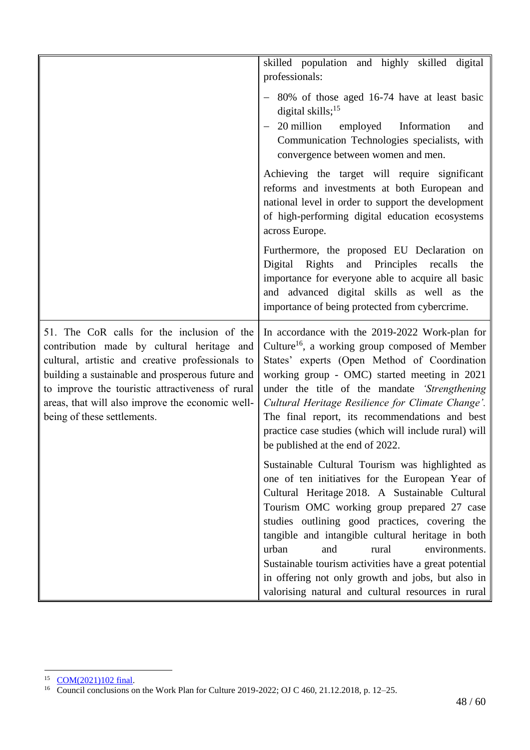|                                                                                                                                                                                                                                                                                                                                         | skilled population and highly skilled digital<br>professionals:                                                                                                                                                                                                                                                                                                                                                                                                                                                         |
|-----------------------------------------------------------------------------------------------------------------------------------------------------------------------------------------------------------------------------------------------------------------------------------------------------------------------------------------|-------------------------------------------------------------------------------------------------------------------------------------------------------------------------------------------------------------------------------------------------------------------------------------------------------------------------------------------------------------------------------------------------------------------------------------------------------------------------------------------------------------------------|
|                                                                                                                                                                                                                                                                                                                                         | - 80% of those aged 16-74 have at least basic<br>digital skills; $^{15}$<br>20 million employed<br>Information<br>and<br>Communication Technologies specialists, with<br>convergence between women and men.                                                                                                                                                                                                                                                                                                             |
|                                                                                                                                                                                                                                                                                                                                         | Achieving the target will require significant<br>reforms and investments at both European and<br>national level in order to support the development<br>of high-performing digital education ecosystems<br>across Europe.                                                                                                                                                                                                                                                                                                |
|                                                                                                                                                                                                                                                                                                                                         | Furthermore, the proposed EU Declaration on<br>and Principles recalls<br>Digital Rights<br>the<br>importance for everyone able to acquire all basic<br>and advanced digital skills as well as the<br>importance of being protected from cybercrime.                                                                                                                                                                                                                                                                     |
| 51. The CoR calls for the inclusion of the<br>contribution made by cultural heritage and<br>cultural, artistic and creative professionals to<br>building a sustainable and prosperous future and<br>to improve the touristic attractiveness of rural<br>areas, that will also improve the economic well-<br>being of these settlements. | In accordance with the 2019-2022 Work-plan for<br>Culture <sup>16</sup> , a working group composed of Member<br>States' experts (Open Method of Coordination<br>working group - OMC) started meeting in 2021<br>under the title of the mandate 'Strengthening<br>Cultural Heritage Resilience for Climate Change'.<br>The final report, its recommendations and best<br>practice case studies (which will include rural) will<br>be published at the end of 2022.                                                       |
|                                                                                                                                                                                                                                                                                                                                         | Sustainable Cultural Tourism was highlighted as<br>one of ten initiatives for the European Year of<br>Cultural Heritage 2018. A Sustainable Cultural<br>Tourism OMC working group prepared 27 case<br>studies outlining good practices, covering the<br>tangible and intangible cultural heritage in both<br>urban<br>and<br>rural<br>environments.<br>Sustainable tourism activities have a great potential<br>in offering not only growth and jobs, but also in<br>valorising natural and cultural resources in rural |

 $\overline{a}$ <sup>15</sup> [COM\(2021\)102 final.](https://eur-lex.europa.eu/legal-content/EN/TXT/?uri=COM:2021:102:FIN)

<sup>&</sup>lt;sup>16</sup> Council conclusions on the Work Plan for Culture 2019-2022; OJ C 460, 21.12.2018, p. 12–25.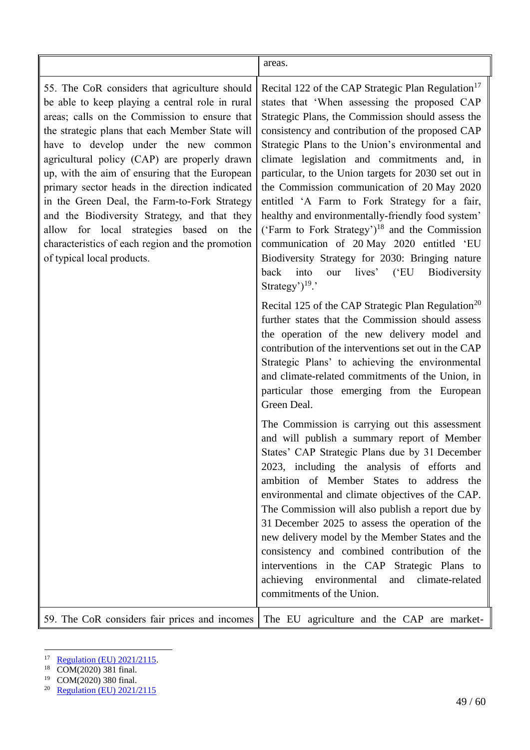areas.

55. The CoR considers that agriculture should be able to keep playing a central role in rural areas; calls on the Commission to ensure that the strategic plans that each Member State will have to develop under the new common agricultural policy (CAP) are properly drawn up, with the aim of ensuring that the European primary sector heads in the direction indicated in the Green Deal, the Farm-to-Fork Strategy and the Biodiversity Strategy, and that they allow for local strategies based on the characteristics of each region and the promotion of typical local products.

Recital 122 of the CAP Strategic Plan Regulation<sup>17</sup> states that 'When assessing the proposed CAP Strategic Plans, the Commission should assess the consistency and contribution of the proposed CAP Strategic Plans to the Union's environmental and climate legislation and commitments and, in particular, to the Union targets for 2030 set out in the Commission communication of 20 May 2020 entitled 'A Farm to Fork Strategy for a fair, healthy and environmentally-friendly food system' ('Farm to Fork Strategy')<sup>18</sup> and the Commission communication of 20 May 2020 entitled 'EU Biodiversity Strategy for 2030: Bringing nature back into our lives' ('EU Biodiversity Strategy') $19$ .'

Recital 125 of the CAP Strategic Plan Regulation<sup>20</sup> further states that the Commission should assess the operation of the new delivery model and contribution of the interventions set out in the CAP Strategic Plans' to achieving the environmental and climate-related commitments of the Union, in particular those emerging from the European Green Deal.

The Commission is carrying out this assessment and will publish a summary report of Member States' CAP Strategic Plans due by 31 December 2023, including the analysis of efforts and ambition of Member States to address the environmental and climate objectives of the CAP. The Commission will also publish a report due by 31 December 2025 to assess the operation of the new delivery model by the Member States and the consistency and combined contribution of the interventions in the CAP Strategic Plans to achieving environmental and climate-related commitments of the Union.

59. The CoR considers fair prices and incomes The EU agriculture and the CAP are market-

 $\overline{a}$  $\frac{17}{18}$  [Regulation \(EU\) 2021/2115.](https://op.europa.eu/pl/publication-detail/-/publication/4a220961-5636-11ec-91ac-01aa75ed71a1/language-en)

COM(2020) 381 final.

<sup>19</sup> COM(2020) 380 final.

<sup>20</sup> [Regulation \(EU\) 2021/2115](https://op.europa.eu/pl/publication-detail/-/publication/4a220961-5636-11ec-91ac-01aa75ed71a1/language-en)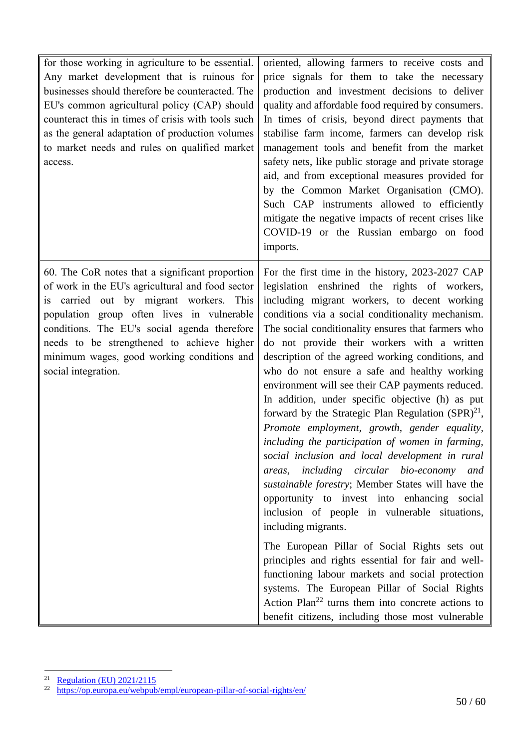| for those working in agriculture to be essential.<br>Any market development that is ruinous for<br>businesses should therefore be counteracted. The<br>EU's common agricultural policy (CAP) should<br>counteract this in times of crisis with tools such<br>as the general adaptation of production volumes<br>to market needs and rules on qualified market<br>access. | oriented, allowing farmers to receive costs and<br>price signals for them to take the necessary<br>production and investment decisions to deliver<br>quality and affordable food required by consumers.<br>In times of crisis, beyond direct payments that<br>stabilise farm income, farmers can develop risk<br>management tools and benefit from the market<br>safety nets, like public storage and private storage<br>aid, and from exceptional measures provided for<br>by the Common Market Organisation (CMO).<br>Such CAP instruments allowed to efficiently<br>mitigate the negative impacts of recent crises like<br>COVID-19 or the Russian embargo on food<br>imports.                                                                                                                                                                                                                                                                                                                                                                                                                                                                                                                                                                                                                       |
|--------------------------------------------------------------------------------------------------------------------------------------------------------------------------------------------------------------------------------------------------------------------------------------------------------------------------------------------------------------------------|---------------------------------------------------------------------------------------------------------------------------------------------------------------------------------------------------------------------------------------------------------------------------------------------------------------------------------------------------------------------------------------------------------------------------------------------------------------------------------------------------------------------------------------------------------------------------------------------------------------------------------------------------------------------------------------------------------------------------------------------------------------------------------------------------------------------------------------------------------------------------------------------------------------------------------------------------------------------------------------------------------------------------------------------------------------------------------------------------------------------------------------------------------------------------------------------------------------------------------------------------------------------------------------------------------|
| 60. The CoR notes that a significant proportion<br>of work in the EU's agricultural and food sector<br>is carried out by migrant workers. This<br>population group often lives in vulnerable<br>conditions. The EU's social agenda therefore<br>needs to be strengthened to achieve higher<br>minimum wages, good working conditions and<br>social integration.          | For the first time in the history, 2023-2027 CAP<br>legislation enshrined the rights of workers,<br>including migrant workers, to decent working<br>conditions via a social conditionality mechanism.<br>The social conditionality ensures that farmers who<br>do not provide their workers with a written<br>description of the agreed working conditions, and<br>who do not ensure a safe and healthy working<br>environment will see their CAP payments reduced.<br>In addition, under specific objective (h) as put<br>forward by the Strategic Plan Regulation $(SPR)^{21}$ ,<br>Promote employment, growth, gender equality,<br>including the participation of women in farming,<br>social inclusion and local development in rural<br>including circular bio-economy and<br>areas,<br>sustainable forestry; Member States will have the<br>opportunity to invest into enhancing social<br>inclusion of people in vulnerable situations,<br>including migrants.<br>The European Pillar of Social Rights sets out<br>principles and rights essential for fair and well-<br>functioning labour markets and social protection<br>systems. The European Pillar of Social Rights<br>Action Plan <sup>22</sup> turns them into concrete actions to<br>benefit citizens, including those most vulnerable |

 $\overline{a}$ <sup>21</sup> [Regulation \(EU\) 2021/2115](https://op.europa.eu/pl/publication-detail/-/publication/4a220961-5636-11ec-91ac-01aa75ed71a1/language-en)

<sup>&</sup>lt;sup>22</sup> <https://op.europa.eu/webpub/empl/european-pillar-of-social-rights/en/>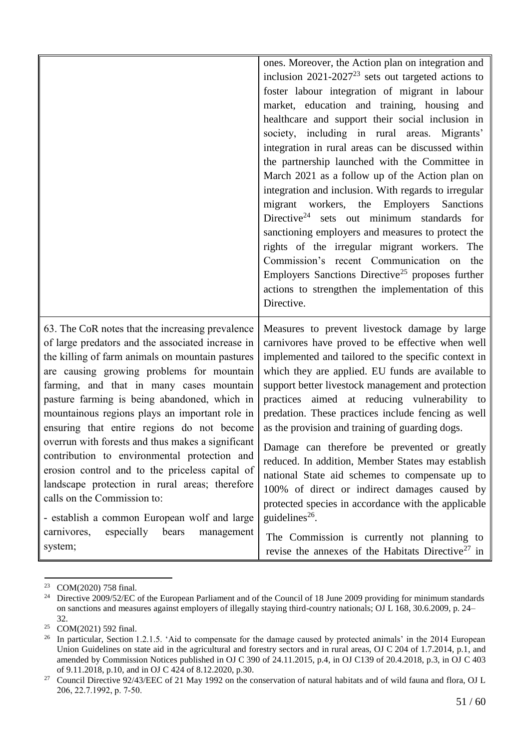|                                                                                                                                                                                                                                                                                                                                                                                                                                                                                                                                                                                                                                                                                                                                                 | ones. Moreover, the Action plan on integration and<br>inclusion $2021-2027^{23}$ sets out targeted actions to<br>foster labour integration of migrant in labour<br>market, education and training, housing and<br>healthcare and support their social inclusion in<br>society, including in rural areas. Migrants'<br>integration in rural areas can be discussed within<br>the partnership launched with the Committee in<br>March 2021 as a follow up of the Action plan on<br>integration and inclusion. With regards to irregular<br>migrant workers, the Employers<br>Sanctions<br>Directive <sup>24</sup> sets out minimum standards for<br>sanctioning employers and measures to protect the<br>rights of the irregular migrant workers. The<br>Commission's recent Communication on the<br>Employers Sanctions Directive <sup>25</sup> proposes further |
|-------------------------------------------------------------------------------------------------------------------------------------------------------------------------------------------------------------------------------------------------------------------------------------------------------------------------------------------------------------------------------------------------------------------------------------------------------------------------------------------------------------------------------------------------------------------------------------------------------------------------------------------------------------------------------------------------------------------------------------------------|-----------------------------------------------------------------------------------------------------------------------------------------------------------------------------------------------------------------------------------------------------------------------------------------------------------------------------------------------------------------------------------------------------------------------------------------------------------------------------------------------------------------------------------------------------------------------------------------------------------------------------------------------------------------------------------------------------------------------------------------------------------------------------------------------------------------------------------------------------------------|
|                                                                                                                                                                                                                                                                                                                                                                                                                                                                                                                                                                                                                                                                                                                                                 | actions to strengthen the implementation of this<br>Directive.                                                                                                                                                                                                                                                                                                                                                                                                                                                                                                                                                                                                                                                                                                                                                                                                  |
| 63. The CoR notes that the increasing prevalence<br>of large predators and the associated increase in<br>the killing of farm animals on mountain pastures<br>are causing growing problems for mountain<br>farming, and that in many cases mountain<br>pasture farming is being abandoned, which in<br>mountainous regions plays an important role in<br>ensuring that entire regions do not become<br>overrun with forests and thus makes a significant<br>contribution to environmental protection and<br>erosion control and to the priceless capital of<br>landscape protection in rural areas; therefore<br>calls on the Commission to:<br>- establish a common European wolf and large<br>especially<br>bears<br>carnivores,<br>management | Measures to prevent livestock damage by large<br>carnivores have proved to be effective when well<br>implemented and tailored to the specific context in<br>which they are applied. EU funds are available to<br>support better livestock management and protection<br>practices aimed at reducing vulnerability to<br>predation. These practices include fencing as well<br>as the provision and training of guarding dogs.<br>Damage can therefore be prevented or greatly<br>reduced. In addition, Member States may establish<br>national State aid schemes to compensate up to<br>100% of direct or indirect damages caused by<br>protected species in accordance with the applicable<br>guidelines <sup>26</sup> .<br>The Commission is currently not planning to                                                                                         |
| system;                                                                                                                                                                                                                                                                                                                                                                                                                                                                                                                                                                                                                                                                                                                                         | revise the annexes of the Habitats Directive <sup>27</sup> in                                                                                                                                                                                                                                                                                                                                                                                                                                                                                                                                                                                                                                                                                                                                                                                                   |

 $\overline{a}$ <sup>23</sup> COM(2020) 758 final.

<sup>&</sup>lt;sup>24</sup> Directive 2009/52/EC of the European Parliament and of the Council of 18 June 2009 providing for minimum standards on sanctions and measures against employers of illegally staying third-country nationals; OJ L 168, 30.6.2009, p. 24– 32.

<sup>&</sup>lt;sup>25</sup> COM(2021) 592 final.

<sup>&</sup>lt;sup>26</sup> In particular, Section 1.2.1.5. 'Aid to compensate for the damage caused by protected animals' in the 2014 European Union Guidelines on state aid in the agricultural and forestry sectors and in rural areas, OJ C 204 of 1.7.2014, p.1, and amended by Commission Notices published in OJ C 390 of 24.11.2015, p.4, in OJ C139 of 20.4.2018, p.3, in OJ C 403 of 9.11.2018, p.10, and in OJ C 424 of 8.12.2020, p.30.

<sup>&</sup>lt;sup>27</sup> Council Directive 92/43/EEC of 21 May 1992 on the conservation of natural habitats and of wild fauna and flora, OJ L 206, 22.7.1992, p. 7‐50.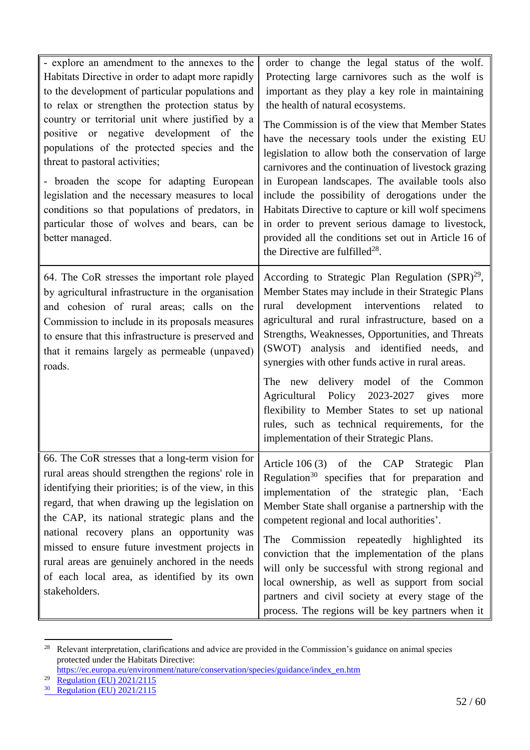| - explore an amendment to the annexes to the<br>Habitats Directive in order to adapt more rapidly<br>to the development of particular populations and<br>to relax or strengthen the protection status by<br>country or territorial unit where justified by a<br>positive or negative development of the<br>populations of the protected species and the<br>threat to pastoral activities;<br>- broaden the scope for adapting European                                                  | order to change the legal status of the wolf.<br>Protecting large carnivores such as the wolf is<br>important as they play a key role in maintaining<br>the health of natural ecosystems.<br>The Commission is of the view that Member States<br>have the necessary tools under the existing EU<br>legislation to allow both the conservation of large<br>carnivores and the continuation of livestock grazing<br>in European landscapes. The available tools also                                                                                                                                                     |
|-----------------------------------------------------------------------------------------------------------------------------------------------------------------------------------------------------------------------------------------------------------------------------------------------------------------------------------------------------------------------------------------------------------------------------------------------------------------------------------------|------------------------------------------------------------------------------------------------------------------------------------------------------------------------------------------------------------------------------------------------------------------------------------------------------------------------------------------------------------------------------------------------------------------------------------------------------------------------------------------------------------------------------------------------------------------------------------------------------------------------|
| legislation and the necessary measures to local<br>conditions so that populations of predators, in<br>particular those of wolves and bears, can be<br>better managed.                                                                                                                                                                                                                                                                                                                   | include the possibility of derogations under the<br>Habitats Directive to capture or kill wolf specimens<br>in order to prevent serious damage to livestock,<br>provided all the conditions set out in Article 16 of<br>the Directive are fulfilled <sup>28</sup> .                                                                                                                                                                                                                                                                                                                                                    |
| 64. The CoR stresses the important role played<br>by agricultural infrastructure in the organisation<br>and cohesion of rural areas; calls on the<br>Commission to include in its proposals measures<br>to ensure that this infrastructure is preserved and<br>that it remains largely as permeable (unpaved)<br>roads.                                                                                                                                                                 | According to Strategic Plan Regulation $(SPR)^{29}$ ,<br>Member States may include in their Strategic Plans<br>development interventions<br>related<br>rural<br>to<br>agricultural and rural infrastructure, based on a<br>Strengths, Weaknesses, Opportunities, and Threats<br>(SWOT) analysis and identified needs, and<br>synergies with other funds active in rural areas.<br>The new delivery model of the Common<br>Agricultural Policy 2023-2027 gives<br>more<br>flexibility to Member States to set up national<br>rules, such as technical requirements, for the<br>implementation of their Strategic Plans. |
| 66. The CoR stresses that a long-term vision for<br>rural areas should strengthen the regions' role in<br>identifying their priorities; is of the view, in this<br>regard, that when drawing up the legislation on<br>the CAP, its national strategic plans and the<br>national recovery plans an opportunity was<br>missed to ensure future investment projects in<br>rural areas are genuinely anchored in the needs<br>of each local area, as identified by its own<br>stakeholders. | Article 106 (3) of the CAP Strategic Plan<br>Regulation <sup>30</sup> specifies that for preparation and<br>implementation of the strategic plan, 'Each<br>Member State shall organise a partnership with the<br>competent regional and local authorities'.<br>The Commission repeatedly highlighted its<br>conviction that the implementation of the plans<br>will only be successful with strong regional and<br>local ownership, as well as support from social<br>partners and civil society at every stage of the<br>process. The regions will be key partners when it                                            |

 $28\,$ Relevant interpretation, clarifications and advice are provided in the Commission's guidance on animal species protected under the Habitats Directive:

[https://ec.europa.eu/environment/nature/conservation/species/guidance/index\\_en.htm](https://ec.europa.eu/environment/nature/conservation/species/guidance/index_en.htm)

<sup>&</sup>lt;sup>29</sup> [Regulation \(EU\) 2021/2115](https://op.europa.eu/pl/publication-detail/-/publication/4a220961-5636-11ec-91ac-01aa75ed71a1/language-en)

<sup>&</sup>lt;sup>30</sup> [Regulation \(EU\) 2021/2115](https://op.europa.eu/pl/publication-detail/-/publication/4a220961-5636-11ec-91ac-01aa75ed71a1/language-en)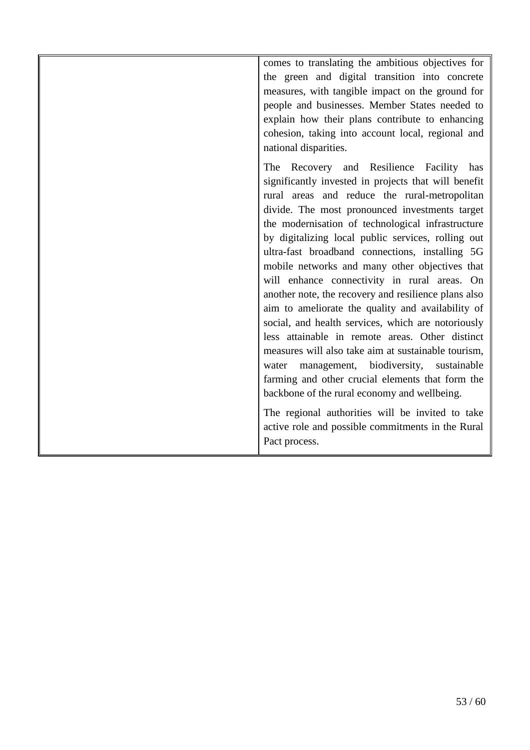comes to translating the ambitious objectives for the green and digital transition into concrete measures, with tangible impact on the ground for people and businesses. Member States needed to explain how their plans contribute to enhancing cohesion, taking into account local, regional and national disparities.

The Recovery and Resilience Facility has significantly invested in projects that will benefit rural areas and reduce the rural-metropolitan divide. The most pronounced investments target the modernisation of technological infrastructure by digitalizing local public services, rolling out ultra-fast broadband connections, installing 5G mobile networks and many other objectives that will enhance connectivity in rural areas. On another note, the recovery and resilience plans also aim to ameliorate the quality and availability of social, and health services, which are notoriously less attainable in remote areas. Other distinct measures will also take aim at sustainable tourism, water management, biodiversity, sustainable farming and other crucial elements that form the backbone of the rural economy and wellbeing.

The regional authorities will be invited to take active role and possible commitments in the Rural Pact process.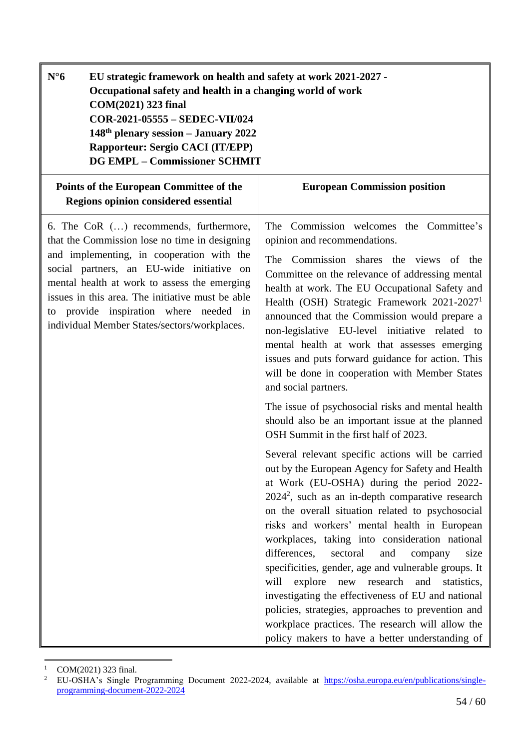<span id="page-53-0"></span>

| $N^{\circ}6$<br>EU strategic framework on health and safety at work 2021-2027 -<br>Occupational safety and health in a changing world of work<br>COM(2021) 323 final<br>COR-2021-05555 - SEDEC-VII/024<br>148th plenary session - January 2022<br><b>Rapporteur: Sergio CACI (IT/EPP)</b><br><b>DG EMPL - Commissioner SCHMIT</b>                                               |                                                                                                                                                                                                                                                                                                                                                                                                                                                                                                                                                                                                                                                                                                                                                       |
|---------------------------------------------------------------------------------------------------------------------------------------------------------------------------------------------------------------------------------------------------------------------------------------------------------------------------------------------------------------------------------|-------------------------------------------------------------------------------------------------------------------------------------------------------------------------------------------------------------------------------------------------------------------------------------------------------------------------------------------------------------------------------------------------------------------------------------------------------------------------------------------------------------------------------------------------------------------------------------------------------------------------------------------------------------------------------------------------------------------------------------------------------|
| Points of the European Committee of the<br>Regions opinion considered essential                                                                                                                                                                                                                                                                                                 | <b>European Commission position</b>                                                                                                                                                                                                                                                                                                                                                                                                                                                                                                                                                                                                                                                                                                                   |
| 6. The CoR () recommends, furthermore,<br>that the Commission lose no time in designing<br>and implementing, in cooperation with the<br>social partners, an EU-wide initiative on<br>mental health at work to assess the emerging<br>issues in this area. The initiative must be able<br>to provide inspiration where needed in<br>individual Member States/sectors/workplaces. | The Commission welcomes the Committee's<br>opinion and recommendations.<br>The Commission shares the views of the<br>Committee on the relevance of addressing mental<br>health at work. The EU Occupational Safety and<br>Health (OSH) Strategic Framework 2021-2027 <sup>1</sup><br>announced that the Commission would prepare a<br>non-legislative EU-level initiative related to<br>mental health at work that assesses emerging<br>issues and puts forward guidance for action. This<br>will be done in cooperation with Member States<br>and social partners.                                                                                                                                                                                   |
|                                                                                                                                                                                                                                                                                                                                                                                 | The issue of psychosocial risks and mental health<br>should also be an important issue at the planned<br>OSH Summit in the first half of 2023.                                                                                                                                                                                                                                                                                                                                                                                                                                                                                                                                                                                                        |
|                                                                                                                                                                                                                                                                                                                                                                                 | Several relevant specific actions will be carried<br>out by the European Agency for Safety and Health<br>at Work (EU-OSHA) during the period 2022-<br>$20242$ , such as an in-depth comparative research<br>on the overall situation related to psychosocial<br>risks and workers' mental health in European<br>workplaces, taking into consideration national<br>differences,<br>sectoral<br>and<br>size<br>company<br>specificities, gender, age and vulnerable groups. It<br>explore<br>new research<br>will<br>and statistics,<br>investigating the effectiveness of EU and national<br>policies, strategies, approaches to prevention and<br>workplace practices. The research will allow the<br>policy makers to have a better understanding of |

 $\ddot{\phantom{a}}$  $1$  COM(2021) 323 final.

<sup>&</sup>lt;sup>2</sup> EU-OSHA's Single Programming Document 2022-2024, available at [https://osha.europa.eu/en/publications/single](https://osha.europa.eu/en/publications/single-programming-document-2022-2024)[programming-document-2022-2024](https://osha.europa.eu/en/publications/single-programming-document-2022-2024)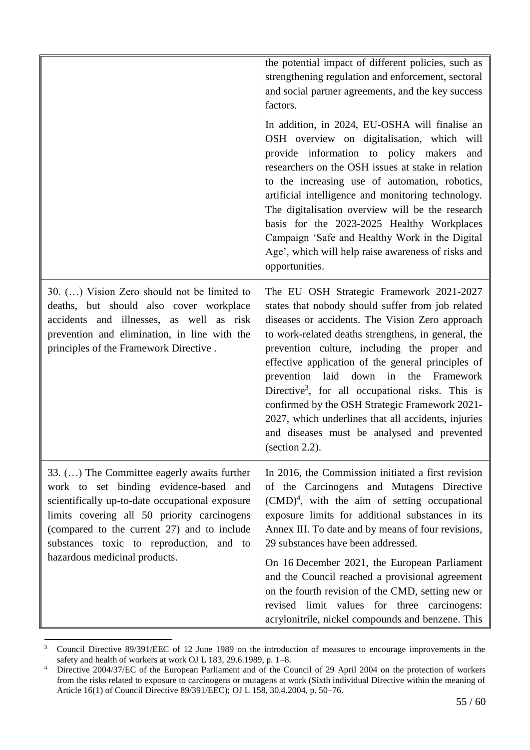|                                                                                                                                                                                                                                                                                                                     | the potential impact of different policies, such as<br>strengthening regulation and enforcement, sectoral<br>and social partner agreements, and the key success<br>factors.                                                                                                                                                                                                                                                                                                                                                                                                                         |
|---------------------------------------------------------------------------------------------------------------------------------------------------------------------------------------------------------------------------------------------------------------------------------------------------------------------|-----------------------------------------------------------------------------------------------------------------------------------------------------------------------------------------------------------------------------------------------------------------------------------------------------------------------------------------------------------------------------------------------------------------------------------------------------------------------------------------------------------------------------------------------------------------------------------------------------|
|                                                                                                                                                                                                                                                                                                                     | In addition, in 2024, EU-OSHA will finalise an<br>OSH overview on digitalisation, which will<br>provide information to policy makers<br>and<br>researchers on the OSH issues at stake in relation<br>to the increasing use of automation, robotics,<br>artificial intelligence and monitoring technology.<br>The digitalisation overview will be the research<br>basis for the 2023-2025 Healthy Workplaces<br>Campaign 'Safe and Healthy Work in the Digital<br>Age', which will help raise awareness of risks and<br>opportunities.                                                               |
| 30. () Vision Zero should not be limited to<br>deaths, but should also cover workplace<br>accidents and illnesses, as well as risk<br>prevention and elimination, in line with the<br>principles of the Framework Directive.                                                                                        | The EU OSH Strategic Framework 2021-2027<br>states that nobody should suffer from job related<br>diseases or accidents. The Vision Zero approach<br>to work-related deaths strengthens, in general, the<br>prevention culture, including the proper and<br>effective application of the general principles of<br>prevention laid down in the Framework<br>Directive <sup>3</sup> , for all occupational risks. This is<br>confirmed by the OSH Strategic Framework 2021-<br>2027, which underlines that all accidents, injuries<br>and diseases must be analysed and prevented<br>(section $2.2$ ). |
| 33. () The Committee eagerly awaits further<br>work to set binding evidence-based and<br>scientifically up-to-date occupational exposure<br>limits covering all 50 priority carcinogens<br>(compared to the current 27) and to include<br>substances toxic to reproduction, and to<br>hazardous medicinal products. | In 2016, the Commission initiated a first revision<br>of the Carcinogens and Mutagens Directive<br>$(CMD)^4$ , with the aim of setting occupational<br>exposure limits for additional substances in its<br>Annex III. To date and by means of four revisions,<br>29 substances have been addressed.<br>On 16 December 2021, the European Parliament<br>and the Council reached a provisional agreement<br>on the fourth revision of the CMD, setting new or<br>revised limit values for three carcinogens:<br>acrylonitrile, nickel compounds and benzene. This                                     |

 $\overline{3}$ <sup>3</sup> Council Directive 89/391/EEC of 12 June 1989 on the introduction of measures to encourage improvements in the safety and health of workers at work OJ L 183, 29.6.1989, p. 1–8.

<sup>&</sup>lt;sup>4</sup> Directive 2004/37/EC of the European Parliament and of the Council of 29 April 2004 on the protection of workers from the risks related to exposure to carcinogens or mutagens at work (Sixth individual Directive within the meaning of Article 16(1) of Council Directive 89/391/EEC); OJ L 158, 30.4.2004, p. 50–76.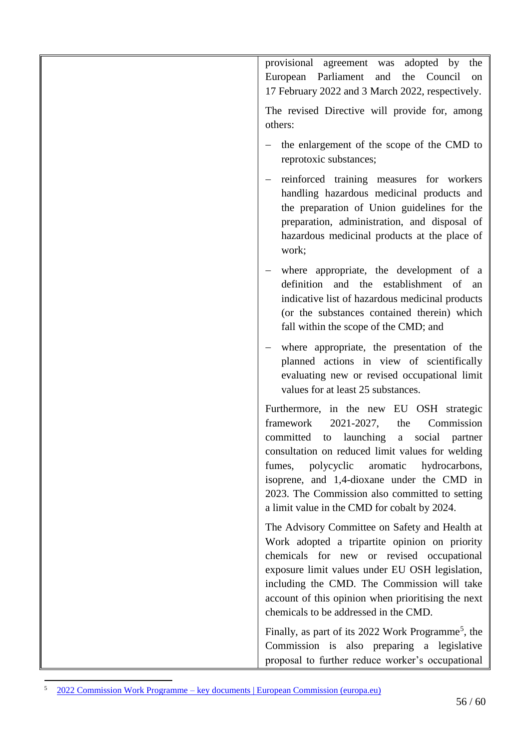| provisional agreement was adopted by<br>the<br>European Parliament<br>the Council<br>and<br>on<br>17 February 2022 and 3 March 2022, respectively.                                                                                                                                                                                                                                                    |
|-------------------------------------------------------------------------------------------------------------------------------------------------------------------------------------------------------------------------------------------------------------------------------------------------------------------------------------------------------------------------------------------------------|
| The revised Directive will provide for, among<br>others:                                                                                                                                                                                                                                                                                                                                              |
| the enlargement of the scope of the CMD to<br>reprotoxic substances;                                                                                                                                                                                                                                                                                                                                  |
| reinforced training measures for workers<br>handling hazardous medicinal products and<br>the preparation of Union guidelines for the<br>preparation, administration, and disposal of<br>hazardous medicinal products at the place of<br>work;                                                                                                                                                         |
| where appropriate, the development of a<br>definition<br>and the establishment of<br>an<br>indicative list of hazardous medicinal products<br>(or the substances contained therein) which<br>fall within the scope of the CMD; and                                                                                                                                                                    |
| where appropriate, the presentation of the<br>planned actions in view of scientifically<br>evaluating new or revised occupational limit<br>values for at least 25 substances.                                                                                                                                                                                                                         |
| Furthermore, in the new EU OSH strategic<br>2021-2027,<br>framework<br>the<br>Commission<br>to launching<br>committed<br>a social<br>partner<br>consultation on reduced limit values for welding<br>polycyclic<br>aromatic<br>hydrocarbons,<br>fumes,<br>isoprene, and 1,4-dioxane under the CMD in<br>2023. The Commission also committed to setting<br>a limit value in the CMD for cobalt by 2024. |
| The Advisory Committee on Safety and Health at<br>Work adopted a tripartite opinion on priority<br>chemicals for new or revised occupational<br>exposure limit values under EU OSH legislation,<br>including the CMD. The Commission will take<br>account of this opinion when prioritising the next<br>chemicals to be addressed in the CMD.                                                         |
| Finally, as part of its 2022 Work Programme <sup>5</sup> , the<br>Commission is also preparing a legislative<br>proposal to further reduce worker's occupational                                                                                                                                                                                                                                      |

 $\overline{5}$ <sup>5</sup> 2022 Commission Work Programme – [key documents | European Commission \(europa.eu\)](https://ec.europa.eu/info/publications/2022-commission-work-programme-key-documents_en)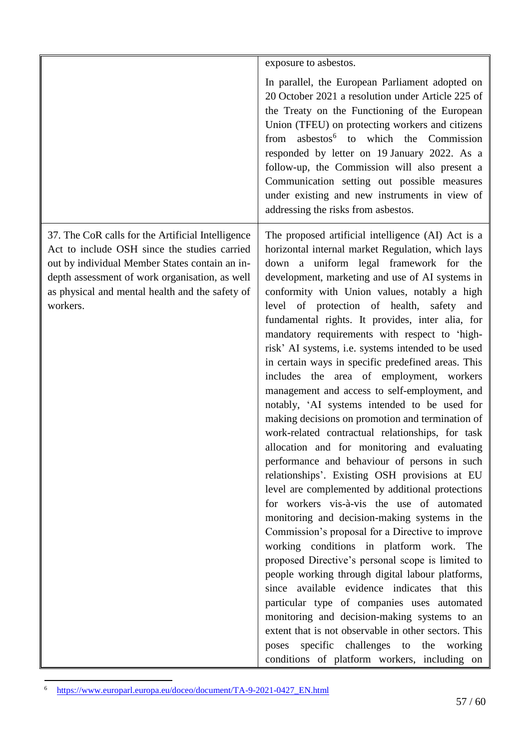|                                                                                                                                                                                                                                                                      | exposure to asbestos.                                                                                                                                                                                                                                                                                                                                                                                                                                                                                                                                                                                                                                                                                                                                                                                                                                                                                                                                                                                                                                                                                                                                                                                                                                                                                                                                                                                                                                                                                                                                                                      |
|----------------------------------------------------------------------------------------------------------------------------------------------------------------------------------------------------------------------------------------------------------------------|--------------------------------------------------------------------------------------------------------------------------------------------------------------------------------------------------------------------------------------------------------------------------------------------------------------------------------------------------------------------------------------------------------------------------------------------------------------------------------------------------------------------------------------------------------------------------------------------------------------------------------------------------------------------------------------------------------------------------------------------------------------------------------------------------------------------------------------------------------------------------------------------------------------------------------------------------------------------------------------------------------------------------------------------------------------------------------------------------------------------------------------------------------------------------------------------------------------------------------------------------------------------------------------------------------------------------------------------------------------------------------------------------------------------------------------------------------------------------------------------------------------------------------------------------------------------------------------------|
|                                                                                                                                                                                                                                                                      | In parallel, the European Parliament adopted on<br>20 October 2021 a resolution under Article 225 of<br>the Treaty on the Functioning of the European<br>Union (TFEU) on protecting workers and citizens<br>asbestos <sup>6</sup> to which the Commission<br>from<br>responded by letter on 19 January 2022. As a<br>follow-up, the Commission will also present a<br>Communication setting out possible measures<br>under existing and new instruments in view of<br>addressing the risks from asbestos.                                                                                                                                                                                                                                                                                                                                                                                                                                                                                                                                                                                                                                                                                                                                                                                                                                                                                                                                                                                                                                                                                  |
| 37. The CoR calls for the Artificial Intelligence<br>Act to include OSH since the studies carried<br>out by individual Member States contain an in-<br>depth assessment of work organisation, as well<br>as physical and mental health and the safety of<br>workers. | The proposed artificial intelligence (AI) Act is a<br>horizontal internal market Regulation, which lays<br>down a uniform legal framework for the<br>development, marketing and use of AI systems in<br>conformity with Union values, notably a high<br>level of protection of health, safety<br>and<br>fundamental rights. It provides, inter alia, for<br>mandatory requirements with respect to 'high-<br>risk' AI systems, i.e. systems intended to be used<br>in certain ways in specific predefined areas. This<br>includes the area of employment, workers<br>management and access to self-employment, and<br>notably, 'AI systems intended to be used for<br>making decisions on promotion and termination of<br>work-related contractual relationships, for task<br>allocation and for monitoring and evaluating<br>performance and behaviour of persons in such<br>relationships'. Existing OSH provisions at EU<br>level are complemented by additional protections<br>for workers vis-à-vis the use of automated<br>monitoring and decision-making systems in the<br>Commission's proposal for a Directive to improve<br>working conditions in platform work. The<br>proposed Directive's personal scope is limited to<br>people working through digital labour platforms,<br>since available evidence indicates that this<br>particular type of companies uses automated<br>monitoring and decision-making systems to an<br>extent that is not observable in other sectors. This<br>poses specific challenges to the working<br>conditions of platform workers, including on |

<sup>&</sup>lt;sup>6</sup> [https://www.europarl.europa.eu/doceo/document/TA-9-2021-0427\\_EN.html](https://www.europarl.europa.eu/doceo/document/TA-9-2021-0427_EN.html)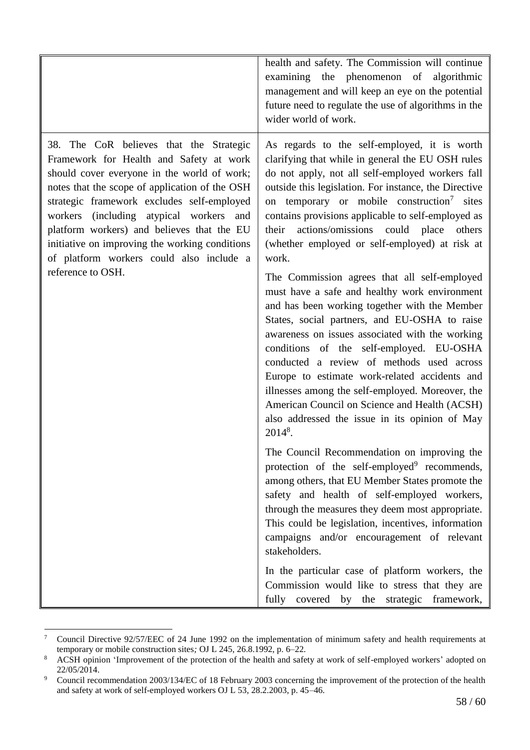|                                                                                                                                                                                                                                                                                                                                                                                                                          | health and safety. The Commission will continue<br>examining the phenomenon of algorithmic<br>management and will keep an eye on the potential<br>future need to regulate the use of algorithms in the<br>wider world of work.                                                                                                                                                                                                                                                                                                                                    |
|--------------------------------------------------------------------------------------------------------------------------------------------------------------------------------------------------------------------------------------------------------------------------------------------------------------------------------------------------------------------------------------------------------------------------|-------------------------------------------------------------------------------------------------------------------------------------------------------------------------------------------------------------------------------------------------------------------------------------------------------------------------------------------------------------------------------------------------------------------------------------------------------------------------------------------------------------------------------------------------------------------|
| 38. The CoR believes that the Strategic<br>Framework for Health and Safety at work<br>should cover everyone in the world of work;<br>notes that the scope of application of the OSH<br>strategic framework excludes self-employed<br>workers (including atypical workers and<br>platform workers) and believes that the EU<br>initiative on improving the working conditions<br>of platform workers could also include a | As regards to the self-employed, it is worth<br>clarifying that while in general the EU OSH rules<br>do not apply, not all self-employed workers fall<br>outside this legislation. For instance, the Directive<br>on temporary or mobile construction <sup>7</sup> sites<br>contains provisions applicable to self-employed as<br>actions/omissions could place<br>their<br>others<br>(whether employed or self-employed) at risk at<br>work.                                                                                                                     |
| reference to OSH.                                                                                                                                                                                                                                                                                                                                                                                                        | The Commission agrees that all self-employed<br>must have a safe and healthy work environment<br>and has been working together with the Member<br>States, social partners, and EU-OSHA to raise<br>awareness on issues associated with the working<br>conditions of the self-employed. EU-OSHA<br>conducted a review of methods used across<br>Europe to estimate work-related accidents and<br>illnesses among the self-employed. Moreover, the<br>American Council on Science and Health (ACSH)<br>also addressed the issue in its opinion of May<br>$2014^8$ . |
|                                                                                                                                                                                                                                                                                                                                                                                                                          | The Council Recommendation on improving the<br>protection of the self-employed <sup>9</sup> recommends,<br>among others, that EU Member States promote the<br>safety and health of self-employed workers,<br>through the measures they deem most appropriate.<br>This could be legislation, incentives, information<br>campaigns and/or encouragement of relevant<br>stakeholders.                                                                                                                                                                                |
|                                                                                                                                                                                                                                                                                                                                                                                                                          | In the particular case of platform workers, the<br>Commission would like to stress that they are<br>fully covered by the strategic framework,                                                                                                                                                                                                                                                                                                                                                                                                                     |

 $\ddot{\phantom{a}}$ <sup>7</sup> Council Directive 92/57/EEC of 24 June 1992 on the implementation of minimum safety and health requirements at temporary or mobile construction sites*;* OJ L 245, 26.8.1992, p. 6–22*.*

<sup>&</sup>lt;sup>8</sup> ACSH opinion 'Improvement of the protection of the health and safety at work of self-employed workers' adopted on 22/05/2014.

<sup>&</sup>lt;sup>9</sup> Council recommendation 2003/134/EC of 18 February 2003 concerning the improvement of the protection of the health and safety at work of self-employed workers OJ L 53, 28.2.2003, p. 45–46.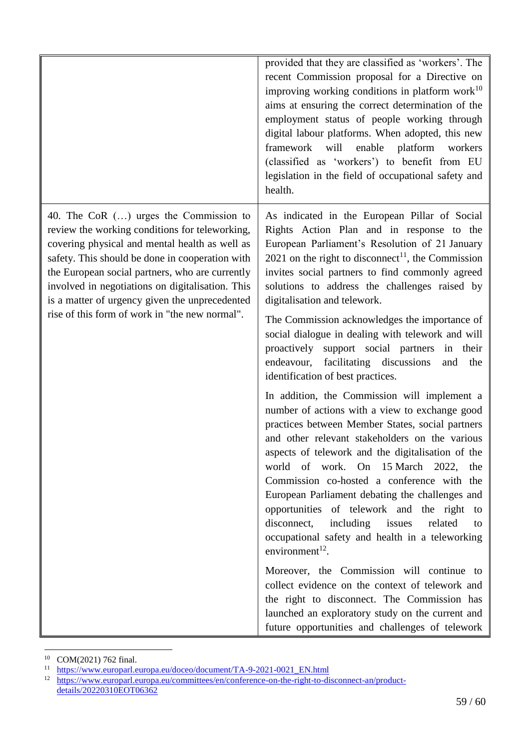|                                                                                                                                                                                                                                                                                                                                                                                                            | provided that they are classified as 'workers'. The<br>recent Commission proposal for a Directive on<br>improving working conditions in platform work $10$<br>aims at ensuring the correct determination of the<br>employment status of people working through<br>digital labour platforms. When adopted, this new<br>framework will<br>enable<br>platform<br>workers<br>(classified as 'workers') to benefit from EU<br>legislation in the field of occupational safety and<br>health.                                                                                                                                                                                                                                                                                                                                                |
|------------------------------------------------------------------------------------------------------------------------------------------------------------------------------------------------------------------------------------------------------------------------------------------------------------------------------------------------------------------------------------------------------------|----------------------------------------------------------------------------------------------------------------------------------------------------------------------------------------------------------------------------------------------------------------------------------------------------------------------------------------------------------------------------------------------------------------------------------------------------------------------------------------------------------------------------------------------------------------------------------------------------------------------------------------------------------------------------------------------------------------------------------------------------------------------------------------------------------------------------------------|
| 40. The CoR $()$ urges the Commission to<br>review the working conditions for teleworking,<br>covering physical and mental health as well as<br>safety. This should be done in cooperation with<br>the European social partners, who are currently<br>involved in negotiations on digitalisation. This<br>is a matter of urgency given the unprecedented<br>rise of this form of work in "the new normal". | As indicated in the European Pillar of Social<br>Rights Action Plan and in response to the<br>European Parliament's Resolution of 21 January<br>2021 on the right to disconnect <sup>11</sup> , the Commission<br>invites social partners to find commonly agreed<br>solutions to address the challenges raised by<br>digitalisation and telework.<br>The Commission acknowledges the importance of<br>social dialogue in dealing with telework and will<br>proactively support social partners<br>in<br>their<br>facilitating discussions<br>endeavour,<br>the<br>and<br>identification of best practices.                                                                                                                                                                                                                            |
|                                                                                                                                                                                                                                                                                                                                                                                                            | In addition, the Commission will implement a<br>number of actions with a view to exchange good<br>practices between Member States, social partners<br>and other relevant stakeholders on the various<br>aspects of telework and the digitalisation of the<br>world of work. On 15 March 2022, the<br>Commission co-hosted a conference with the<br>European Parliament debating the challenges and<br>opportunities of telework and the right to<br>disconnect,<br>including issues<br>related<br>to<br>occupational safety and health in a teleworking<br>environment $^{12}$ .<br>Moreover, the Commission will continue to<br>collect evidence on the context of telework and<br>the right to disconnect. The Commission has<br>launched an exploratory study on the current and<br>future opportunities and challenges of telework |

 $\overline{a}$ <sup>10</sup> COM(2021) 762 final.

<sup>&</sup>lt;sup>11</sup> [https://www.europarl.europa.eu/doceo/document/TA-9-2021-0021\\_EN.html](https://www.europarl.europa.eu/doceo/document/TA-9-2021-0021_EN.html)

<sup>&</sup>lt;sup>12</sup> [https://www.europarl.europa.eu/committees/en/conference-on-the-right-to-disconnect-an/product](https://www.europarl.europa.eu/committees/en/conference-on-the-right-to-disconnect-an/product-details/20220310EOT06362)[details/20220310EOT06362](https://www.europarl.europa.eu/committees/en/conference-on-the-right-to-disconnect-an/product-details/20220310EOT06362)